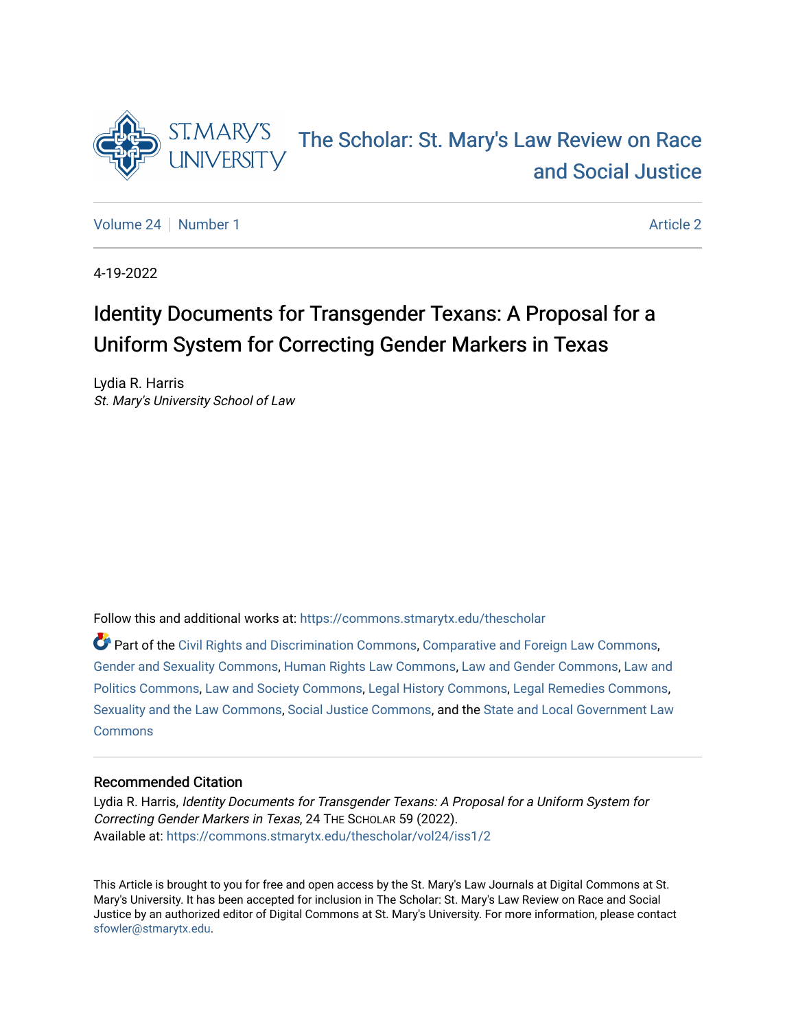

# [The Scholar: St. Mary's Law Review on Race](https://commons.stmarytx.edu/thescholar)  [and Social Justice](https://commons.stmarytx.edu/thescholar)

[Volume 24](https://commons.stmarytx.edu/thescholar/vol24) | [Number 1](https://commons.stmarytx.edu/thescholar/vol24/iss1) [Article 2](https://commons.stmarytx.edu/thescholar/vol24/iss1/2) Article 2 Article 2 Article 2 Article 2 Article 2 Article 2 Article 2

4-19-2022

# Identity Documents for Transgender Texans: A Proposal for a Uniform System for Correcting Gender Markers in Texas

Lydia R. Harris St. Mary's University School of Law

Follow this and additional works at: [https://commons.stmarytx.edu/thescholar](https://commons.stmarytx.edu/thescholar?utm_source=commons.stmarytx.edu%2Fthescholar%2Fvol24%2Fiss1%2F2&utm_medium=PDF&utm_campaign=PDFCoverPages) 

Part of the [Civil Rights and Discrimination Commons,](http://network.bepress.com/hgg/discipline/585?utm_source=commons.stmarytx.edu%2Fthescholar%2Fvol24%2Fiss1%2F2&utm_medium=PDF&utm_campaign=PDFCoverPages) [Comparative and Foreign Law Commons,](http://network.bepress.com/hgg/discipline/836?utm_source=commons.stmarytx.edu%2Fthescholar%2Fvol24%2Fiss1%2F2&utm_medium=PDF&utm_campaign=PDFCoverPages) [Gender and Sexuality Commons](http://network.bepress.com/hgg/discipline/420?utm_source=commons.stmarytx.edu%2Fthescholar%2Fvol24%2Fiss1%2F2&utm_medium=PDF&utm_campaign=PDFCoverPages), [Human Rights Law Commons,](http://network.bepress.com/hgg/discipline/847?utm_source=commons.stmarytx.edu%2Fthescholar%2Fvol24%2Fiss1%2F2&utm_medium=PDF&utm_campaign=PDFCoverPages) [Law and Gender Commons,](http://network.bepress.com/hgg/discipline/1298?utm_source=commons.stmarytx.edu%2Fthescholar%2Fvol24%2Fiss1%2F2&utm_medium=PDF&utm_campaign=PDFCoverPages) [Law and](http://network.bepress.com/hgg/discipline/867?utm_source=commons.stmarytx.edu%2Fthescholar%2Fvol24%2Fiss1%2F2&utm_medium=PDF&utm_campaign=PDFCoverPages)  [Politics Commons](http://network.bepress.com/hgg/discipline/867?utm_source=commons.stmarytx.edu%2Fthescholar%2Fvol24%2Fiss1%2F2&utm_medium=PDF&utm_campaign=PDFCoverPages), [Law and Society Commons,](http://network.bepress.com/hgg/discipline/853?utm_source=commons.stmarytx.edu%2Fthescholar%2Fvol24%2Fiss1%2F2&utm_medium=PDF&utm_campaign=PDFCoverPages) [Legal History Commons](http://network.bepress.com/hgg/discipline/904?utm_source=commons.stmarytx.edu%2Fthescholar%2Fvol24%2Fiss1%2F2&utm_medium=PDF&utm_campaign=PDFCoverPages), [Legal Remedies Commons](http://network.bepress.com/hgg/discipline/618?utm_source=commons.stmarytx.edu%2Fthescholar%2Fvol24%2Fiss1%2F2&utm_medium=PDF&utm_campaign=PDFCoverPages), [Sexuality and the Law Commons](http://network.bepress.com/hgg/discipline/877?utm_source=commons.stmarytx.edu%2Fthescholar%2Fvol24%2Fiss1%2F2&utm_medium=PDF&utm_campaign=PDFCoverPages), [Social Justice Commons](http://network.bepress.com/hgg/discipline/1432?utm_source=commons.stmarytx.edu%2Fthescholar%2Fvol24%2Fiss1%2F2&utm_medium=PDF&utm_campaign=PDFCoverPages), and the [State and Local Government Law](http://network.bepress.com/hgg/discipline/879?utm_source=commons.stmarytx.edu%2Fthescholar%2Fvol24%2Fiss1%2F2&utm_medium=PDF&utm_campaign=PDFCoverPages)  **[Commons](http://network.bepress.com/hgg/discipline/879?utm_source=commons.stmarytx.edu%2Fthescholar%2Fvol24%2Fiss1%2F2&utm_medium=PDF&utm_campaign=PDFCoverPages)** 

# Recommended Citation

Lydia R. Harris, Identity Documents for Transgender Texans: A Proposal for a Uniform System for Correcting Gender Markers in Texas, 24 THE SCHOLAR 59 (2022). Available at: [https://commons.stmarytx.edu/thescholar/vol24/iss1/2](https://commons.stmarytx.edu/thescholar/vol24/iss1/2?utm_source=commons.stmarytx.edu%2Fthescholar%2Fvol24%2Fiss1%2F2&utm_medium=PDF&utm_campaign=PDFCoverPages) 

This Article is brought to you for free and open access by the St. Mary's Law Journals at Digital Commons at St. Mary's University. It has been accepted for inclusion in The Scholar: St. Mary's Law Review on Race and Social Justice by an authorized editor of Digital Commons at St. Mary's University. For more information, please contact [sfowler@stmarytx.edu](mailto:sfowler@stmarytx.edu).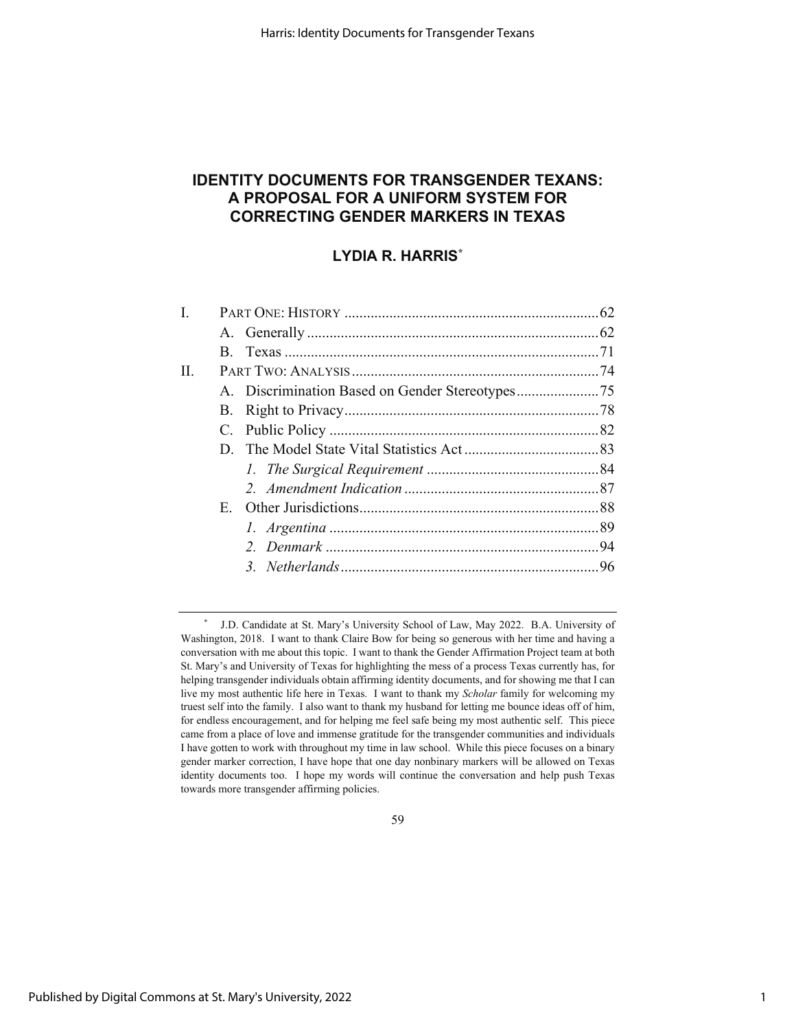# **IDENTITY DOCUMENTS FOR TRANSGENDER TEXANS: A PROPOSAL FOR A UNIFORM SYSTEM FOR CORRECTING GENDER MARKERS IN TEXAS**

# **LYDIA R. HARRIS\***

| L  |             |  |  |
|----|-------------|--|--|
|    |             |  |  |
|    | $B_{\cdot}$ |  |  |
| П. |             |  |  |
|    |             |  |  |
|    |             |  |  |
|    |             |  |  |
|    |             |  |  |
|    |             |  |  |
|    |             |  |  |
|    |             |  |  |
|    |             |  |  |
|    |             |  |  |
|    |             |  |  |
|    |             |  |  |

59

<sup>\*</sup> J.D. Candidate at St. Mary's University School of Law, May 2022. B.A. University of Washington, 2018. I want to thank Claire Bow for being so generous with her time and having a conversation with me about this topic. I want to thank the Gender Affirmation Project team at both St. Mary's and University of Texas for highlighting the mess of a process Texas currently has, for helping transgender individuals obtain affirming identity documents, and for showing me that I can live my most authentic life here in Texas. I want to thank my *Scholar* family for welcoming my truest self into the family. I also want to thank my husband for letting me bounce ideas off of him, for endless encouragement, and for helping me feel safe being my most authentic self. This piece came from a place of love and immense gratitude for the transgender communities and individuals I have gotten to work with throughout my time in law school. While this piece focuses on a binary gender marker correction, I have hope that one day nonbinary markers will be allowed on Texas identity documents too. I hope my words will continue the conversation and help push Texas towards more transgender affirming policies.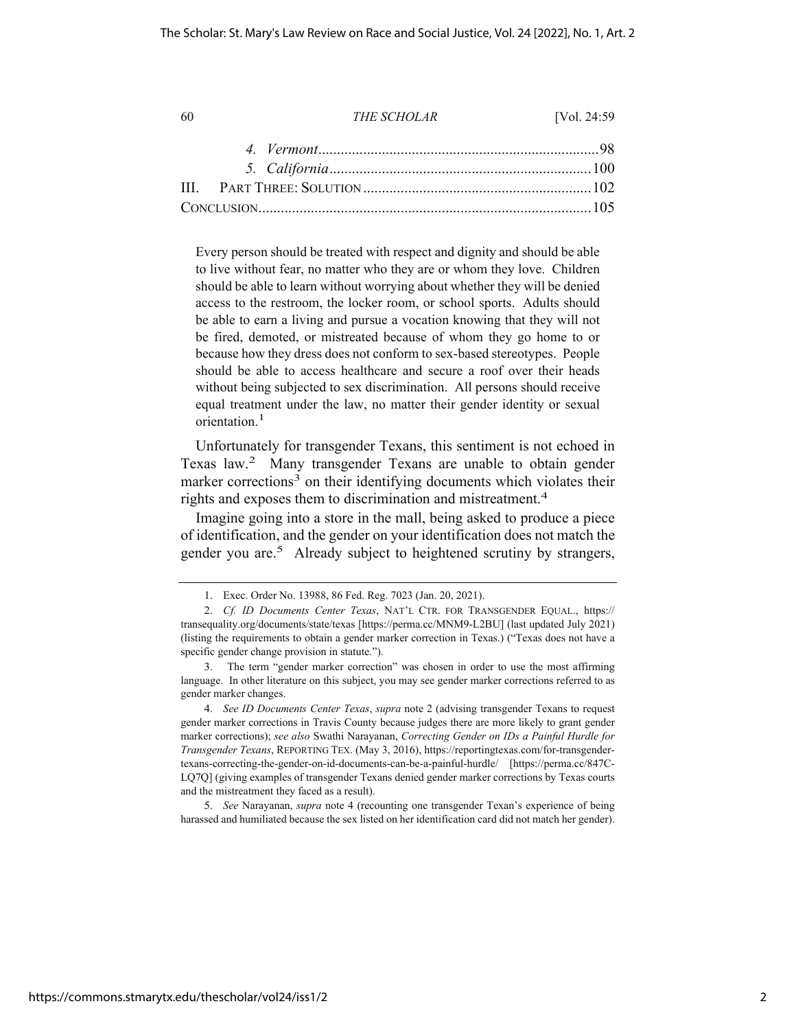Every person should be treated with respect and dignity and should be able to live without fear, no matter who they are or whom they love. Children should be able to learn without worrying about whether they will be denied access to the restroom, the locker room, or school sports. Adults should be able to earn a living and pursue a vocation knowing that they will not be fired, demoted, or mistreated because of whom they go home to or because how they dress does not conform to sex-based stereotypes. People should be able to access healthcare and secure a roof over their heads without being subjected to sex discrimination. All persons should receive equal treatment under the law, no matter their gender identity or sexual orientation.<sup>1</sup>

Unfortunately for transgender Texans, this sentiment is not echoed in Texas law.2 Many transgender Texans are unable to obtain gender marker corrections<sup>3</sup> on their identifying documents which violates their rights and exposes them to discrimination and mistreatment.<sup>4</sup>

Imagine going into a store in the mall, being asked to produce a piece of identification, and the gender on your identification does not match the gender you are.<sup>5</sup> Already subject to heightened scrutiny by strangers,

5. *See* Narayanan, *supra* note 4 (recounting one transgender Texan's experience of being harassed and humiliated because the sex listed on her identification card did not match her gender).

<sup>1.</sup> Exec. Order No. 13988, 86 Fed. Reg. 7023 (Jan. 20, 2021).

<sup>2.</sup> *Cf. ID Documents Center Texas*, NAT'L CTR. FOR TRANSGENDER EQUAL., https:// transequality.org/documents/state/texas [https://perma.cc/MNM9-L2BU] (last updated July 2021) (listing the requirements to obtain a gender marker correction in Texas.) ("Texas does not have a specific gender change provision in statute.").

<sup>3.</sup> The term "gender marker correction" was chosen in order to use the most affirming language. In other literature on this subject, you may see gender marker corrections referred to as gender marker changes.

<sup>4.</sup> *See ID Documents Center Texas*, *supra* note 2 (advising transgender Texans to request gender marker corrections in Travis County because judges there are more likely to grant gender marker corrections); *see also* Swathi Narayanan, *Correcting Gender on IDs a Painful Hurdle for Transgender Texans*, REPORTING TEX. (May 3, 2016), https://reportingtexas.com/for-transgendertexans-correcting-the-gender-on-id-documents-can-be-a-painful-hurdle/ [https://perma.cc/847C-LQ7Q] (giving examples of transgender Texans denied gender marker corrections by Texas courts and the mistreatment they faced as a result).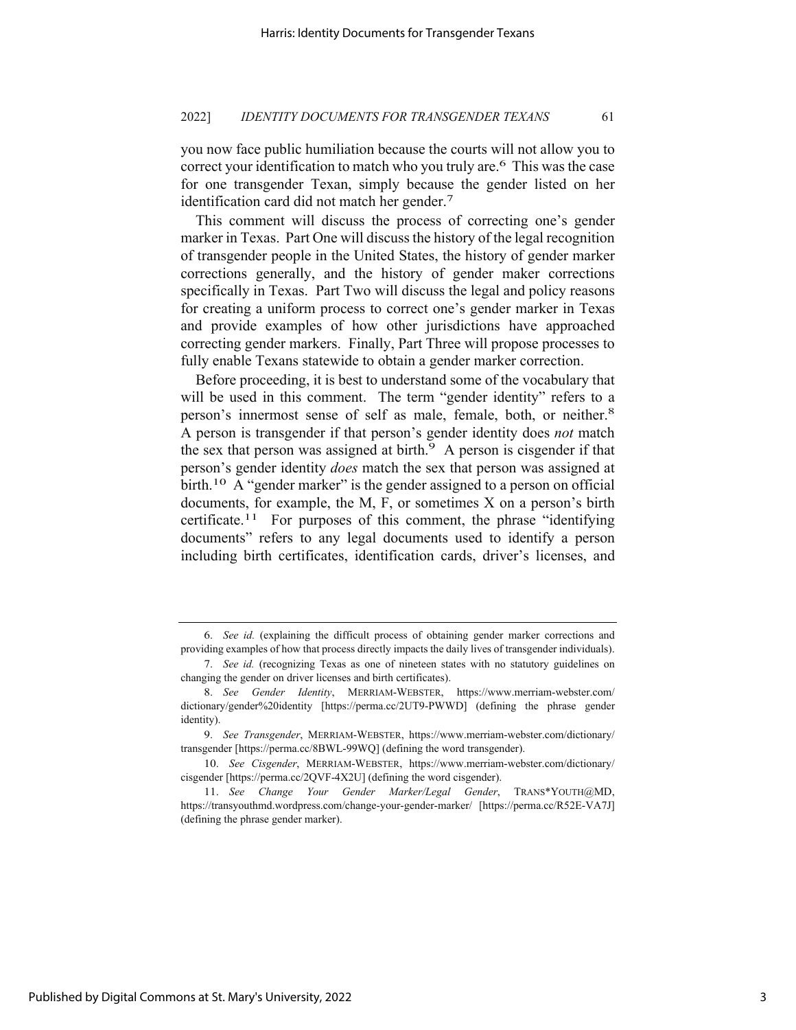you now face public humiliation because the courts will not allow you to correct your identification to match who you truly are.<sup>6</sup> This was the case for one transgender Texan, simply because the gender listed on her identification card did not match her gender.7

This comment will discuss the process of correcting one's gender marker in Texas. Part One will discuss the history of the legal recognition of transgender people in the United States, the history of gender marker corrections generally, and the history of gender maker corrections specifically in Texas. Part Two will discuss the legal and policy reasons for creating a uniform process to correct one's gender marker in Texas and provide examples of how other jurisdictions have approached correcting gender markers. Finally, Part Three will propose processes to fully enable Texans statewide to obtain a gender marker correction.

Before proceeding, it is best to understand some of the vocabulary that will be used in this comment. The term "gender identity" refers to a person's innermost sense of self as male, female, both, or neither.<sup>8</sup> A person is transgender if that person's gender identity does *not* match the sex that person was assigned at birth.<sup>9</sup> A person is cisgender if that person's gender identity *does* match the sex that person was assigned at birth.<sup>10</sup> A "gender marker" is the gender assigned to a person on official documents, for example, the M, F, or sometimes X on a person's birth certificate.<sup>11</sup> For purposes of this comment, the phrase "identifying documents" refers to any legal documents used to identify a person including birth certificates, identification cards, driver's licenses, and

3

<sup>6.</sup> *See id.* (explaining the difficult process of obtaining gender marker corrections and providing examples of how that process directly impacts the daily lives of transgender individuals).

<sup>7.</sup> *See id.* (recognizing Texas as one of nineteen states with no statutory guidelines on changing the gender on driver licenses and birth certificates).

<sup>8.</sup> *See Gender Identity*, MERRIAM-WEBSTER, https://www.merriam-webster.com/ dictionary/gender%20identity [https://perma.cc/2UT9-PWWD] (defining the phrase gender identity).

<sup>9.</sup> *See Transgender*, MERRIAM-WEBSTER, https://www.merriam-webster.com/dictionary/ transgender [https://perma.cc/8BWL-99WQ] (defining the word transgender).

<sup>10.</sup> *See Cisgender*, MERRIAM-WEBSTER, https://www.merriam-webster.com/dictionary/ cisgender [https://perma.cc/2QVF-4X2U] (defining the word cisgender).

<sup>11.</sup> *See Change Your Gender Marker/Legal Gender*, TRANS\*YOUTH@MD, https://transyouthmd.wordpress.com/change-your-gender-marker/ [https://perma.cc/R52E-VA7J] (defining the phrase gender marker).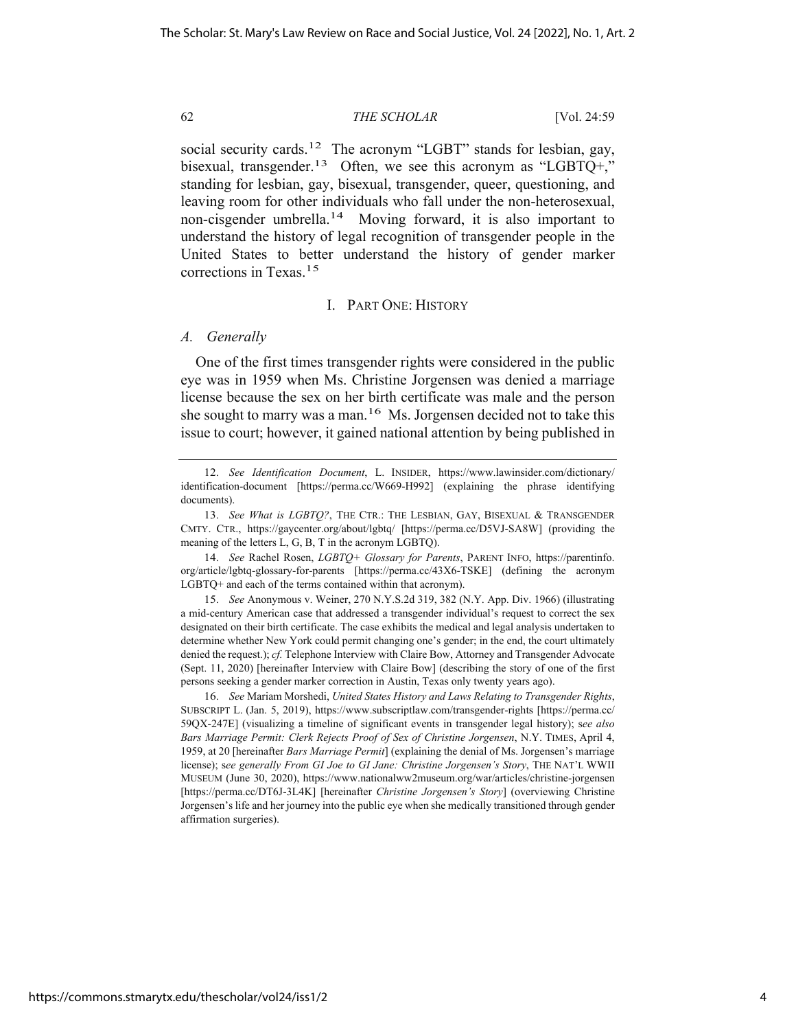social security cards.<sup>12</sup> The acronym "LGBT" stands for lesbian, gay, bisexual, transgender.<sup>13</sup> Often, we see this acronym as "LGBTQ+," standing for lesbian, gay, bisexual, transgender, queer, questioning, and leaving room for other individuals who fall under the non-heterosexual, non-cisgender umbrella.14 Moving forward, it is also important to understand the history of legal recognition of transgender people in the United States to better understand the history of gender marker corrections in Texas.15

# I. PART ONE: HISTORY

# *A. Generally*

One of the first times transgender rights were considered in the public eye was in 1959 when Ms. Christine Jorgensen was denied a marriage license because the sex on her birth certificate was male and the person she sought to marry was a man.<sup>16</sup> Ms. Jorgensen decided not to take this issue to court; however, it gained national attention by being published in

14. *See* Rachel Rosen, *LGBTQ+ Glossary for Parents*, PARENT INFO, https://parentinfo. org/article/lgbtq-glossary-for-parents [https://perma.cc/43X6-TSKE] (defining the acronym LGBTQ+ and each of the terms contained within that acronym).

15. *See* Anonymous v. Weiner, 270 N.Y.S.2d 319, 382 (N.Y. App. Div. 1966) (illustrating a mid-century American case that addressed a transgender individual's request to correct the sex designated on their birth certificate. The case exhibits the medical and legal analysis undertaken to determine whether New York could permit changing one's gender; in the end, the court ultimately denied the request.); *cf.* Telephone Interview with Claire Bow, Attorney and Transgender Advocate (Sept. 11, 2020) [hereinafter Interview with Claire Bow] (describing the story of one of the first persons seeking a gender marker correction in Austin, Texas only twenty years ago).

16. *See* Mariam Morshedi, *United States History and Laws Relating to Transgender Rights*, SUBSCRIPT L. (Jan. 5, 2019), https://www.subscriptlaw.com/transgender-rights [https://perma.cc/ 59QX-247E] (visualizing a timeline of significant events in transgender legal history); s*ee also Bars Marriage Permit: Clerk Rejects Proof of Sex of Christine Jorgensen*, N.Y. TIMES, April 4, 1959, at 20 [hereinafter *Bars Marriage Permit*] (explaining the denial of Ms. Jorgensen's marriage license); s*ee generally From GI Joe to GI Jane: Christine Jorgensen's Story*, THE NAT'L WWII MUSEUM (June 30, 2020), https://www.nationalww2museum.org/war/articles/christine-jorgensen [https://perma.cc/DT6J-3L4K] [hereinafter *Christine Jorgensen's Story*] (overviewing Christine Jorgensen's life and her journey into the public eye when she medically transitioned through gender affirmation surgeries).

<sup>12.</sup> *See Identification Document*, L. INSIDER, https://www.lawinsider.com/dictionary/ identification-document [https://perma.cc/W669-H992] (explaining the phrase identifying documents).

<sup>13.</sup> *See What is LGBTQ?*, THE CTR.: THE LESBIAN, GAY, BISEXUAL & TRANSGENDER CMTY. CTR., https://gaycenter.org/about/lgbtq/ [https://perma.cc/D5VJ-SA8W] (providing the meaning of the letters L, G, B, T in the acronym LGBTQ).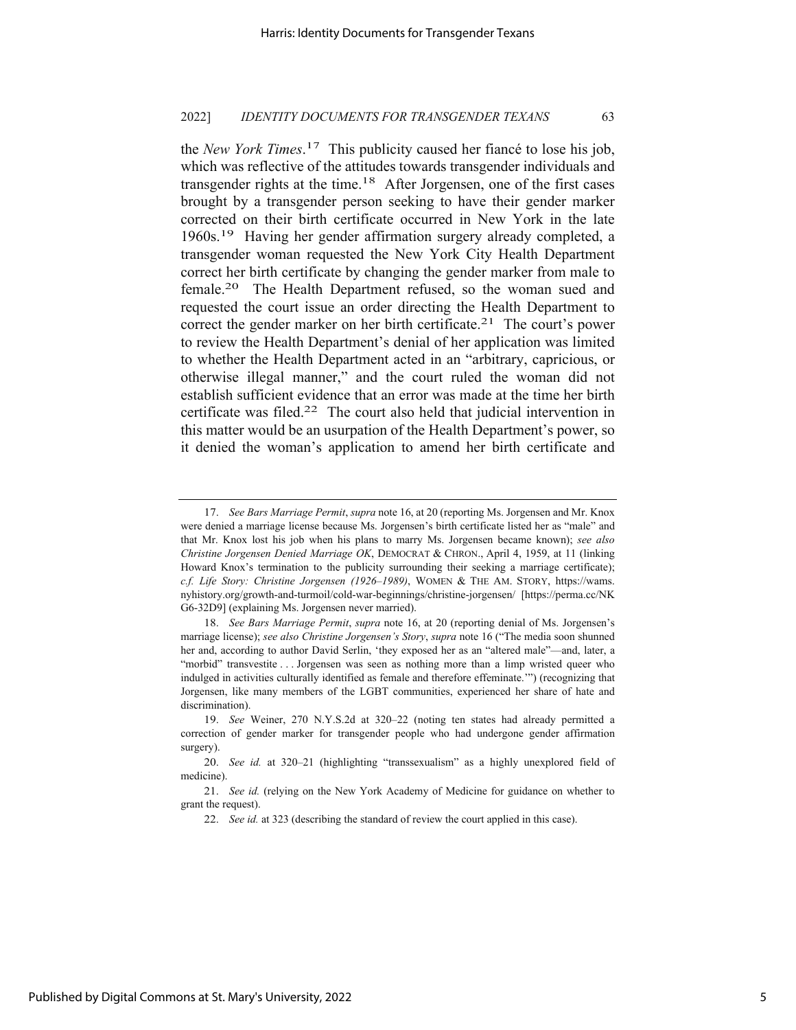the *New York Times*. 17 This publicity caused her fiancé to lose his job, which was reflective of the attitudes towards transgender individuals and transgender rights at the time.<sup>18</sup> After Jorgensen, one of the first cases brought by a transgender person seeking to have their gender marker corrected on their birth certificate occurred in New York in the late 1960s.19 Having her gender affirmation surgery already completed, a transgender woman requested the New York City Health Department correct her birth certificate by changing the gender marker from male to female.20 The Health Department refused, so the woman sued and requested the court issue an order directing the Health Department to correct the gender marker on her birth certificate.<sup>21</sup> The court's power to review the Health Department's denial of her application was limited to whether the Health Department acted in an "arbitrary, capricious, or otherwise illegal manner," and the court ruled the woman did not establish sufficient evidence that an error was made at the time her birth certificate was filed.<sup>22</sup> The court also held that judicial intervention in this matter would be an usurpation of the Health Department's power, so it denied the woman's application to amend her birth certificate and

<sup>17.</sup> *See Bars Marriage Permit*, *supra* note 16, at 20 (reporting Ms. Jorgensen and Mr. Knox were denied a marriage license because Ms. Jorgensen's birth certificate listed her as "male" and that Mr. Knox lost his job when his plans to marry Ms. Jorgensen became known); *see also Christine Jorgensen Denied Marriage OK*, DEMOCRAT & CHRON., April 4, 1959, at 11 (linking Howard Knox's termination to the publicity surrounding their seeking a marriage certificate); *c.f. Life Story: Christine Jorgensen (1926–1989)*, WOMEN & THE AM. STORY, https://wams. nyhistory.org/growth-and-turmoil/cold-war-beginnings/christine-jorgensen/ [https://perma.cc/NK G6-32D9] (explaining Ms. Jorgensen never married).

<sup>18.</sup> *See Bars Marriage Permit*, *supra* note 16, at 20 (reporting denial of Ms. Jorgensen's marriage license); *see also Christine Jorgensen's Story*, *supra* note 16 ("The media soon shunned her and, according to author David Serlin, 'they exposed her as an "altered male"—and, later, a "morbid" transvestite . . . Jorgensen was seen as nothing more than a limp wristed queer who indulged in activities culturally identified as female and therefore effeminate.'") (recognizing that Jorgensen, like many members of the LGBT communities, experienced her share of hate and discrimination).

<sup>19.</sup> *See* Weiner, 270 N.Y.S.2d at 320–22 (noting ten states had already permitted a correction of gender marker for transgender people who had undergone gender affirmation surgery).

<sup>20.</sup> *See id.* at 320–21 (highlighting "transsexualism" as a highly unexplored field of medicine).

<sup>21.</sup> *See id.* (relying on the New York Academy of Medicine for guidance on whether to grant the request).

<sup>22.</sup> *See id.* at 323 (describing the standard of review the court applied in this case).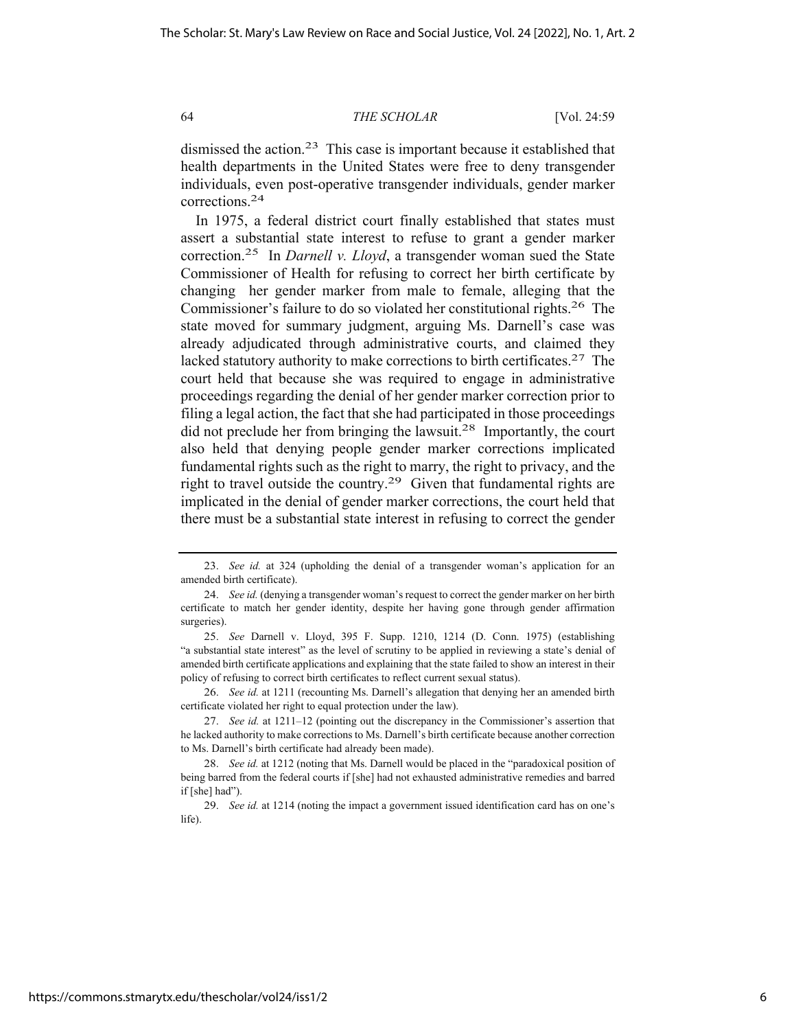dismissed the action.<sup>23</sup> This case is important because it established that health departments in the United States were free to deny transgender individuals, even post-operative transgender individuals, gender marker corrections.24

In 1975, a federal district court finally established that states must assert a substantial state interest to refuse to grant a gender marker correction.25 In *Darnell v. Lloyd*, a transgender woman sued the State Commissioner of Health for refusing to correct her birth certificate by changing her gender marker from male to female, alleging that the Commissioner's failure to do so violated her constitutional rights.26 The state moved for summary judgment, arguing Ms. Darnell's case was already adjudicated through administrative courts, and claimed they lacked statutory authority to make corrections to birth certificates.<sup>27</sup> The court held that because she was required to engage in administrative proceedings regarding the denial of her gender marker correction prior to filing a legal action, the fact that she had participated in those proceedings did not preclude her from bringing the lawsuit.28 Importantly, the court also held that denying people gender marker corrections implicated fundamental rights such as the right to marry, the right to privacy, and the right to travel outside the country.<sup>29</sup> Given that fundamental rights are implicated in the denial of gender marker corrections, the court held that there must be a substantial state interest in refusing to correct the gender

<sup>23.</sup> *See id.* at 324 (upholding the denial of a transgender woman's application for an amended birth certificate).

<sup>24.</sup> *See id.* (denying a transgender woman's request to correct the gender marker on her birth certificate to match her gender identity, despite her having gone through gender affirmation surgeries).

<sup>25.</sup> *See* Darnell v. Lloyd, 395 F. Supp. 1210, 1214 (D. Conn. 1975) (establishing "a substantial state interest" as the level of scrutiny to be applied in reviewing a state's denial of amended birth certificate applications and explaining that the state failed to show an interest in their policy of refusing to correct birth certificates to reflect current sexual status).

<sup>26.</sup> *See id.* at 1211 (recounting Ms. Darnell's allegation that denying her an amended birth certificate violated her right to equal protection under the law).

<sup>27.</sup> *See id.* at 1211–12 (pointing out the discrepancy in the Commissioner's assertion that he lacked authority to make corrections to Ms. Darnell's birth certificate because another correction to Ms. Darnell's birth certificate had already been made).

<sup>28.</sup> *See id.* at 1212 (noting that Ms. Darnell would be placed in the "paradoxical position of being barred from the federal courts if [she] had not exhausted administrative remedies and barred if [she] had").

<sup>29.</sup> *See id.* at 1214 (noting the impact a government issued identification card has on one's life).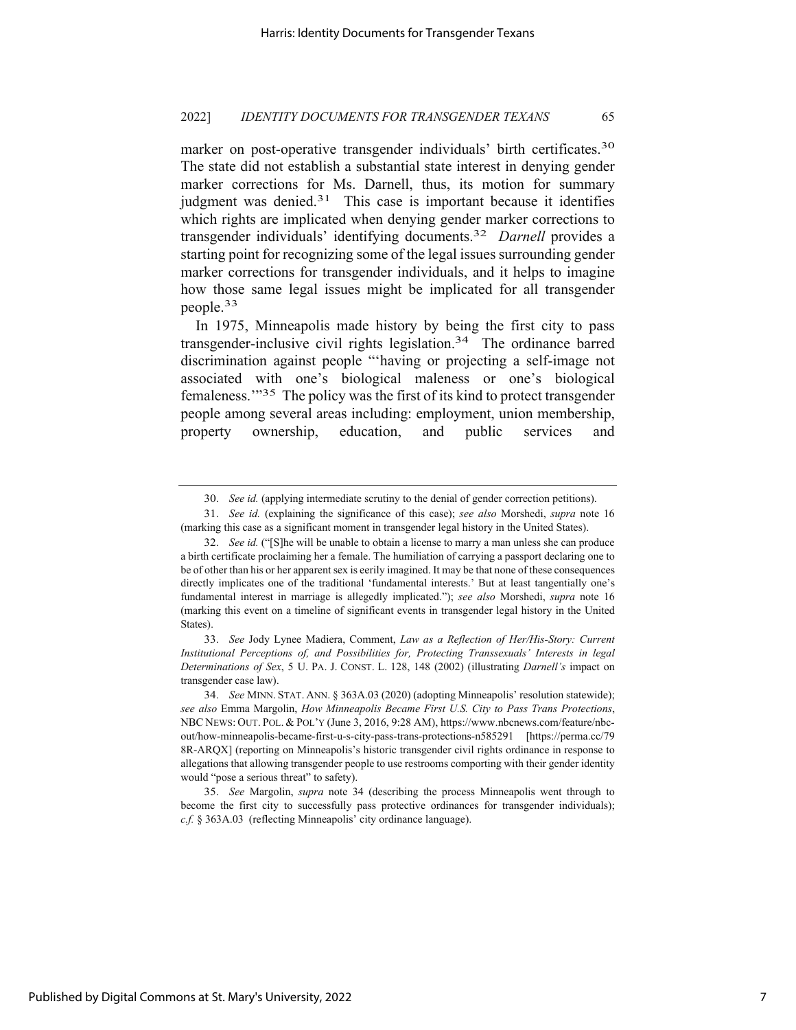marker on post-operative transgender individuals' birth certificates.<sup>30</sup> The state did not establish a substantial state interest in denying gender marker corrections for Ms. Darnell, thus, its motion for summary iudgment was denied. $31$  This case is important because it identifies which rights are implicated when denying gender marker corrections to transgender individuals' identifying documents.32 *Darnell* provides a starting point for recognizing some of the legal issues surrounding gender marker corrections for transgender individuals, and it helps to imagine how those same legal issues might be implicated for all transgender people.33

In 1975, Minneapolis made history by being the first city to pass transgender-inclusive civil rights legislation.<sup>34</sup> The ordinance barred discrimination against people "'having or projecting a self-image not associated with one's biological maleness or one's biological femaleness.'"35 The policy was the first of its kind to protect transgender people among several areas including: employment, union membership, property ownership, education, and public services and

33. *See* Jody Lynee Madiera, Comment, *Law as a Reflection of Her/His-Story: Current Institutional Perceptions of, and Possibilities for, Protecting Transsexuals' Interests in legal Determinations of Sex*, 5 U. PA. J. CONST. L. 128, 148 (2002) (illustrating *Darnell's* impact on transgender case law).

<sup>30.</sup> *See id.* (applying intermediate scrutiny to the denial of gender correction petitions).

<sup>31.</sup> *See id.* (explaining the significance of this case); *see also* Morshedi, *supra* note 16 (marking this case as a significant moment in transgender legal history in the United States).

<sup>32.</sup> *See id.* ("[S]he will be unable to obtain a license to marry a man unless she can produce a birth certificate proclaiming her a female. The humiliation of carrying a passport declaring one to be of other than his or her apparent sex is eerily imagined. It may be that none of these consequences directly implicates one of the traditional 'fundamental interests.' But at least tangentially one's fundamental interest in marriage is allegedly implicated."); *see also* Morshedi, *supra* note 16 (marking this event on a timeline of significant events in transgender legal history in the United States).

<sup>34.</sup> *See* MINN. STAT. ANN. § 363A.03 (2020) (adopting Minneapolis' resolution statewide); *see also* Emma Margolin, *How Minneapolis Became First U.S. City to Pass Trans Protections*, NBC NEWS: OUT. POL. & POL'Y (June 3, 2016, 9:28 AM), https://www.nbcnews.com/feature/nbcout/how-minneapolis-became-first-u-s-city-pass-trans-protections-n585291 [https://perma.cc/79 8R-ARQX] (reporting on Minneapolis's historic transgender civil rights ordinance in response to allegations that allowing transgender people to use restrooms comporting with their gender identity would "pose a serious threat" to safety).

<sup>35.</sup> *See* Margolin, *supra* note 34 (describing the process Minneapolis went through to become the first city to successfully pass protective ordinances for transgender individuals); *c.f.* § 363A.03 (reflecting Minneapolis' city ordinance language).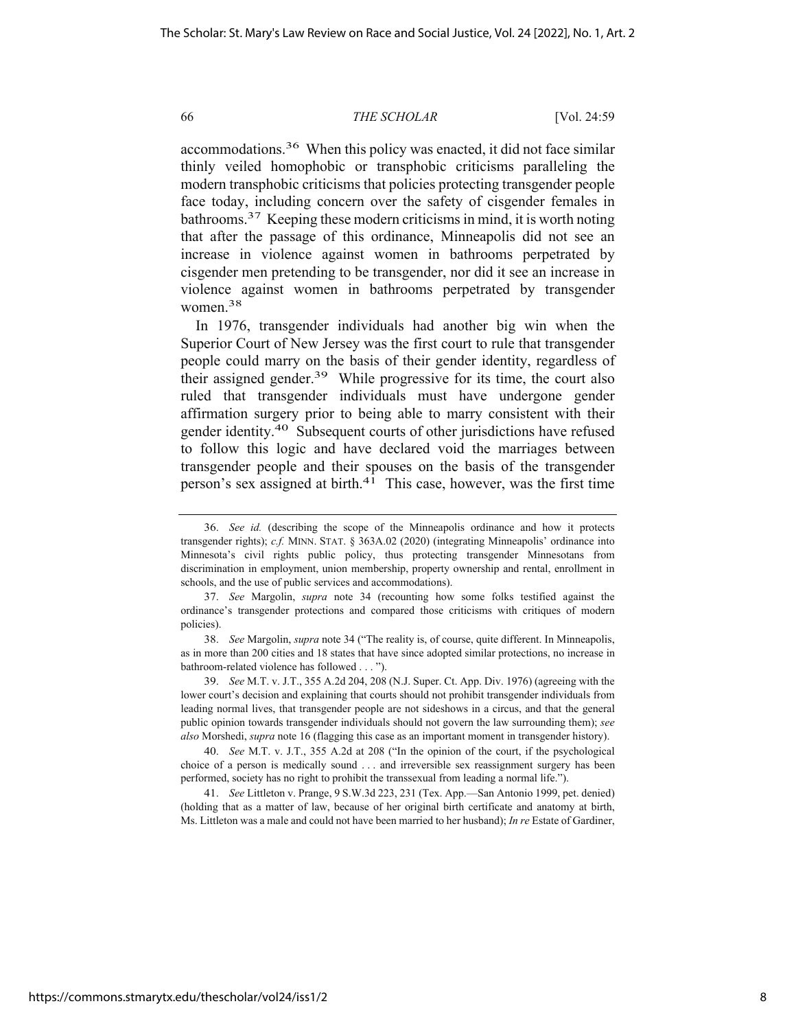accommodations.36 When this policy was enacted, it did not face similar thinly veiled homophobic or transphobic criticisms paralleling the modern transphobic criticisms that policies protecting transgender people face today, including concern over the safety of cisgender females in bathrooms.37 Keeping these modern criticisms in mind, it is worth noting that after the passage of this ordinance, Minneapolis did not see an increase in violence against women in bathrooms perpetrated by cisgender men pretending to be transgender, nor did it see an increase in violence against women in bathrooms perpetrated by transgender women.38

In 1976, transgender individuals had another big win when the Superior Court of New Jersey was the first court to rule that transgender people could marry on the basis of their gender identity, regardless of their assigned gender.<sup>39</sup> While progressive for its time, the court also ruled that transgender individuals must have undergone gender affirmation surgery prior to being able to marry consistent with their gender identity.40 Subsequent courts of other jurisdictions have refused to follow this logic and have declared void the marriages between transgender people and their spouses on the basis of the transgender person's sex assigned at birth.41 This case, however, was the first time

38. *See* Margolin, *supra* note 34 ("The reality is, of course, quite different. In Minneapolis, as in more than 200 cities and 18 states that have since adopted similar protections, no increase in bathroom-related violence has followed . . . ").

39. *See* M.T. v. J.T., 355 A.2d 204, 208 (N.J. Super. Ct. App. Div. 1976) (agreeing with the lower court's decision and explaining that courts should not prohibit transgender individuals from leading normal lives, that transgender people are not sideshows in a circus, and that the general public opinion towards transgender individuals should not govern the law surrounding them); *see also* Morshedi, *supra* note 16 (flagging this case as an important moment in transgender history).

40. *See* M.T. v. J.T., 355 A.2d at 208 ("In the opinion of the court, if the psychological choice of a person is medically sound . . . and irreversible sex reassignment surgery has been performed, society has no right to prohibit the transsexual from leading a normal life.").

41. *See* Littleton v. Prange, 9 S.W.3d 223, 231 (Tex. App.—San Antonio 1999, pet. denied) (holding that as a matter of law, because of her original birth certificate and anatomy at birth, Ms. Littleton was a male and could not have been married to her husband); *In re* Estate of Gardiner,

<sup>36.</sup> *See id.* (describing the scope of the Minneapolis ordinance and how it protects transgender rights); *c.f.* MINN. STAT. § 363A.02 (2020) (integrating Minneapolis' ordinance into Minnesota's civil rights public policy, thus protecting transgender Minnesotans from discrimination in employment, union membership, property ownership and rental, enrollment in schools, and the use of public services and accommodations).

<sup>37.</sup> *See* Margolin, *supra* note 34 (recounting how some folks testified against the ordinance's transgender protections and compared those criticisms with critiques of modern policies).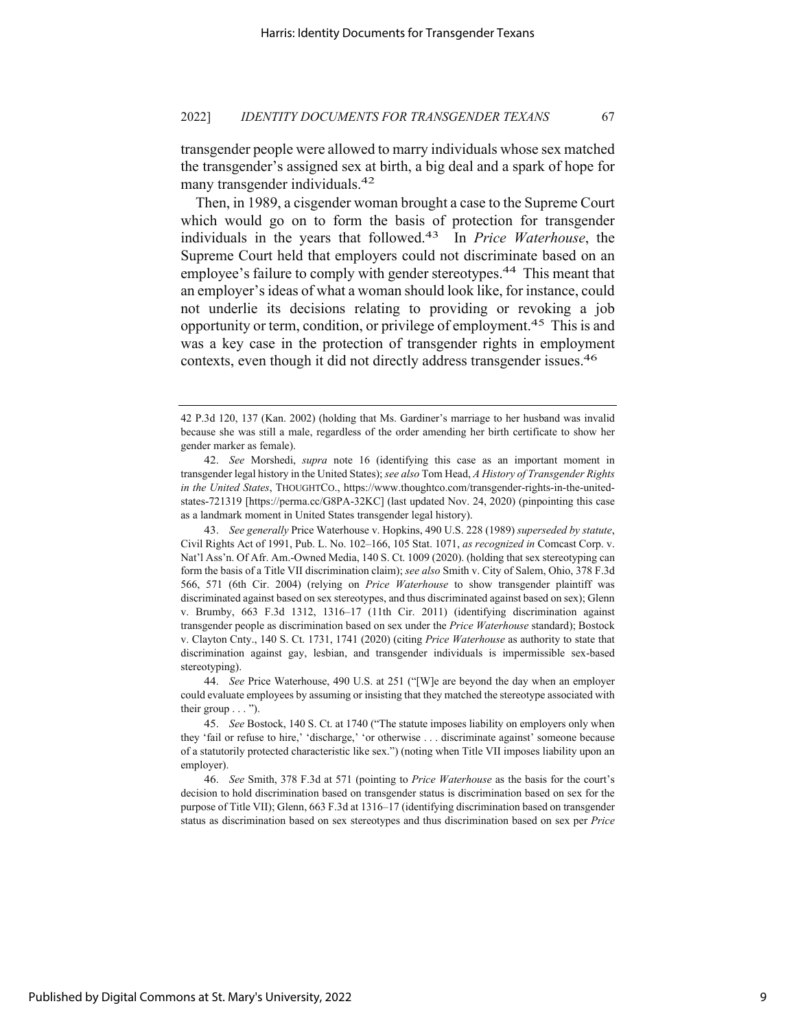transgender people were allowed to marry individuals whose sex matched the transgender's assigned sex at birth, a big deal and a spark of hope for many transgender individuals.42

Then, in 1989, a cisgender woman brought a case to the Supreme Court which would go on to form the basis of protection for transgender individuals in the years that followed.43 In *Price Waterhouse*, the Supreme Court held that employers could not discriminate based on an employee's failure to comply with gender stereotypes.<sup>44</sup> This meant that an employer's ideas of what a woman should look like, for instance, could not underlie its decisions relating to providing or revoking a job opportunity or term, condition, or privilege of employment.45 This is and was a key case in the protection of transgender rights in employment contexts, even though it did not directly address transgender issues.46

44. *See* Price Waterhouse, 490 U.S. at 251 ("[W]e are beyond the day when an employer could evaluate employees by assuming or insisting that they matched the stereotype associated with their group  $\dots$ ").

45. *See* Bostock, 140 S. Ct. at 1740 ("The statute imposes liability on employers only when they 'fail or refuse to hire,' 'discharge,' 'or otherwise . . . discriminate against' someone because of a statutorily protected characteristic like sex.") (noting when Title VII imposes liability upon an employer).

46. *See* Smith, 378 F.3d at 571 (pointing to *Price Waterhouse* as the basis for the court's decision to hold discrimination based on transgender status is discrimination based on sex for the purpose of Title VII); Glenn, 663 F.3d at 1316–17 (identifying discrimination based on transgender status as discrimination based on sex stereotypes and thus discrimination based on sex per *Price* 

<sup>42</sup> P.3d 120, 137 (Kan. 2002) (holding that Ms. Gardiner's marriage to her husband was invalid because she was still a male, regardless of the order amending her birth certificate to show her gender marker as female).

<sup>42.</sup> *See* Morshedi, *supra* note 16 (identifying this case as an important moment in transgender legal history in the United States); *see also* Tom Head, *A History of Transgender Rights in the United States*, THOUGHTCO., https://www.thoughtco.com/transgender-rights-in-the-unitedstates-721319 [https://perma.cc/G8PA-32KC] (last updated Nov. 24, 2020) (pinpointing this case as a landmark moment in United States transgender legal history).

<sup>43.</sup> *See generally* Price Waterhouse v. Hopkins, 490 U.S. 228 (1989) *superseded by statute*, Civil Rights Act of 1991, Pub. L. No. 102–166, 105 Stat. 1071, *as recognized in* Comcast Corp. v. Nat'l Ass'n. Of Afr. Am.-Owned Media, 140 S. Ct. 1009 (2020). (holding that sex stereotyping can form the basis of a Title VII discrimination claim); *see also* Smith v. City of Salem, Ohio, 378 F.3d 566, 571 (6th Cir. 2004) (relying on *Price Waterhouse* to show transgender plaintiff was discriminated against based on sex stereotypes, and thus discriminated against based on sex); Glenn v. Brumby, 663 F.3d 1312, 1316–17 (11th Cir. 2011) (identifying discrimination against transgender people as discrimination based on sex under the *Price Waterhouse* standard); Bostock v. Clayton Cnty., 140 S. Ct. 1731, 1741 (2020) (citing *Price Waterhouse* as authority to state that discrimination against gay, lesbian, and transgender individuals is impermissible sex-based stereotyping).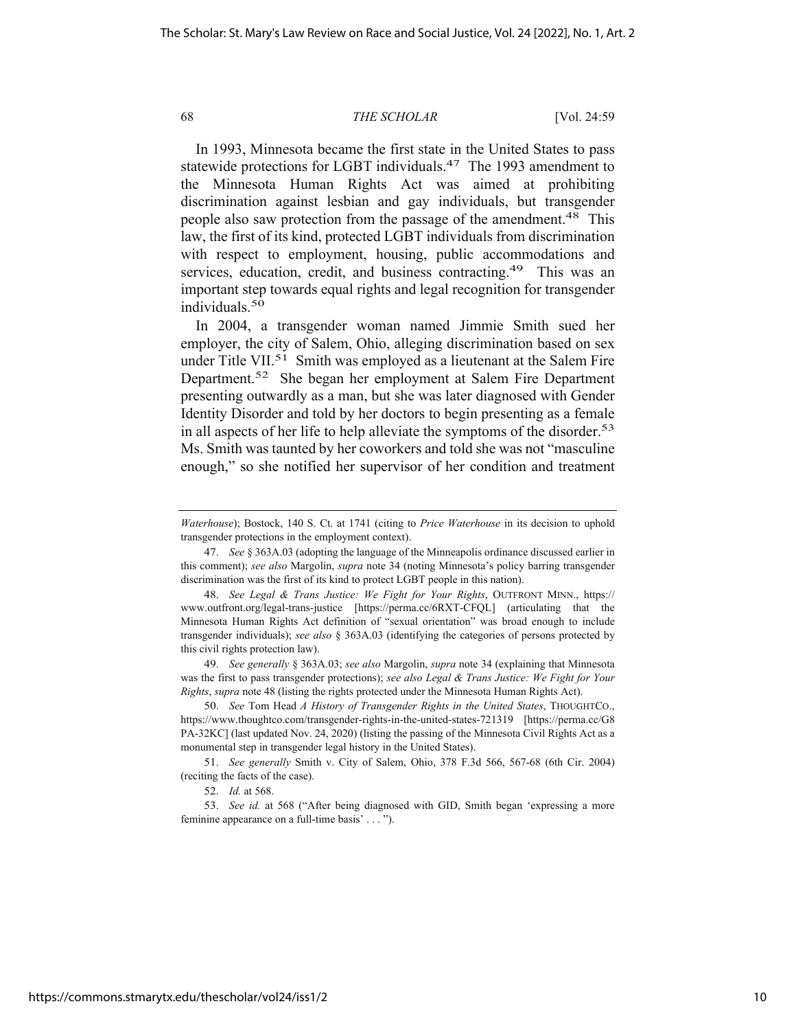In 1993, Minnesota became the first state in the United States to pass statewide protections for LGBT individuals.<sup>47</sup> The 1993 amendment to the Minnesota Human Rights Act was aimed at prohibiting discrimination against lesbian and gay individuals, but transgender people also saw protection from the passage of the amendment.<sup>48</sup> This law, the first of its kind, protected LGBT individuals from discrimination with respect to employment, housing, public accommodations and services, education, credit, and business contracting.<sup>49</sup> This was an important step towards equal rights and legal recognition for transgender individuals.50

In 2004, a transgender woman named Jimmie Smith sued her employer, the city of Salem, Ohio, alleging discrimination based on sex under Title VII.<sup>51</sup> Smith was employed as a lieutenant at the Salem Fire Department.52 She began her employment at Salem Fire Department presenting outwardly as a man, but she was later diagnosed with Gender Identity Disorder and told by her doctors to begin presenting as a female in all aspects of her life to help alleviate the symptoms of the disorder.<sup>53</sup> Ms. Smith was taunted by her coworkers and told she was not "masculine enough," so she notified her supervisor of her condition and treatment

49. *See generally* § 363A.03; *see also* Margolin, *supra* note 34 (explaining that Minnesota was the first to pass transgender protections); *see also Legal & Trans Justice: We Fight for Your Rights*, *supra* note 48 (listing the rights protected under the Minnesota Human Rights Act).

*Waterhouse*); Bostock, 140 S. Ct. at 1741 (citing to *Price Waterhouse* in its decision to uphold transgender protections in the employment context).

<sup>47.</sup> *See* § 363A.03 (adopting the language of the Minneapolis ordinance discussed earlier in this comment); *see also* Margolin, *supra* note 34 (noting Minnesota's policy barring transgender discrimination was the first of its kind to protect LGBT people in this nation).

<sup>48.</sup> *See Legal & Trans Justice: We Fight for Your Rights*, OUTFRONT MINN., https:// www.outfront.org/legal-trans-justice [https://perma.cc/6RXT-CFQL] (articulating that the Minnesota Human Rights Act definition of "sexual orientation" was broad enough to include transgender individuals); *see also* § 363A.03 (identifying the categories of persons protected by this civil rights protection law).

<sup>50.</sup> *See* Tom Head *A History of Transgender Rights in the United States*, THOUGHTCO., https://www.thoughtco.com/transgender-rights-in-the-united-states-721319 [https://perma.cc/G8 PA-32KC] (last updated Nov. 24, 2020) (listing the passing of the Minnesota Civil Rights Act as a monumental step in transgender legal history in the United States).

<sup>51.</sup> *See generally* Smith v. City of Salem, Ohio, 378 F.3d 566, 567-68 (6th Cir. 2004) (reciting the facts of the case).

<sup>52.</sup> *Id.* at 568.

<sup>53.</sup> *See id.* at 568 ("After being diagnosed with GID, Smith began 'expressing a more feminine appearance on a full-time basis' . . . ").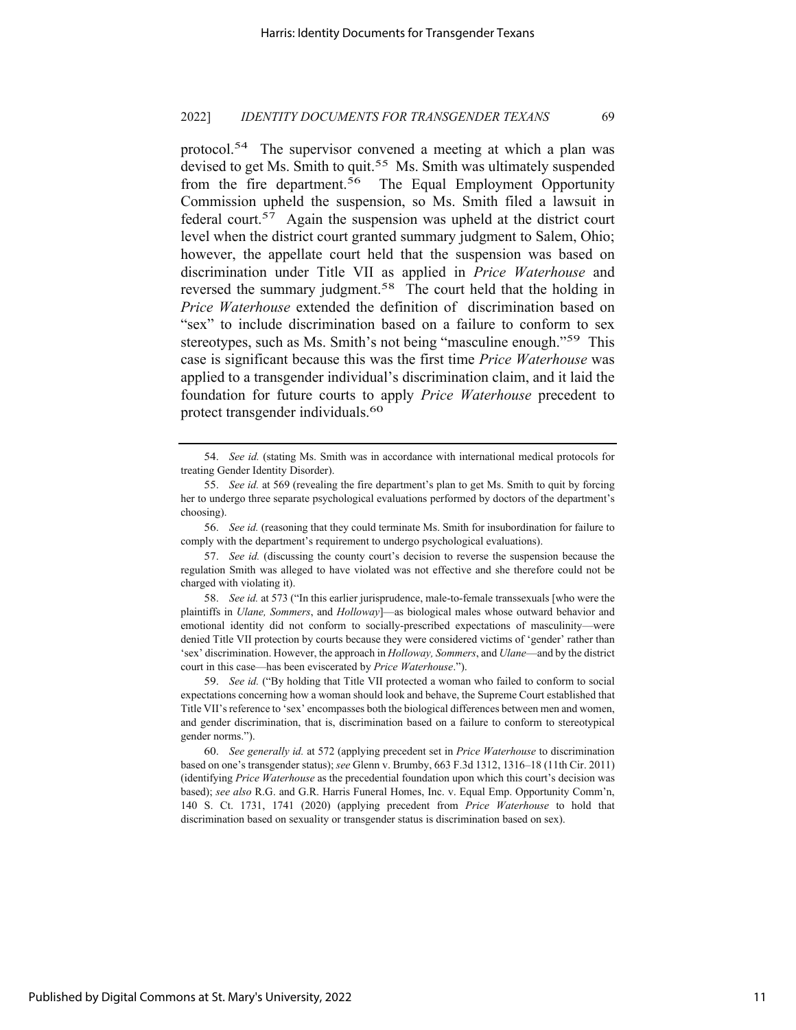protocol.54 The supervisor convened a meeting at which a plan was devised to get Ms. Smith to quit.<sup>55</sup> Ms. Smith was ultimately suspended from the fire department.<sup>56</sup> The Equal Employment Opportunity Commission upheld the suspension, so Ms. Smith filed a lawsuit in federal court.57 Again the suspension was upheld at the district court level when the district court granted summary judgment to Salem, Ohio; however, the appellate court held that the suspension was based on discrimination under Title VII as applied in *Price Waterhouse* and reversed the summary judgment.<sup>58</sup> The court held that the holding in *Price Waterhouse* extended the definition of discrimination based on "sex" to include discrimination based on a failure to conform to sex stereotypes, such as Ms. Smith's not being "masculine enough."<sup>59</sup> This case is significant because this was the first time *Price Waterhouse* was applied to a transgender individual's discrimination claim, and it laid the foundation for future courts to apply *Price Waterhouse* precedent to protect transgender individuals.60

Published by Digital Commons at St. Mary's University, 2022

<sup>54.</sup> *See id.* (stating Ms. Smith was in accordance with international medical protocols for treating Gender Identity Disorder).

<sup>55.</sup> *See id.* at 569 (revealing the fire department's plan to get Ms. Smith to quit by forcing her to undergo three separate psychological evaluations performed by doctors of the department's choosing).

<sup>56.</sup> *See id.* (reasoning that they could terminate Ms. Smith for insubordination for failure to comply with the department's requirement to undergo psychological evaluations).

<sup>57.</sup> *See id.* (discussing the county court's decision to reverse the suspension because the regulation Smith was alleged to have violated was not effective and she therefore could not be charged with violating it).

<sup>58.</sup> *See id.* at 573 ("In this earlier jurisprudence, male-to-female transsexuals [who were the plaintiffs in *Ulane, Sommers*, and *Holloway*]—as biological males whose outward behavior and emotional identity did not conform to socially-prescribed expectations of masculinity—were denied Title VII protection by courts because they were considered victims of 'gender' rather than 'sex' discrimination. However, the approach in *Holloway, Sommers*, and *Ulane*—and by the district court in this case—has been eviscerated by *Price Waterhouse*.").

<sup>59.</sup> *See id.* ("By holding that Title VII protected a woman who failed to conform to social expectations concerning how a woman should look and behave, the Supreme Court established that Title VII's reference to 'sex' encompasses both the biological differences between men and women, and gender discrimination, that is, discrimination based on a failure to conform to stereotypical gender norms.").

<sup>60.</sup> *See generally id.* at 572 (applying precedent set in *Price Waterhouse* to discrimination based on one's transgender status); *see* Glenn v. Brumby, 663 F.3d 1312, 1316–18 (11th Cir. 2011) (identifying *Price Waterhouse* as the precedential foundation upon which this court's decision was based); *see also* R.G. and G.R. Harris Funeral Homes, Inc. v. Equal Emp. Opportunity Comm'n, 140 S. Ct. 1731, 1741 (2020) (applying precedent from *Price Waterhouse* to hold that discrimination based on sexuality or transgender status is discrimination based on sex).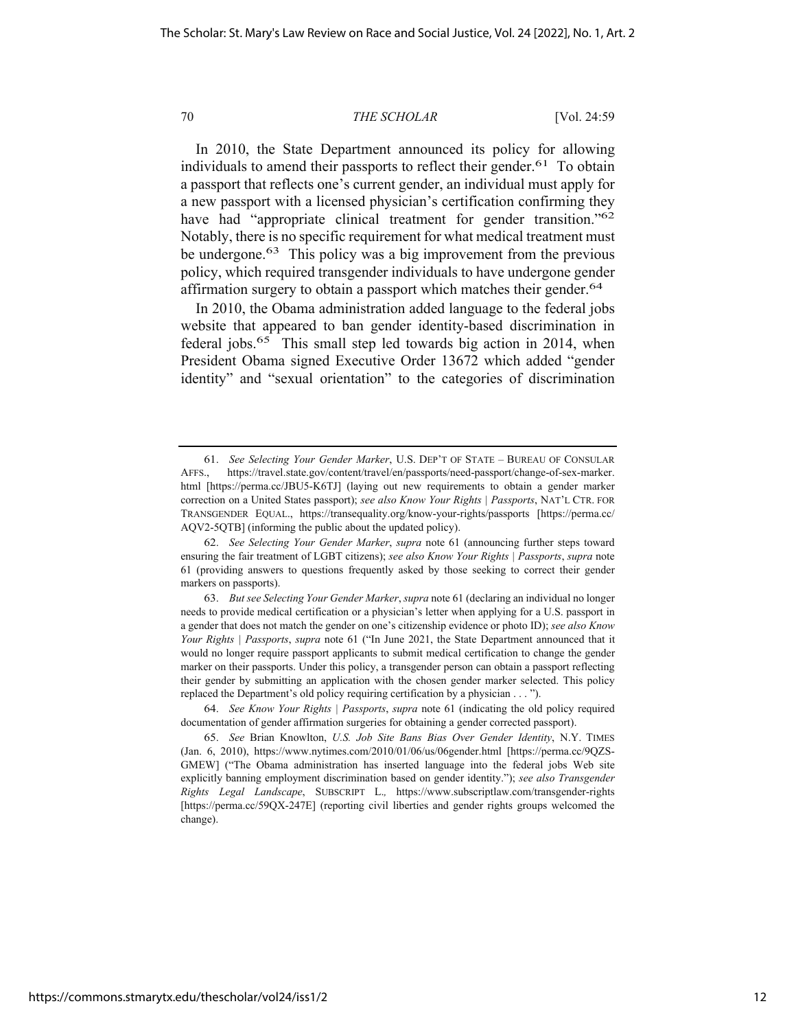In 2010, the State Department announced its policy for allowing individuals to amend their passports to reflect their gender.<sup>61</sup> To obtain a passport that reflects one's current gender, an individual must apply for a new passport with a licensed physician's certification confirming they have had "appropriate clinical treatment for gender transition."<sup>62</sup> Notably, there is no specific requirement for what medical treatment must be undergone.<sup>63</sup> This policy was a big improvement from the previous policy, which required transgender individuals to have undergone gender affirmation surgery to obtain a passport which matches their gender.<sup>64</sup>

In 2010, the Obama administration added language to the federal jobs website that appeared to ban gender identity-based discrimination in federal jobs.<sup>65</sup> This small step led towards big action in 2014, when President Obama signed Executive Order 13672 which added "gender identity" and "sexual orientation" to the categories of discrimination

<sup>61.</sup> *See Selecting Your Gender Marker*, U.S. DEP'T OF STATE – BUREAU OF CONSULAR AFFS., https://travel.state.gov/content/travel/en/passports/need-passport/change-of-sex-marker. html [https://perma.cc/JBU5-K6TJ] (laying out new requirements to obtain a gender marker correction on a United States passport); *see also Know Your Rights | Passports*, NAT'L CTR. FOR TRANSGENDER EQUAL., https://transequality.org/know-your-rights/passports [https://perma.cc/ AQV2-5QTB] (informing the public about the updated policy).

<sup>62.</sup> *See Selecting Your Gender Marker*, *supra* note 61 (announcing further steps toward ensuring the fair treatment of LGBT citizens); *see also Know Your Rights | Passports*, *supra* note 61 (providing answers to questions frequently asked by those seeking to correct their gender markers on passports).

<sup>63.</sup> *But see Selecting Your Gender Marker*, *supra* note 61 (declaring an individual no longer needs to provide medical certification or a physician's letter when applying for a U.S. passport in a gender that does not match the gender on one's citizenship evidence or photo ID); *see also Know Your Rights | Passports*, *supra* note 61 ("In June 2021, the State Department announced that it would no longer require passport applicants to submit medical certification to change the gender marker on their passports. Under this policy, a transgender person can obtain a passport reflecting their gender by submitting an application with the chosen gender marker selected. This policy replaced the Department's old policy requiring certification by a physician . . . ").

<sup>64.</sup> *See Know Your Rights | Passports*, *supra* note 61 (indicating the old policy required documentation of gender affirmation surgeries for obtaining a gender corrected passport).

<sup>65.</sup> *See* Brian Knowlton, *U.S. Job Site Bans Bias Over Gender Identity*, N.Y. TIMES (Jan. 6, 2010), https://www.nytimes.com/2010/01/06/us/06gender.html [https://perma.cc/9QZS-GMEW] ("The Obama administration has inserted language into the federal jobs Web site explicitly banning employment discrimination based on gender identity."); *see also Transgender Rights Legal Landscape*, SUBSCRIPT L.*,* https://www.subscriptlaw.com/transgender-rights [https://perma.cc/59QX-247E] (reporting civil liberties and gender rights groups welcomed the change).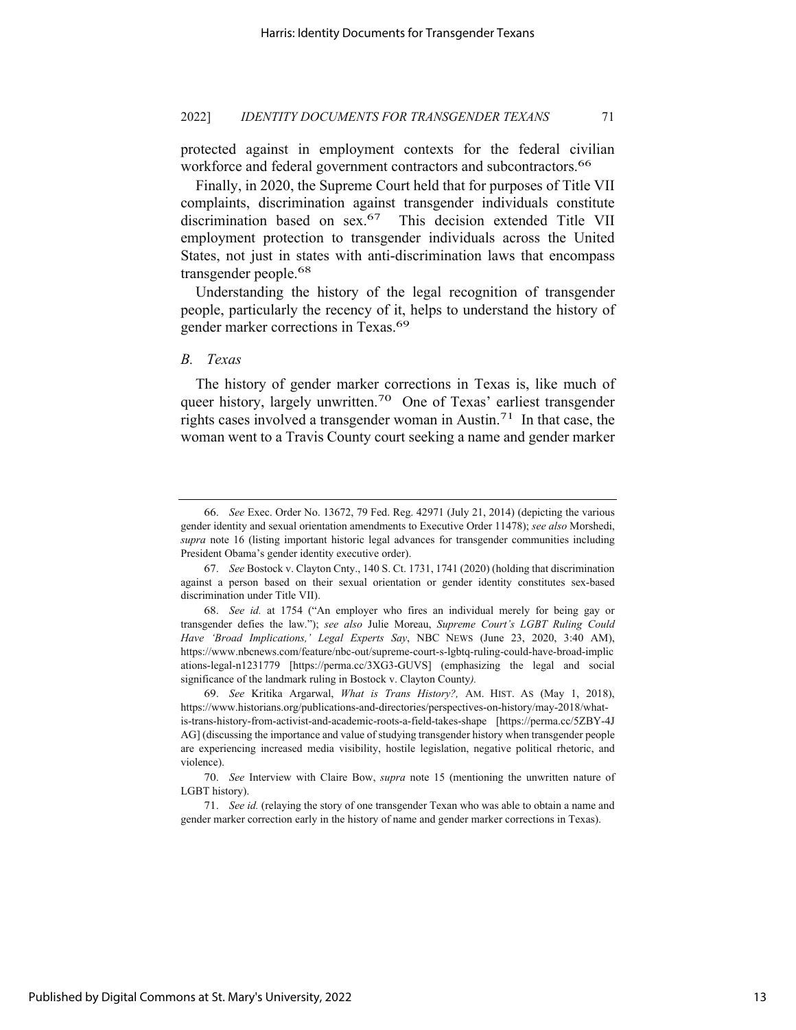protected against in employment contexts for the federal civilian workforce and federal government contractors and subcontractors.<sup>66</sup>

Finally, in 2020, the Supreme Court held that for purposes of Title VII complaints, discrimination against transgender individuals constitute discrimination based on sex.<sup>67</sup> This decision extended Title VII employment protection to transgender individuals across the United States, not just in states with anti-discrimination laws that encompass transgender people.68

Understanding the history of the legal recognition of transgender people, particularly the recency of it, helps to understand the history of gender marker corrections in Texas.69

# *B. Texas*

The history of gender marker corrections in Texas is, like much of queer history, largely unwritten.<sup>70</sup> One of Texas' earliest transgender rights cases involved a transgender woman in Austin.71In that case, the woman went to a Travis County court seeking a name and gender marker

<sup>66.</sup> *See* Exec. Order No. 13672, 79 Fed. Reg. 42971 (July 21, 2014) (depicting the various gender identity and sexual orientation amendments to Executive Order 11478); *see also* Morshedi, *supra* note 16 (listing important historic legal advances for transgender communities including President Obama's gender identity executive order).

<sup>67.</sup> *See* Bostock v. Clayton Cnty., 140 S. Ct. 1731, 1741 (2020) (holding that discrimination against a person based on their sexual orientation or gender identity constitutes sex-based discrimination under Title VII).

<sup>68.</sup> *See id.* at 1754 ("An employer who fires an individual merely for being gay or transgender defies the law."); *see also* Julie Moreau, *Supreme Court's LGBT Ruling Could Have 'Broad Implications,' Legal Experts Say*, NBC NEWS (June 23, 2020, 3:40 AM), https://www.nbcnews.com/feature/nbc-out/supreme-court-s-lgbtq-ruling-could-have-broad-implic ations-legal-n1231779 [https://perma.cc/3XG3-GUVS] (emphasizing the legal and social significance of the landmark ruling in Bostock v. Clayton County*).*

<sup>69.</sup> *See* Kritika Argarwal, *What is Trans History?,* AM. HIST. AS (May 1, 2018), https://www.historians.org/publications-and-directories/perspectives-on-history/may-2018/whatis-trans-history-from-activist-and-academic-roots-a-field-takes-shape [https://perma.cc/5ZBY-4J AG] (discussing the importance and value of studying transgender history when transgender people are experiencing increased media visibility, hostile legislation, negative political rhetoric, and violence).

<sup>70.</sup> *See* Interview with Claire Bow, *supra* note 15 (mentioning the unwritten nature of LGBT history).

<sup>71.</sup> *See id.* (relaying the story of one transgender Texan who was able to obtain a name and gender marker correction early in the history of name and gender marker corrections in Texas).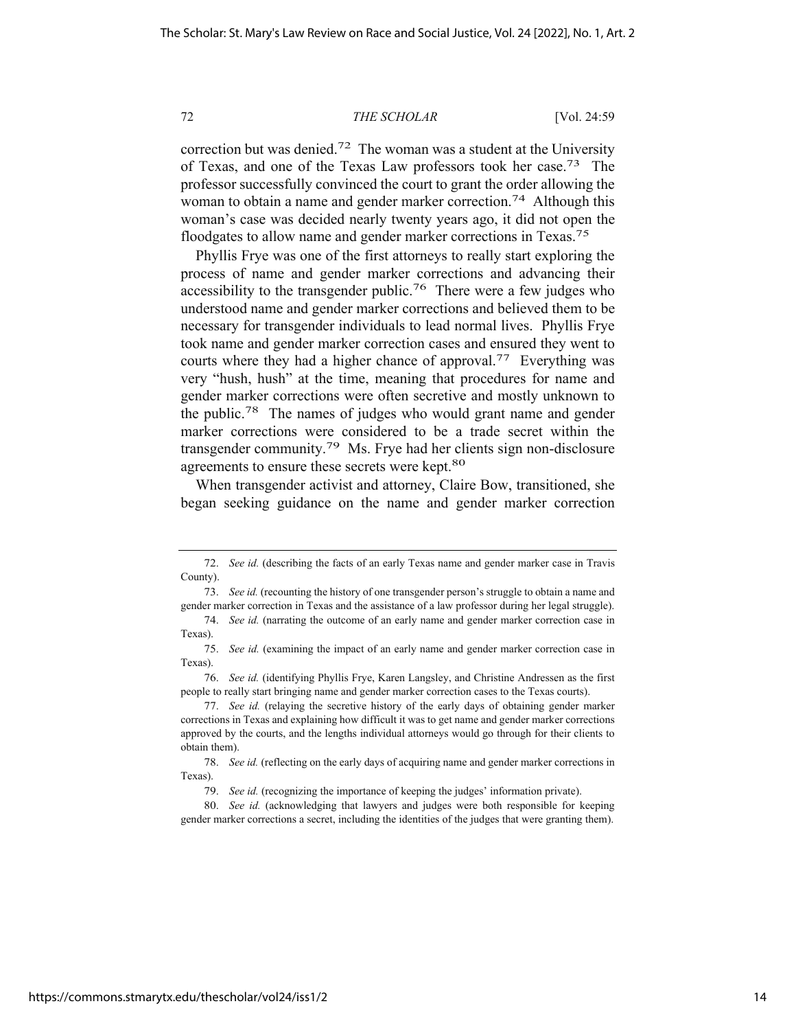correction but was denied.<sup>72</sup> The woman was a student at the University of Texas, and one of the Texas Law professors took her case.73 The professor successfully convinced the court to grant the order allowing the woman to obtain a name and gender marker correction.<sup>74</sup> Although this woman's case was decided nearly twenty years ago, it did not open the floodgates to allow name and gender marker corrections in Texas.75

Phyllis Frye was one of the first attorneys to really start exploring the process of name and gender marker corrections and advancing their accessibility to the transgender public.<sup>76</sup> There were a few judges who understood name and gender marker corrections and believed them to be necessary for transgender individuals to lead normal lives. Phyllis Frye took name and gender marker correction cases and ensured they went to courts where they had a higher chance of approval.77 Everything was very "hush, hush" at the time, meaning that procedures for name and gender marker corrections were often secretive and mostly unknown to the public.78 The names of judges who would grant name and gender marker corrections were considered to be a trade secret within the transgender community.79 Ms. Frye had her clients sign non-disclosure agreements to ensure these secrets were kept.<sup>80</sup>

When transgender activist and attorney, Claire Bow, transitioned, she began seeking guidance on the name and gender marker correction

<sup>72.</sup> *See id.* (describing the facts of an early Texas name and gender marker case in Travis County).

<sup>73.</sup> *See id.* (recounting the history of one transgender person's struggle to obtain a name and gender marker correction in Texas and the assistance of a law professor during her legal struggle).

<sup>74.</sup> *See id.* (narrating the outcome of an early name and gender marker correction case in Texas).

<sup>75.</sup> *See id.* (examining the impact of an early name and gender marker correction case in Texas).

<sup>76.</sup> *See id.* (identifying Phyllis Frye, Karen Langsley, and Christine Andressen as the first people to really start bringing name and gender marker correction cases to the Texas courts).

<sup>77.</sup> *See id.* (relaying the secretive history of the early days of obtaining gender marker corrections in Texas and explaining how difficult it was to get name and gender marker corrections approved by the courts, and the lengths individual attorneys would go through for their clients to obtain them).

<sup>78.</sup> *See id.* (reflecting on the early days of acquiring name and gender marker corrections in Texas).

<sup>79.</sup> *See id.* (recognizing the importance of keeping the judges' information private).

<sup>80.</sup> *See id.* (acknowledging that lawyers and judges were both responsible for keeping gender marker corrections a secret, including the identities of the judges that were granting them).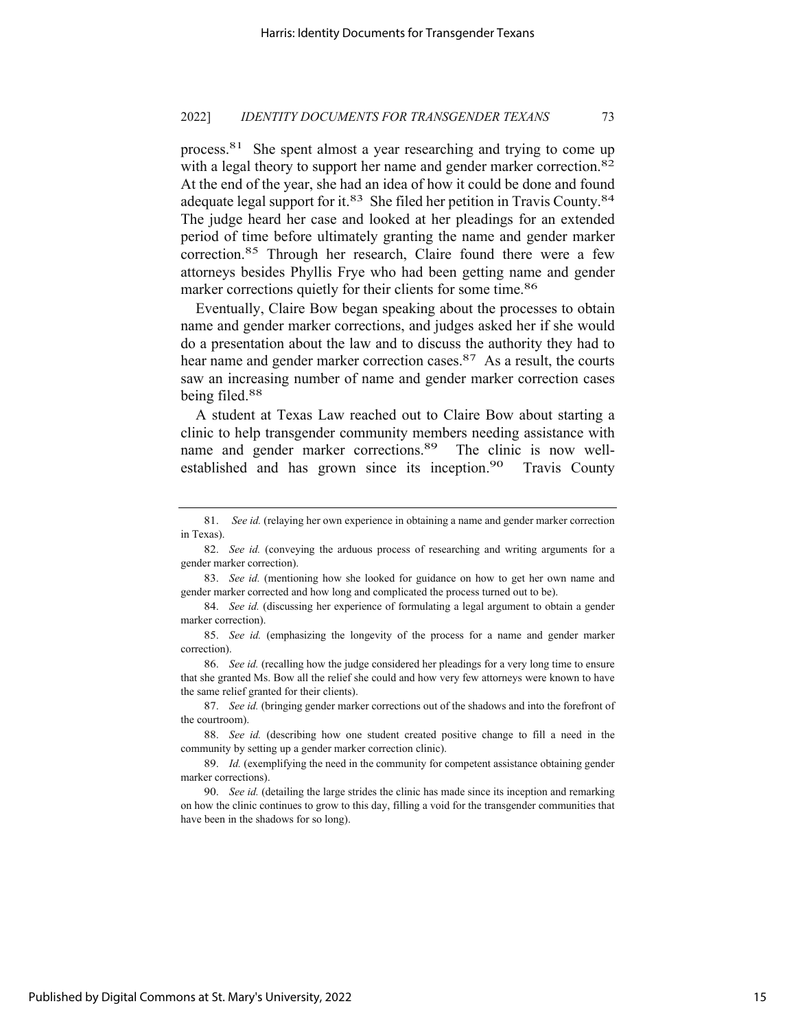process.81 She spent almost a year researching and trying to come up with a legal theory to support her name and gender marker correction.<sup>82</sup> At the end of the year, she had an idea of how it could be done and found adequate legal support for it.<sup>83</sup> She filed her petition in Travis County.<sup>84</sup> The judge heard her case and looked at her pleadings for an extended period of time before ultimately granting the name and gender marker correction.85 Through her research, Claire found there were a few attorneys besides Phyllis Frye who had been getting name and gender marker corrections quietly for their clients for some time.<sup>86</sup>

Eventually, Claire Bow began speaking about the processes to obtain name and gender marker corrections, and judges asked her if she would do a presentation about the law and to discuss the authority they had to hear name and gender marker correction cases.<sup>87</sup> As a result, the courts saw an increasing number of name and gender marker correction cases being filed.88

A student at Texas Law reached out to Claire Bow about starting a clinic to help transgender community members needing assistance with name and gender marker corrections.<sup>89</sup> The clinic is now wellestablished and has grown since its inception.<sup>90</sup> Travis County

<sup>81.</sup> *See id.* (relaying her own experience in obtaining a name and gender marker correction in Texas).

<sup>82.</sup> *See id.* (conveying the arduous process of researching and writing arguments for a gender marker correction).

<sup>83.</sup> *See id.* (mentioning how she looked for guidance on how to get her own name and gender marker corrected and how long and complicated the process turned out to be).

<sup>84.</sup> *See id.* (discussing her experience of formulating a legal argument to obtain a gender marker correction).

<sup>85.</sup> *See id.* (emphasizing the longevity of the process for a name and gender marker correction).

<sup>86.</sup> *See id.* (recalling how the judge considered her pleadings for a very long time to ensure that she granted Ms. Bow all the relief she could and how very few attorneys were known to have the same relief granted for their clients).

<sup>87.</sup> *See id.* (bringing gender marker corrections out of the shadows and into the forefront of the courtroom).

<sup>88.</sup> *See id.* (describing how one student created positive change to fill a need in the community by setting up a gender marker correction clinic).

<sup>89.</sup> *Id.* (exemplifying the need in the community for competent assistance obtaining gender marker corrections).

<sup>90.</sup> *See id.* (detailing the large strides the clinic has made since its inception and remarking on how the clinic continues to grow to this day, filling a void for the transgender communities that have been in the shadows for so long).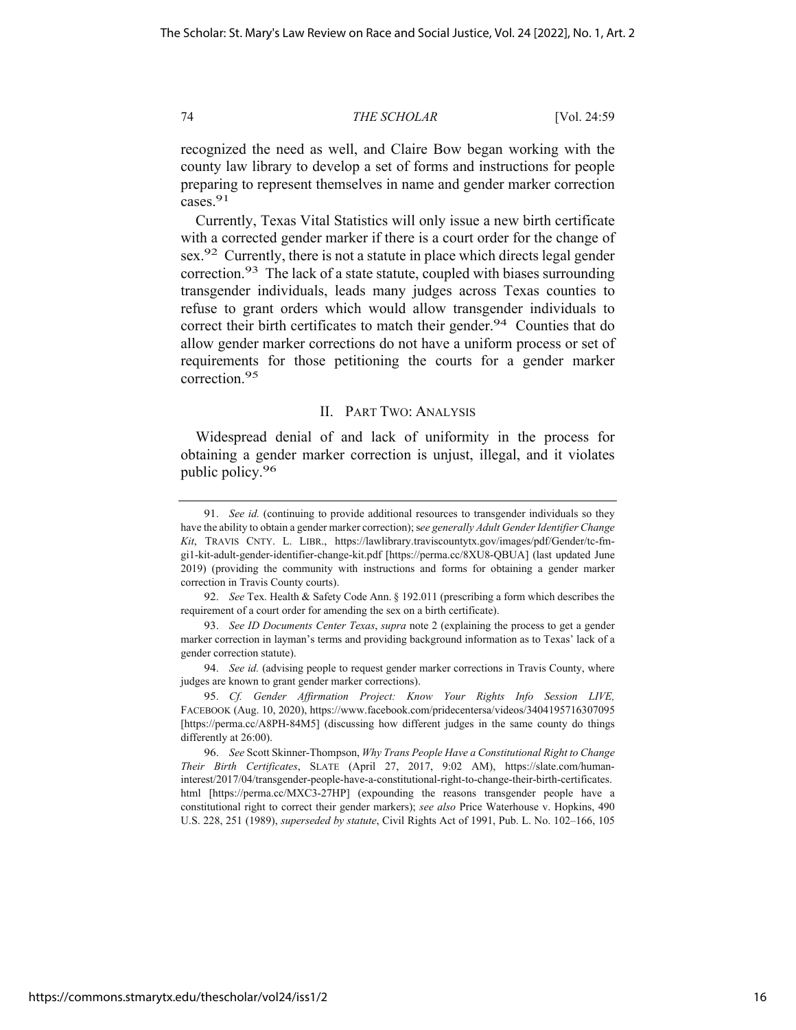recognized the need as well, and Claire Bow began working with the county law library to develop a set of forms and instructions for people preparing to represent themselves in name and gender marker correction cases.<sup>91</sup>

Currently, Texas Vital Statistics will only issue a new birth certificate with a corrected gender marker if there is a court order for the change of sex.<sup>92</sup> Currently, there is not a statute in place which directs legal gender correction.93 The lack of a state statute, coupled with biases surrounding transgender individuals, leads many judges across Texas counties to refuse to grant orders which would allow transgender individuals to correct their birth certificates to match their gender.<sup>94</sup> Counties that do allow gender marker corrections do not have a uniform process or set of requirements for those petitioning the courts for a gender marker correction.95

# II. PART TWO: ANALYSIS

Widespread denial of and lack of uniformity in the process for obtaining a gender marker correction is unjust, illegal, and it violates public policy.96

<sup>91.</sup> *See id.* (continuing to provide additional resources to transgender individuals so they have the ability to obtain a gender marker correction); s*ee generally Adult Gender Identifier Change Kit*, TRAVIS CNTY. L. LIBR., https://lawlibrary.traviscountytx.gov/images/pdf/Gender/tc-fmgi1-kit-adult-gender-identifier-change-kit.pdf [https://perma.cc/8XU8-QBUA] (last updated June 2019) (providing the community with instructions and forms for obtaining a gender marker correction in Travis County courts).

<sup>92.</sup> *See* Tex. Health & Safety Code Ann. § 192.011 (prescribing a form which describes the requirement of a court order for amending the sex on a birth certificate).

<sup>93.</sup> *See ID Documents Center Texas*, *supra* note 2 (explaining the process to get a gender marker correction in layman's terms and providing background information as to Texas' lack of a gender correction statute).

<sup>94.</sup> *See id.* (advising people to request gender marker corrections in Travis County, where judges are known to grant gender marker corrections).

<sup>95.</sup> *Cf. Gender Affirmation Project: Know Your Rights Info Session LIVE,*  FACEBOOK (Aug. 10, 2020), https://www.facebook.com/pridecentersa/videos/3404195716307095 [https://perma.cc/A8PH-84M5] (discussing how different judges in the same county do things differently at 26:00).

<sup>96.</sup> *See* Scott Skinner-Thompson, *Why Trans People Have a Constitutional Right to Change Their Birth Certificates*, SLATE (April 27, 2017, 9:02 AM), https://slate.com/humaninterest/2017/04/transgender-people-have-a-constitutional-right-to-change-their-birth-certificates. html [https://perma.cc/MXC3-27HP] (expounding the reasons transgender people have a constitutional right to correct their gender markers); *see also* Price Waterhouse v. Hopkins, 490 U.S. 228, 251 (1989), *superseded by statute*, Civil Rights Act of 1991, Pub. L. No. 102–166, 105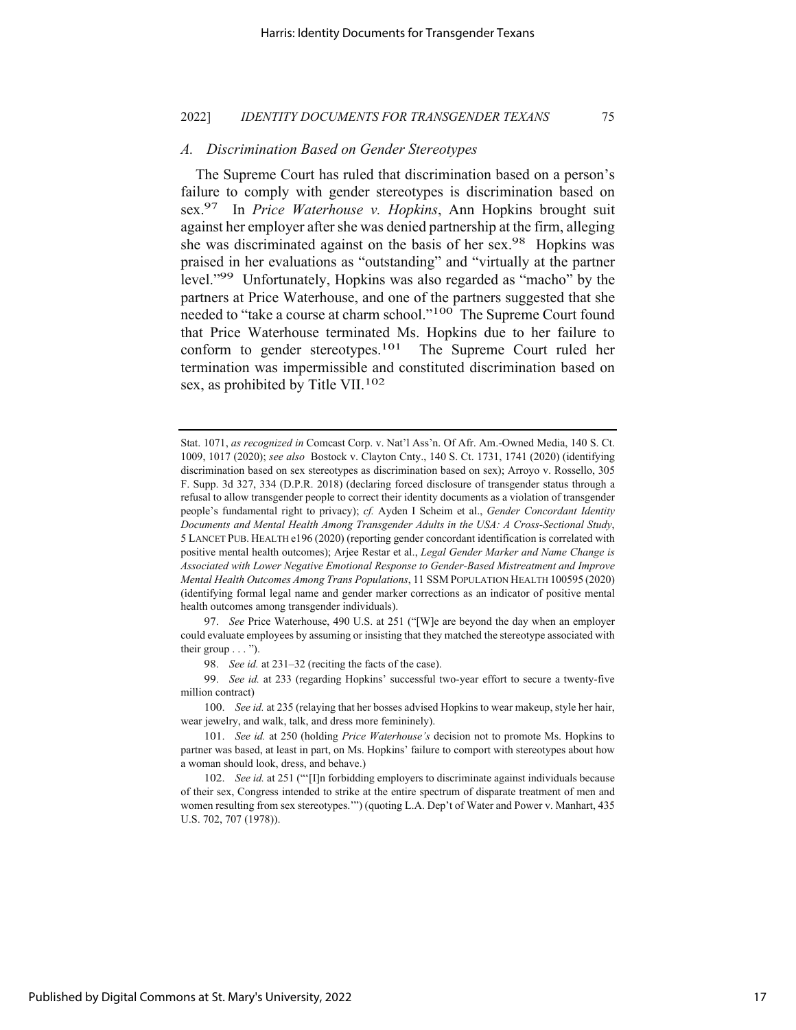# *A. Discrimination Based on Gender Stereotypes*

The Supreme Court has ruled that discrimination based on a person's failure to comply with gender stereotypes is discrimination based on sex.97 In *Price Waterhouse v. Hopkins*, Ann Hopkins brought suit against her employer after she was denied partnership at the firm, alleging she was discriminated against on the basis of her sex.<sup>98</sup> Hopkins was praised in her evaluations as "outstanding" and "virtually at the partner level."99 Unfortunately, Hopkins was also regarded as "macho" by the partners at Price Waterhouse, and one of the partners suggested that she needed to "take a course at charm school."<sup>100</sup> The Supreme Court found that Price Waterhouse terminated Ms. Hopkins due to her failure to conform to gender stereotypes.101 The Supreme Court ruled her termination was impermissible and constituted discrimination based on sex, as prohibited by Title VII.<sup>102</sup>

97. *See* Price Waterhouse, 490 U.S. at 251 ("[W]e are beyond the day when an employer could evaluate employees by assuming or insisting that they matched the stereotype associated with their group  $\dots$ ").

98. *See id.* at 231–32 (reciting the facts of the case).

99. *See id.* at 233 (regarding Hopkins' successful two-year effort to secure a twenty-five million contract)

100. *See id.* at 235 (relaying that her bosses advised Hopkins to wear makeup, style her hair, wear jewelry, and walk, talk, and dress more femininely).

101. *See id.* at 250 (holding *Price Waterhouse's* decision not to promote Ms. Hopkins to partner was based, at least in part, on Ms. Hopkins' failure to comport with stereotypes about how a woman should look, dress, and behave.)

102. *See id.* at 251 ("'[I]n forbidding employers to discriminate against individuals because of their sex, Congress intended to strike at the entire spectrum of disparate treatment of men and women resulting from sex stereotypes.'") (quoting L.A. Dep't of Water and Power v. Manhart, 435 U.S. 702, 707 (1978)).

Stat. 1071, *as recognized in* Comcast Corp. v. Nat'l Ass'n. Of Afr. Am.-Owned Media, 140 S. Ct. 1009, 1017 (2020); *see also* Bostock v. Clayton Cnty., 140 S. Ct. 1731, 1741 (2020) (identifying discrimination based on sex stereotypes as discrimination based on sex); Arroyo v. Rossello, 305 F. Supp. 3d 327, 334 (D.P.R. 2018) (declaring forced disclosure of transgender status through a refusal to allow transgender people to correct their identity documents as a violation of transgender people's fundamental right to privacy); *cf.* Ayden I Scheim et al., *Gender Concordant Identity Documents and Mental Health Among Transgender Adults in the USA: A Cross-Sectional Study*, 5 LANCET PUB. HEALTH e196 (2020) (reporting gender concordant identification is correlated with positive mental health outcomes); Arjee Restar et al., *Legal Gender Marker and Name Change is Associated with Lower Negative Emotional Response to Gender-Based Mistreatment and Improve Mental Health Outcomes Among Trans Populations*, 11 SSM POPULATION HEALTH 100595 (2020) (identifying formal legal name and gender marker corrections as an indicator of positive mental health outcomes among transgender individuals).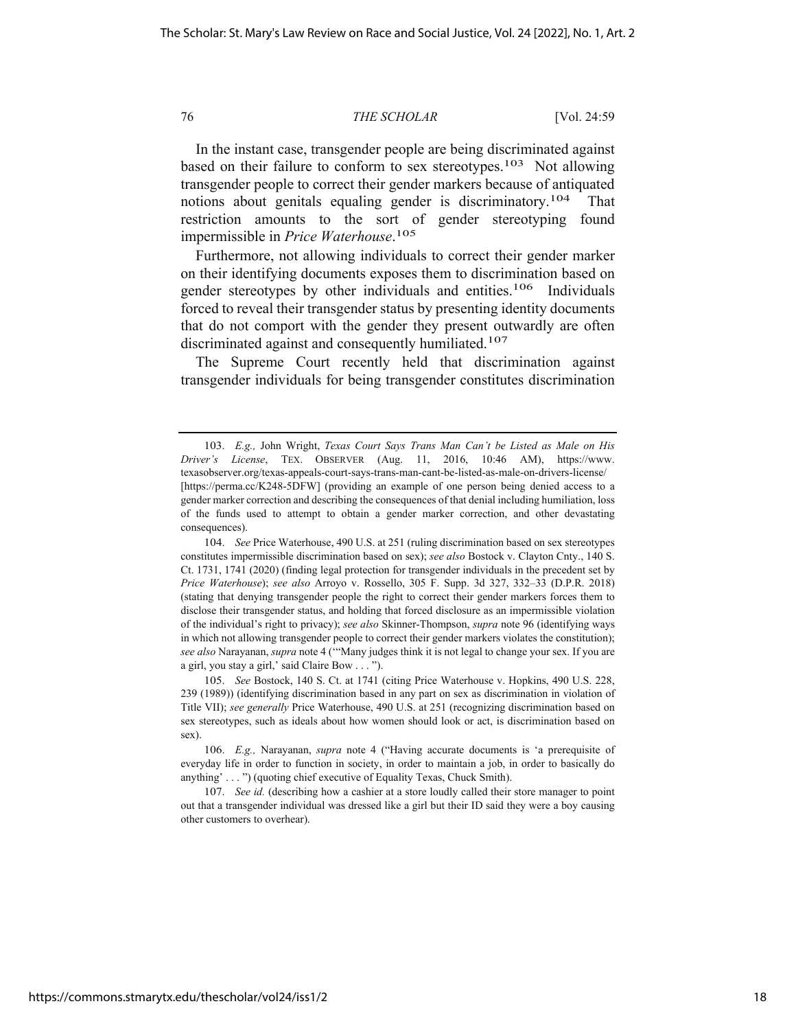In the instant case, transgender people are being discriminated against based on their failure to conform to sex stereotypes.<sup>103</sup> Not allowing transgender people to correct their gender markers because of antiquated notions about genitals equaling gender is discriminatory.<sup>104</sup> That restriction amounts to the sort of gender stereotyping found impermissible in *Price Waterhouse*. 105

Furthermore, not allowing individuals to correct their gender marker on their identifying documents exposes them to discrimination based on gender stereotypes by other individuals and entities.106 Individuals forced to reveal their transgender status by presenting identity documents that do not comport with the gender they present outwardly are often discriminated against and consequently humiliated.<sup>107</sup>

The Supreme Court recently held that discrimination against transgender individuals for being transgender constitutes discrimination

<sup>103.</sup> *E.g.,* John Wright, *Texas Court Says Trans Man Can't be Listed as Male on His Driver's License*, TEX. OBSERVER (Aug. 11, 2016, 10:46 AM), https://www. texasobserver.org/texas-appeals-court-says-trans-man-cant-be-listed-as-male-on-drivers-license/ [https://perma.cc/K248-5DFW] (providing an example of one person being denied access to a gender marker correction and describing the consequences of that denial including humiliation, loss of the funds used to attempt to obtain a gender marker correction, and other devastating consequences).

<sup>104.</sup> *See* Price Waterhouse, 490 U.S. at 251 (ruling discrimination based on sex stereotypes constitutes impermissible discrimination based on sex); *see also* Bostock v. Clayton Cnty., 140 S. Ct. 1731, 1741 (2020) (finding legal protection for transgender individuals in the precedent set by *Price Waterhouse*); *see also* Arroyo v. Rossello, 305 F. Supp. 3d 327, 332–33 (D.P.R. 2018) (stating that denying transgender people the right to correct their gender markers forces them to disclose their transgender status, and holding that forced disclosure as an impermissible violation of the individual's right to privacy); *see also* Skinner-Thompson, *supra* note 96 (identifying ways in which not allowing transgender people to correct their gender markers violates the constitution); *see also* Narayanan, *supra* note 4 ('"Many judges think it is not legal to change your sex. If you are a girl, you stay a girl,' said Claire Bow . . . ").

<sup>105.</sup> *See* Bostock, 140 S. Ct. at 1741 (citing Price Waterhouse v. Hopkins, 490 U.S. 228, 239 (1989)) (identifying discrimination based in any part on sex as discrimination in violation of Title VII); *see generally* Price Waterhouse, 490 U.S. at 251 (recognizing discrimination based on sex stereotypes, such as ideals about how women should look or act, is discrimination based on sex).

<sup>106.</sup> *E.g.,* Narayanan, *supra* note 4 ("Having accurate documents is 'a prerequisite of everyday life in order to function in society, in order to maintain a job, in order to basically do anything' . . . ") (quoting chief executive of Equality Texas, Chuck Smith).

<sup>107.</sup> *See id.* (describing how a cashier at a store loudly called their store manager to point out that a transgender individual was dressed like a girl but their ID said they were a boy causing other customers to overhear).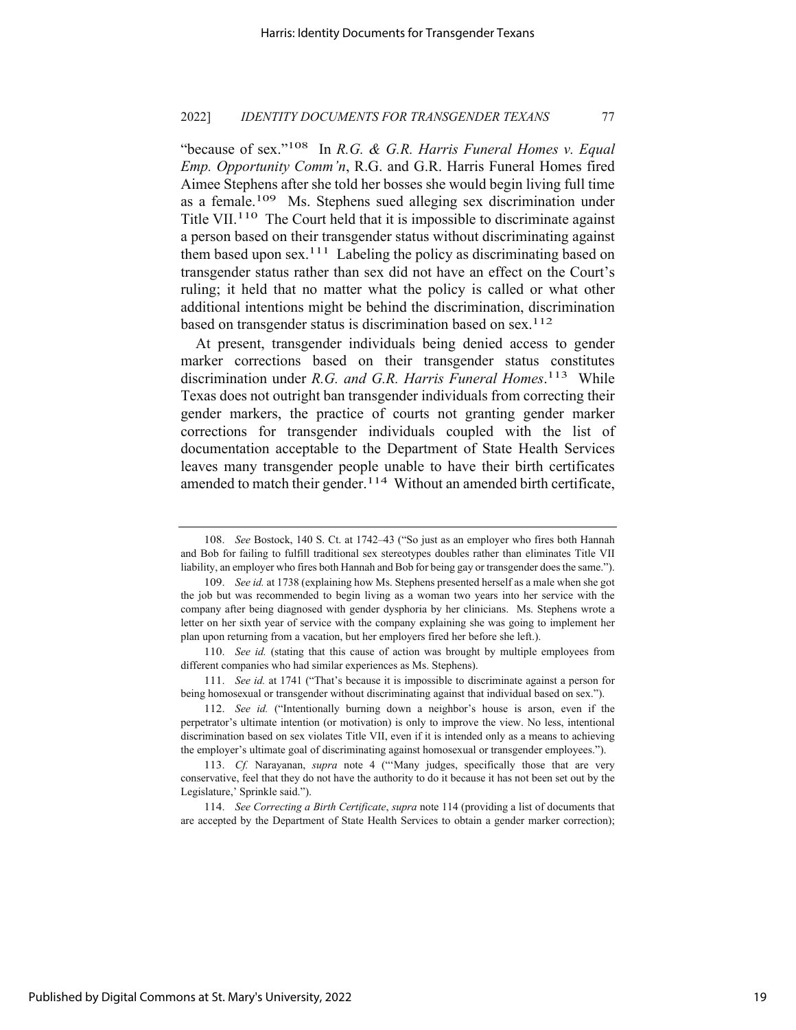"because of sex."108 In *R.G. & G.R. Harris Funeral Homes v. Equal Emp. Opportunity Comm'n*, R.G. and G.R. Harris Funeral Homes fired Aimee Stephens after she told her bosses she would begin living full time as a female.109 Ms. Stephens sued alleging sex discrimination under Title VII.<sup>110</sup> The Court held that it is impossible to discriminate against a person based on their transgender status without discriminating against them based upon sex.<sup>111</sup> Labeling the policy as discriminating based on transgender status rather than sex did not have an effect on the Court's ruling; it held that no matter what the policy is called or what other additional intentions might be behind the discrimination, discrimination based on transgender status is discrimination based on sex.<sup>112</sup>

At present, transgender individuals being denied access to gender marker corrections based on their transgender status constitutes discrimination under *R.G. and G.R. Harris Funeral Homes*. 113 While Texas does not outright ban transgender individuals from correcting their gender markers, the practice of courts not granting gender marker corrections for transgender individuals coupled with the list of documentation acceptable to the Department of State Health Services leaves many transgender people unable to have their birth certificates amended to match their gender. $114$  Without an amended birth certificate,

110. *See id.* (stating that this cause of action was brought by multiple employees from different companies who had similar experiences as Ms. Stephens).

111. *See id.* at 1741 ("That's because it is impossible to discriminate against a person for being homosexual or transgender without discriminating against that individual based on sex.").

114. *See Correcting a Birth Certificate*, *supra* note 114 (providing a list of documents that are accepted by the Department of State Health Services to obtain a gender marker correction);

<sup>108.</sup> *See* Bostock, 140 S. Ct. at 1742–43 ("So just as an employer who fires both Hannah and Bob for failing to fulfill traditional sex stereotypes doubles rather than eliminates Title VII liability, an employer who fires both Hannah and Bob for being gay or transgender does the same.").

<sup>109.</sup> *See id.* at 1738 (explaining how Ms. Stephens presented herself as a male when she got the job but was recommended to begin living as a woman two years into her service with the company after being diagnosed with gender dysphoria by her clinicians. Ms. Stephens wrote a letter on her sixth year of service with the company explaining she was going to implement her plan upon returning from a vacation, but her employers fired her before she left.).

<sup>112.</sup> *See id.* ("Intentionally burning down a neighbor's house is arson, even if the perpetrator's ultimate intention (or motivation) is only to improve the view. No less, intentional discrimination based on sex violates Title VII, even if it is intended only as a means to achieving the employer's ultimate goal of discriminating against homosexual or transgender employees.").

<sup>113.</sup> *Cf.* Narayanan, *supra* note 4 ("'Many judges, specifically those that are very conservative, feel that they do not have the authority to do it because it has not been set out by the Legislature,' Sprinkle said.").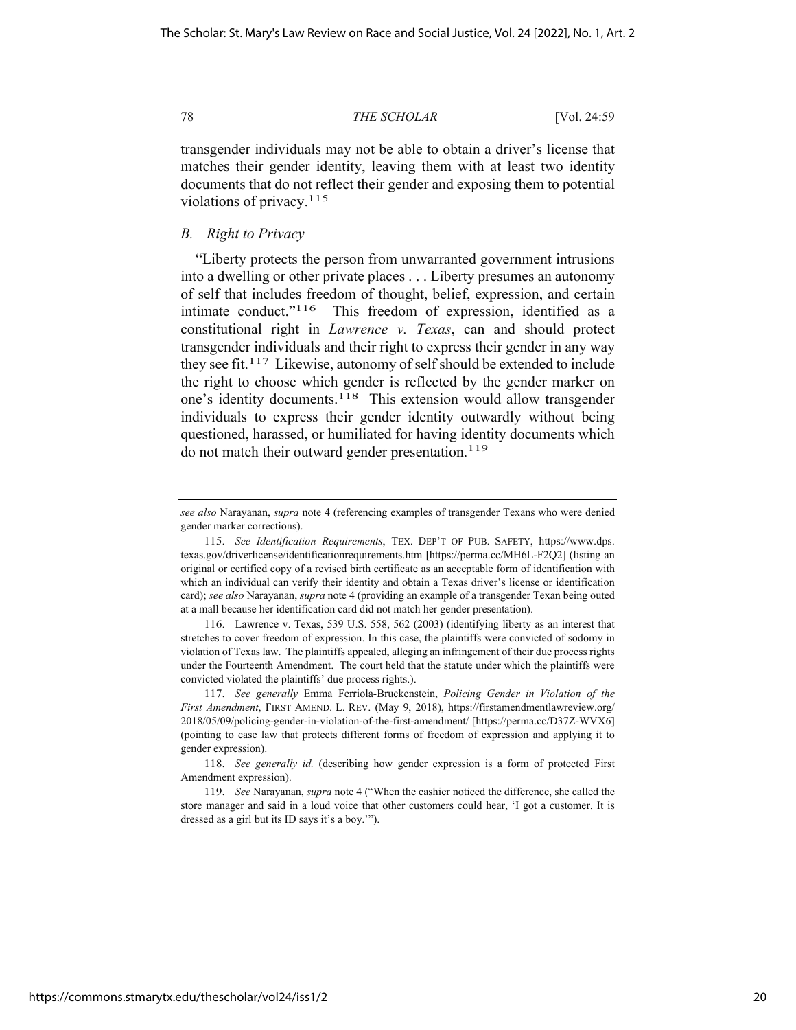transgender individuals may not be able to obtain a driver's license that matches their gender identity, leaving them with at least two identity documents that do not reflect their gender and exposing them to potential violations of privacy.115

# *B. Right to Privacy*

"Liberty protects the person from unwarranted government intrusions into a dwelling or other private places . . . Liberty presumes an autonomy of self that includes freedom of thought, belief, expression, and certain intimate conduct."116 This freedom of expression, identified as a constitutional right in *Lawrence v. Texas*, can and should protect transgender individuals and their right to express their gender in any way they see fit.<sup>117</sup> Likewise, autonomy of self should be extended to include the right to choose which gender is reflected by the gender marker on one's identity documents.118 This extension would allow transgender individuals to express their gender identity outwardly without being questioned, harassed, or humiliated for having identity documents which do not match their outward gender presentation.<sup>119</sup>

116. Lawrence v. Texas, 539 U.S. 558, 562 (2003) (identifying liberty as an interest that stretches to cover freedom of expression. In this case, the plaintiffs were convicted of sodomy in violation of Texas law. The plaintiffs appealed, alleging an infringement of their due process rights under the Fourteenth Amendment. The court held that the statute under which the plaintiffs were convicted violated the plaintiffs' due process rights.).

*see also* Narayanan, *supra* note 4 (referencing examples of transgender Texans who were denied gender marker corrections).

<sup>115.</sup> *See Identification Requirements*, TEX. DEP'T OF PUB. SAFETY, https://www.dps. texas.gov/driverlicense/identificationrequirements.htm [https://perma.cc/MH6L-F2Q2] (listing an original or certified copy of a revised birth certificate as an acceptable form of identification with which an individual can verify their identity and obtain a Texas driver's license or identification card); *see also* Narayanan, *supra* note 4 (providing an example of a transgender Texan being outed at a mall because her identification card did not match her gender presentation).

<sup>117.</sup> *See generally* Emma Ferriola-Bruckenstein, *Policing Gender in Violation of the First Amendment*, FIRST AMEND. L. REV. (May 9, 2018), https://firstamendmentlawreview.org/ 2018/05/09/policing-gender-in-violation-of-the-first-amendment/ [https://perma.cc/D37Z-WVX6] (pointing to case law that protects different forms of freedom of expression and applying it to gender expression).

<sup>118.</sup> *See generally id.* (describing how gender expression is a form of protected First Amendment expression).

<sup>119.</sup> *See* Narayanan, *supra* note 4 ("When the cashier noticed the difference, she called the store manager and said in a loud voice that other customers could hear, 'I got a customer. It is dressed as a girl but its ID says it's a boy.'").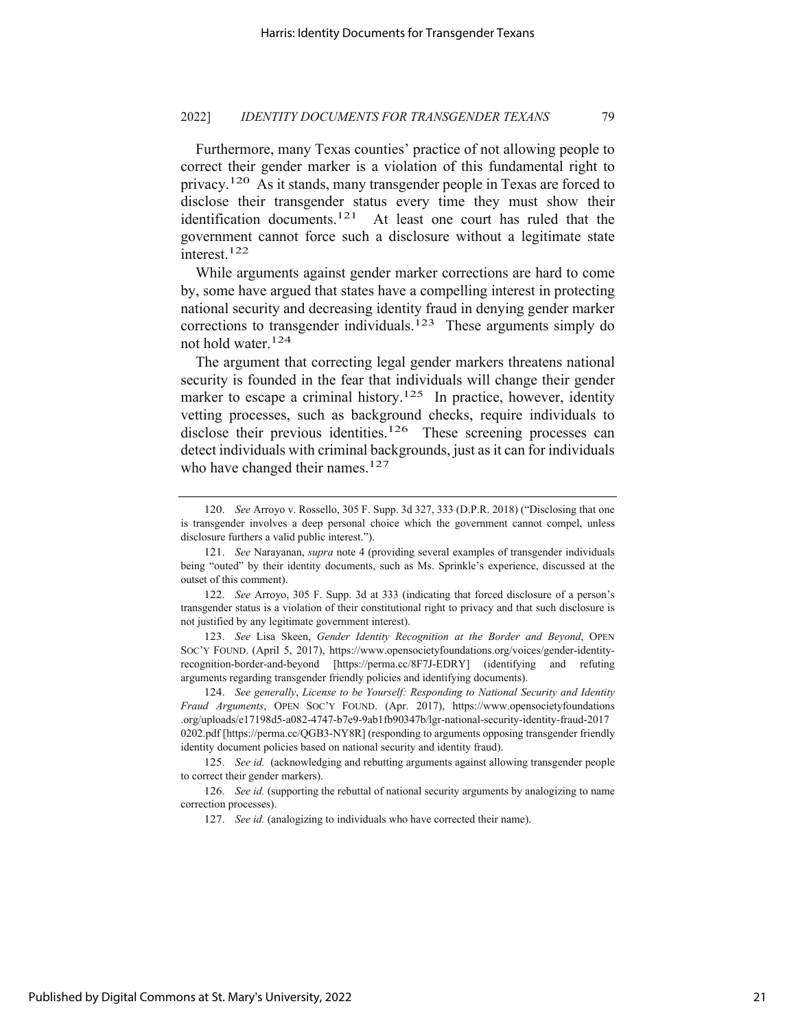Furthermore, many Texas counties' practice of not allowing people to correct their gender marker is a violation of this fundamental right to privacy.<sup>120</sup> As it stands, many transgender people in Texas are forced to disclose their transgender status every time they must show their identification documents.<sup>121</sup> At least one court has ruled that the government cannot force such a disclosure without a legitimate state interest.122

While arguments against gender marker corrections are hard to come by, some have argued that states have a compelling interest in protecting national security and decreasing identity fraud in denying gender marker corrections to transgender individuals.123 These arguments simply do not hold water.124

The argument that correcting legal gender markers threatens national security is founded in the fear that individuals will change their gender marker to escape a criminal history.<sup>125</sup> In practice, however, identity vetting processes, such as background checks, require individuals to disclose their previous identities.<sup>126</sup> These screening processes can detect individuals with criminal backgrounds, just as it can for individuals who have changed their names. $127$ 

123. *See* Lisa Skeen, *Gender Identity Recognition at the Border and Beyond*, OPEN SOC'Y FOUND. (April 5, 2017), https://www.opensocietyfoundations.org/voices/gender-identityrecognition-border-and-beyond [https://perma.cc/8F7J-EDRY] (identifying and refuting arguments regarding transgender friendly policies and identifying documents).

<sup>120.</sup> *See* Arroyo v. Rossello, 305 F. Supp. 3d 327, 333 (D.P.R. 2018) ("Disclosing that one is transgender involves a deep personal choice which the government cannot compel, unless disclosure furthers a valid public interest.").

<sup>121.</sup> *See* Narayanan, *supra* note 4 (providing several examples of transgender individuals being "outed" by their identity documents, such as Ms. Sprinkle's experience, discussed at the outset of this comment).

<sup>122.</sup> *See* Arroyo, 305 F. Supp. 3d at 333 (indicating that forced disclosure of a person's transgender status is a violation of their constitutional right to privacy and that such disclosure is not justified by any legitimate government interest).

<sup>124.</sup> *See generally*, *License to be Yourself: Responding to National Security and Identity Fraud Arguments*, OPEN SOC'Y FOUND. (Apr. 2017), https://www.opensocietyfoundations .org/uploads/e17198d5-a082-4747-b7e9-9ab1fb90347b/lgr-national-security-identity-fraud-2017 0202.pdf [https://perma.cc/QGB3-NY8R] (responding to arguments opposing transgender friendly identity document policies based on national security and identity fraud).

<sup>125.</sup> *See id.* (acknowledging and rebutting arguments against allowing transgender people to correct their gender markers).

<sup>126.</sup> *See id.* (supporting the rebuttal of national security arguments by analogizing to name correction processes).

<sup>127.</sup> *See id.* (analogizing to individuals who have corrected their name).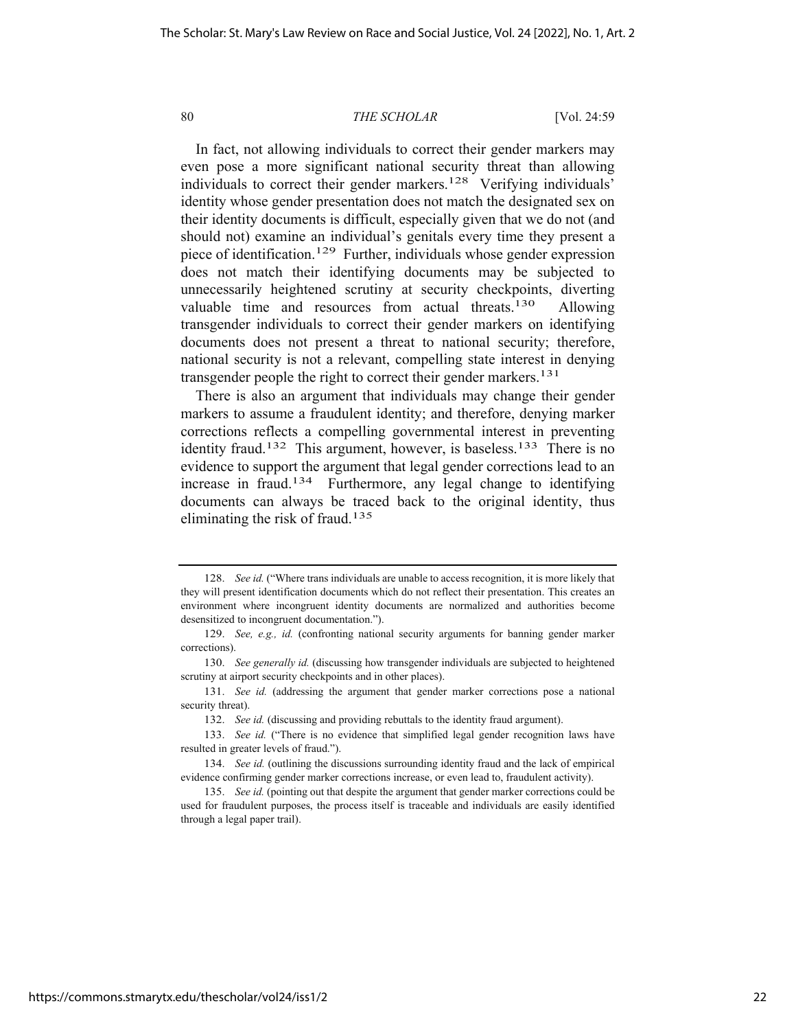In fact, not allowing individuals to correct their gender markers may even pose a more significant national security threat than allowing individuals to correct their gender markers.<sup>128</sup> Verifying individuals' identity whose gender presentation does not match the designated sex on their identity documents is difficult, especially given that we do not (and should not) examine an individual's genitals every time they present a piece of identification.129 Further, individuals whose gender expression does not match their identifying documents may be subjected to unnecessarily heightened scrutiny at security checkpoints, diverting valuable time and resources from actual threats.<sup>130</sup> Allowing transgender individuals to correct their gender markers on identifying documents does not present a threat to national security; therefore, national security is not a relevant, compelling state interest in denying transgender people the right to correct their gender markers.<sup>131</sup>

There is also an argument that individuals may change their gender markers to assume a fraudulent identity; and therefore, denying marker corrections reflects a compelling governmental interest in preventing identity fraud.<sup>132</sup> This argument, however, is baseless.<sup>133</sup> There is no evidence to support the argument that legal gender corrections lead to an increase in fraud.134 Furthermore, any legal change to identifying documents can always be traced back to the original identity, thus eliminating the risk of fraud.135

<sup>128.</sup> *See id.* ("Where trans individuals are unable to access recognition, it is more likely that they will present identification documents which do not reflect their presentation. This creates an environment where incongruent identity documents are normalized and authorities become desensitized to incongruent documentation.").

<sup>129.</sup> *See, e.g., id.* (confronting national security arguments for banning gender marker corrections).

<sup>130.</sup> *See generally id.* (discussing how transgender individuals are subjected to heightened scrutiny at airport security checkpoints and in other places).

<sup>131.</sup> *See id.* (addressing the argument that gender marker corrections pose a national security threat).

<sup>132.</sup> *See id.* (discussing and providing rebuttals to the identity fraud argument).

<sup>133.</sup> *See id.* ("There is no evidence that simplified legal gender recognition laws have resulted in greater levels of fraud.").

<sup>134.</sup> *See id.* (outlining the discussions surrounding identity fraud and the lack of empirical evidence confirming gender marker corrections increase, or even lead to, fraudulent activity).

<sup>135.</sup> *See id.* (pointing out that despite the argument that gender marker corrections could be used for fraudulent purposes, the process itself is traceable and individuals are easily identified through a legal paper trail).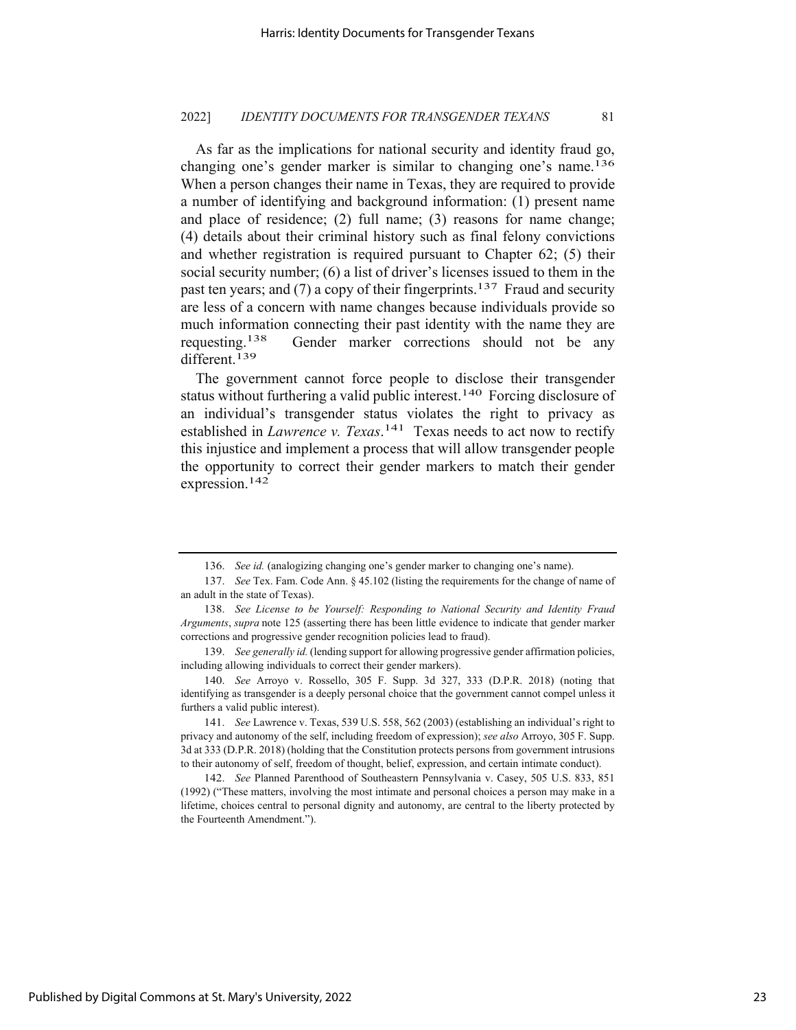As far as the implications for national security and identity fraud go, changing one's gender marker is similar to changing one's name.<sup>136</sup> When a person changes their name in Texas, they are required to provide a number of identifying and background information: (1) present name and place of residence; (2) full name; (3) reasons for name change; (4) details about their criminal history such as final felony convictions and whether registration is required pursuant to Chapter 62; (5) their social security number; (6) a list of driver's licenses issued to them in the past ten years; and (7) a copy of their fingerprints.<sup>137</sup> Fraud and security are less of a concern with name changes because individuals provide so much information connecting their past identity with the name they are requesting.<sup>138</sup> Gender marker corrections should not be any different.<sup>139</sup>

The government cannot force people to disclose their transgender status without furthering a valid public interest.<sup>140</sup> Forcing disclosure of an individual's transgender status violates the right to privacy as established in *Lawrence v. Texas*.<sup>141</sup> Texas needs to act now to rectify this injustice and implement a process that will allow transgender people the opportunity to correct their gender markers to match their gender expression.142

<sup>136.</sup> *See id.* (analogizing changing one's gender marker to changing one's name).

<sup>137.</sup> *See* Tex. Fam. Code Ann. § 45.102 (listing the requirements for the change of name of an adult in the state of Texas).

<sup>138.</sup> *See License to be Yourself: Responding to National Security and Identity Fraud Arguments*, *supra* note 125 (asserting there has been little evidence to indicate that gender marker corrections and progressive gender recognition policies lead to fraud).

<sup>139.</sup> *See generally id.* (lending support for allowing progressive gender affirmation policies, including allowing individuals to correct their gender markers).

<sup>140.</sup> *See* Arroyo v. Rossello, 305 F. Supp. 3d 327, 333 (D.P.R. 2018) (noting that identifying as transgender is a deeply personal choice that the government cannot compel unless it furthers a valid public interest).

<sup>141.</sup> *See* Lawrence v. Texas, 539 U.S. 558, 562 (2003) (establishing an individual's right to privacy and autonomy of the self, including freedom of expression); *see also* Arroyo, 305 F. Supp. 3d at 333 (D.P.R. 2018) (holding that the Constitution protects persons from government intrusions to their autonomy of self, freedom of thought, belief, expression, and certain intimate conduct).

<sup>142.</sup> *See* Planned Parenthood of Southeastern Pennsylvania v. Casey, 505 U.S. 833, 851 (1992) ("These matters, involving the most intimate and personal choices a person may make in a lifetime, choices central to personal dignity and autonomy, are central to the liberty protected by the Fourteenth Amendment.").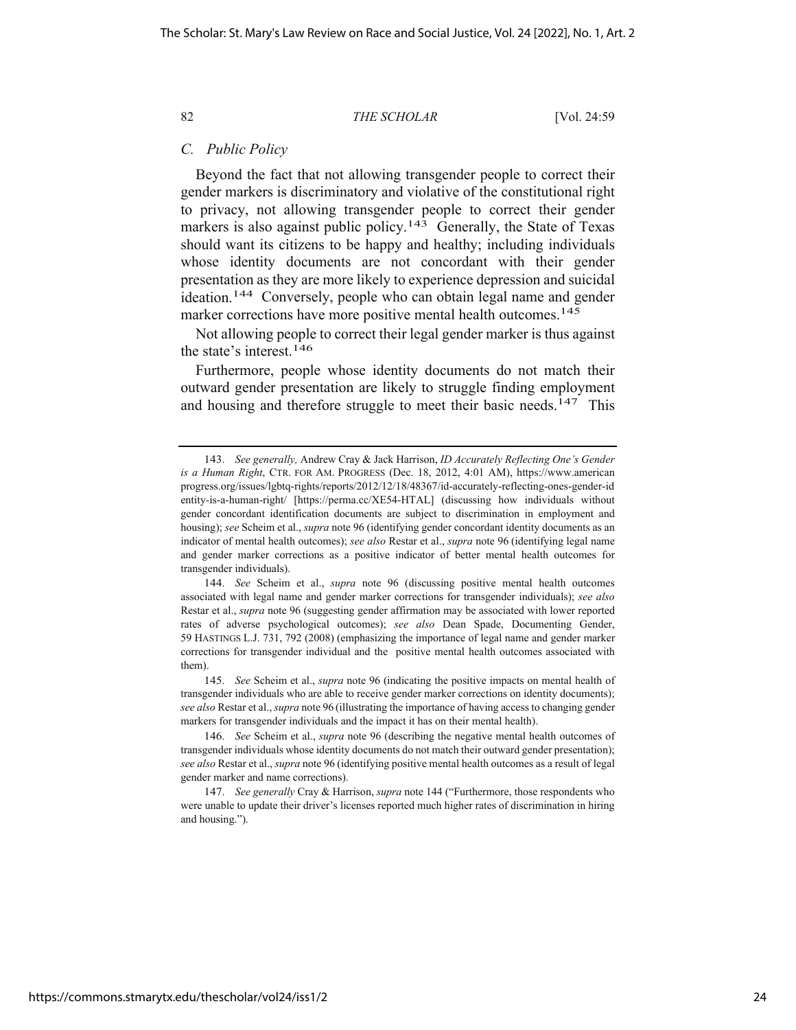# *C. Public Policy*

Beyond the fact that not allowing transgender people to correct their gender markers is discriminatory and violative of the constitutional right to privacy, not allowing transgender people to correct their gender markers is also against public policy.<sup>143</sup> Generally, the State of Texas should want its citizens to be happy and healthy; including individuals whose identity documents are not concordant with their gender presentation as they are more likely to experience depression and suicidal ideation.<sup>144</sup> Conversely, people who can obtain legal name and gender marker corrections have more positive mental health outcomes.<sup>145</sup>

Not allowing people to correct their legal gender marker is thus against the state's interest.146

Furthermore, people whose identity documents do not match their outward gender presentation are likely to struggle finding employment and housing and therefore struggle to meet their basic needs.<sup>147</sup> This

144. *See* Scheim et al., *supra* note 96 (discussing positive mental health outcomes associated with legal name and gender marker corrections for transgender individuals); *see also* Restar et al., *supra* note 96 (suggesting gender affirmation may be associated with lower reported rates of adverse psychological outcomes); *see also* Dean Spade, Documenting Gender, 59 HASTINGS L.J. 731, 792 (2008) (emphasizing the importance of legal name and gender marker corrections for transgender individual and the positive mental health outcomes associated with them).

145. *See* Scheim et al., *supra* note 96 (indicating the positive impacts on mental health of transgender individuals who are able to receive gender marker corrections on identity documents); *see also* Restar et al., *supra* note 96 (illustrating the importance of having access to changing gender markers for transgender individuals and the impact it has on their mental health).

146. *See* Scheim et al., *supra* note 96 (describing the negative mental health outcomes of transgender individuals whose identity documents do not match their outward gender presentation); *see also* Restar et al., *supra* note 96 (identifying positive mental health outcomes as a result of legal gender marker and name corrections).

147. *See generally* Cray & Harrison, *supra* note 144 ("Furthermore, those respondents who were unable to update their driver's licenses reported much higher rates of discrimination in hiring and housing.").

<sup>143.</sup> *See generally,* Andrew Cray & Jack Harrison, *ID Accurately Reflecting One's Gender is a Human Right*, CTR. FOR AM. PROGRESS (Dec. 18, 2012, 4:01 AM), https://www.american progress.org/issues/lgbtq-rights/reports/2012/12/18/48367/id-accurately-reflecting-ones-gender-id entity-is-a-human-right/ [https://perma.cc/XE54-HTAL] (discussing how individuals without gender concordant identification documents are subject to discrimination in employment and housing); *see* Scheim et al., *supra* note 96 (identifying gender concordant identity documents as an indicator of mental health outcomes); *see also* Restar et al., *supra* note 96 (identifying legal name and gender marker corrections as a positive indicator of better mental health outcomes for transgender individuals).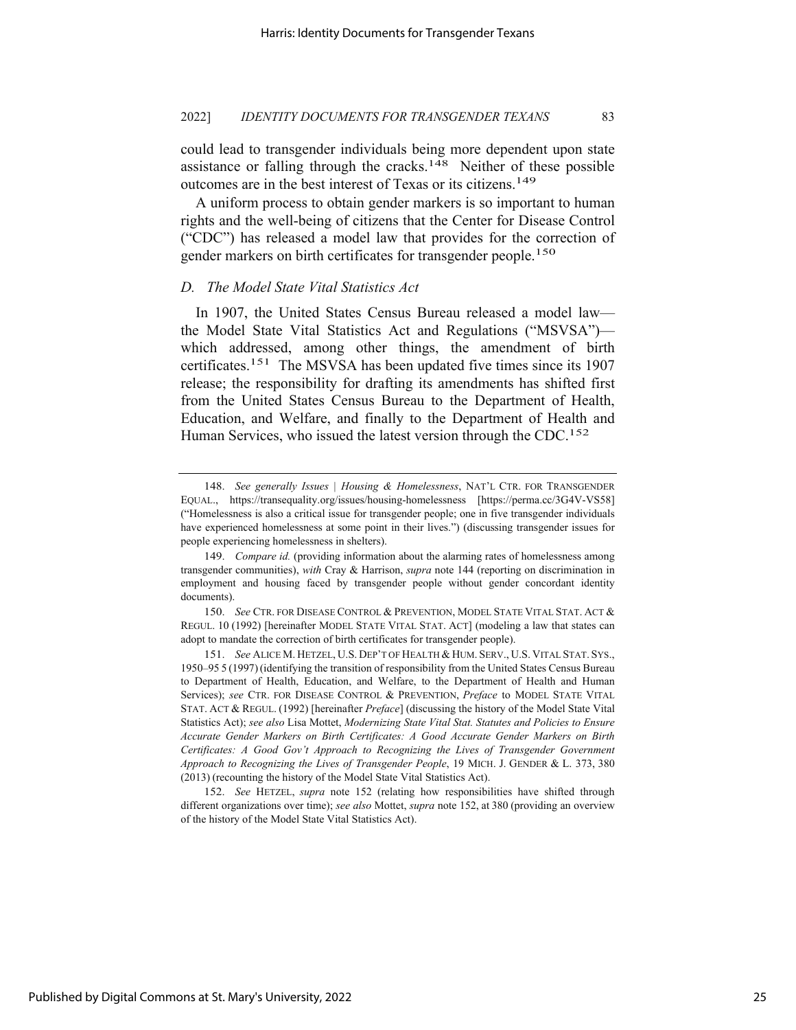could lead to transgender individuals being more dependent upon state assistance or falling through the cracks.<sup>148</sup> Neither of these possible outcomes are in the best interest of Texas or its citizens.149

A uniform process to obtain gender markers is so important to human rights and the well-being of citizens that the Center for Disease Control ("CDC") has released a model law that provides for the correction of gender markers on birth certificates for transgender people.<sup>150</sup>

# *D. The Model State Vital Statistics Act*

In 1907, the United States Census Bureau released a model law the Model State Vital Statistics Act and Regulations ("MSVSA") which addressed, among other things, the amendment of birth certificates.151 The MSVSA has been updated five times since its 1907 release; the responsibility for drafting its amendments has shifted first from the United States Census Bureau to the Department of Health, Education, and Welfare, and finally to the Department of Health and Human Services, who issued the latest version through the CDC.<sup>152</sup>

<sup>148.</sup> *See generally Issues | Housing & Homelessness*, NAT'L CTR. FOR TRANSGENDER EQUAL., https://transequality.org/issues/housing-homelessness [https://perma.cc/3G4V-VS58] ("Homelessness is also a critical issue for transgender people; one in five transgender individuals have experienced homelessness at some point in their lives.") (discussing transgender issues for people experiencing homelessness in shelters).

<sup>149.</sup> *Compare id.* (providing information about the alarming rates of homelessness among transgender communities), *with* Cray & Harrison, *supra* note 144 (reporting on discrimination in employment and housing faced by transgender people without gender concordant identity documents).

<sup>150.</sup> *See* CTR. FOR DISEASE CONTROL & PREVENTION, MODEL STATE VITAL STAT. ACT & REGUL. 10 (1992) [hereinafter MODEL STATE VITAL STAT. ACT] (modeling a law that states can adopt to mandate the correction of birth certificates for transgender people).

<sup>151.</sup> *See* ALICE M. HETZEL, U.S. DEP'T OF HEALTH & HUM. SERV., U.S. VITAL STAT. SYS., 1950–95 5 (1997)(identifying the transition of responsibility from the United States Census Bureau to Department of Health, Education, and Welfare, to the Department of Health and Human Services); *see* CTR. FOR DISEASE CONTROL & PREVENTION, *Preface* to MODEL STATE VITAL STAT. ACT & REGUL. (1992) [hereinafter *Preface*] (discussing the history of the Model State Vital Statistics Act); *see also* Lisa Mottet, *Modernizing State Vital Stat. Statutes and Policies to Ensure Accurate Gender Markers on Birth Certificates: A Good Accurate Gender Markers on Birth Certificates: A Good Gov't Approach to Recognizing the Lives of Transgender Government Approach to Recognizing the Lives of Transgender People*, 19 MICH. J. GENDER & L. 373, 380 (2013) (recounting the history of the Model State Vital Statistics Act).

<sup>152.</sup> *See* HETZEL, *supra* note 152 (relating how responsibilities have shifted through different organizations over time); *see also* Mottet, *supra* note 152, at 380 (providing an overview of the history of the Model State Vital Statistics Act).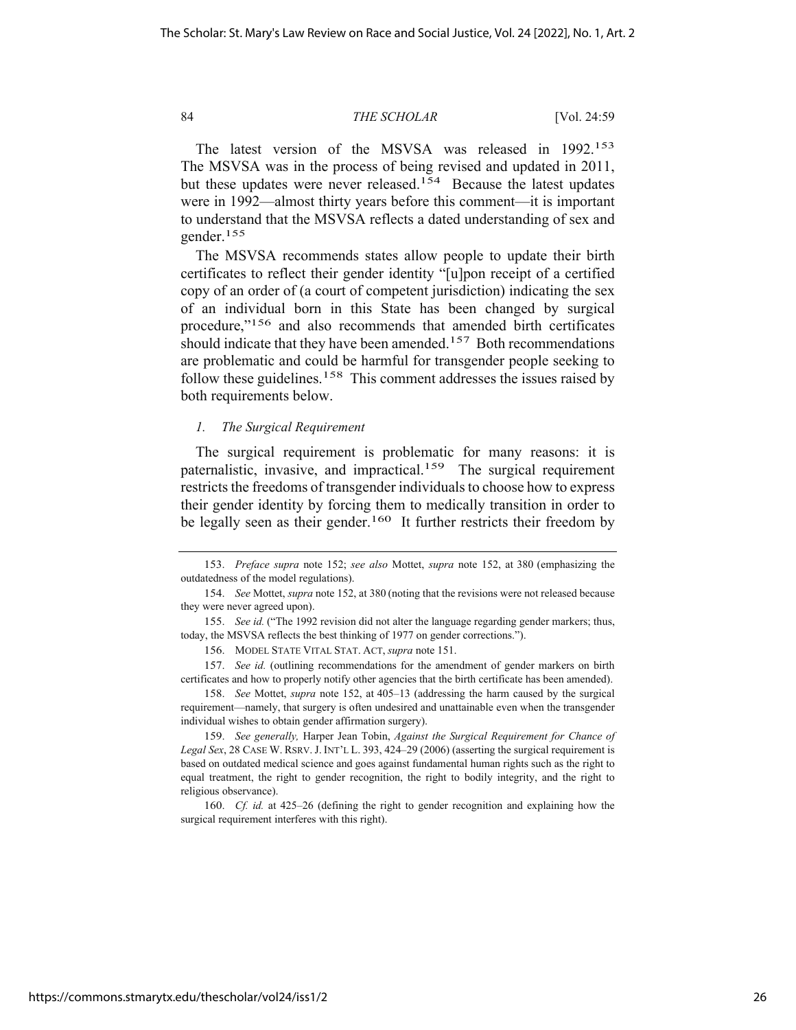The latest version of the MSVSA was released in 1992.<sup>153</sup> The MSVSA was in the process of being revised and updated in 2011, but these updates were never released.<sup>154</sup> Because the latest updates were in 1992—almost thirty years before this comment—it is important to understand that the MSVSA reflects a dated understanding of sex and gender.155

The MSVSA recommends states allow people to update their birth certificates to reflect their gender identity "[u]pon receipt of a certified copy of an order of (a court of competent jurisdiction) indicating the sex of an individual born in this State has been changed by surgical procedure,"156 and also recommends that amended birth certificates should indicate that they have been amended.<sup>157</sup> Both recommendations are problematic and could be harmful for transgender people seeking to follow these guidelines.158 This comment addresses the issues raised by both requirements below.

#### *1. The Surgical Requirement*

The surgical requirement is problematic for many reasons: it is paternalistic, invasive, and impractical.159 The surgical requirement restricts the freedoms of transgender individuals to choose how to express their gender identity by forcing them to medically transition in order to be legally seen as their gender.<sup>160</sup> It further restricts their freedom by

<sup>153.</sup> *Preface supra* note 152; *see also* Mottet, *supra* note 152, at 380 (emphasizing the outdatedness of the model regulations).

<sup>154.</sup> *See* Mottet, *supra* note 152, at 380 (noting that the revisions were not released because they were never agreed upon).

<sup>155.</sup> *See id.* ("The 1992 revision did not alter the language regarding gender markers; thus, today, the MSVSA reflects the best thinking of 1977 on gender corrections.").

<sup>156.</sup> MODEL STATE VITAL STAT. ACT, *supra* note 151.

<sup>157.</sup> *See id.* (outlining recommendations for the amendment of gender markers on birth certificates and how to properly notify other agencies that the birth certificate has been amended).

<sup>158.</sup> *See* Mottet, *supra* note 152, at 405–13 (addressing the harm caused by the surgical requirement—namely, that surgery is often undesired and unattainable even when the transgender individual wishes to obtain gender affirmation surgery).

<sup>159.</sup> *See generally,* Harper Jean Tobin, *Against the Surgical Requirement for Chance of Legal Sex*, 28 CASE W. RSRV.J. INT'L L. 393, 424–29 (2006) (asserting the surgical requirement is based on outdated medical science and goes against fundamental human rights such as the right to equal treatment, the right to gender recognition, the right to bodily integrity, and the right to religious observance).

<sup>160.</sup> *Cf. id.* at 425–26 (defining the right to gender recognition and explaining how the surgical requirement interferes with this right).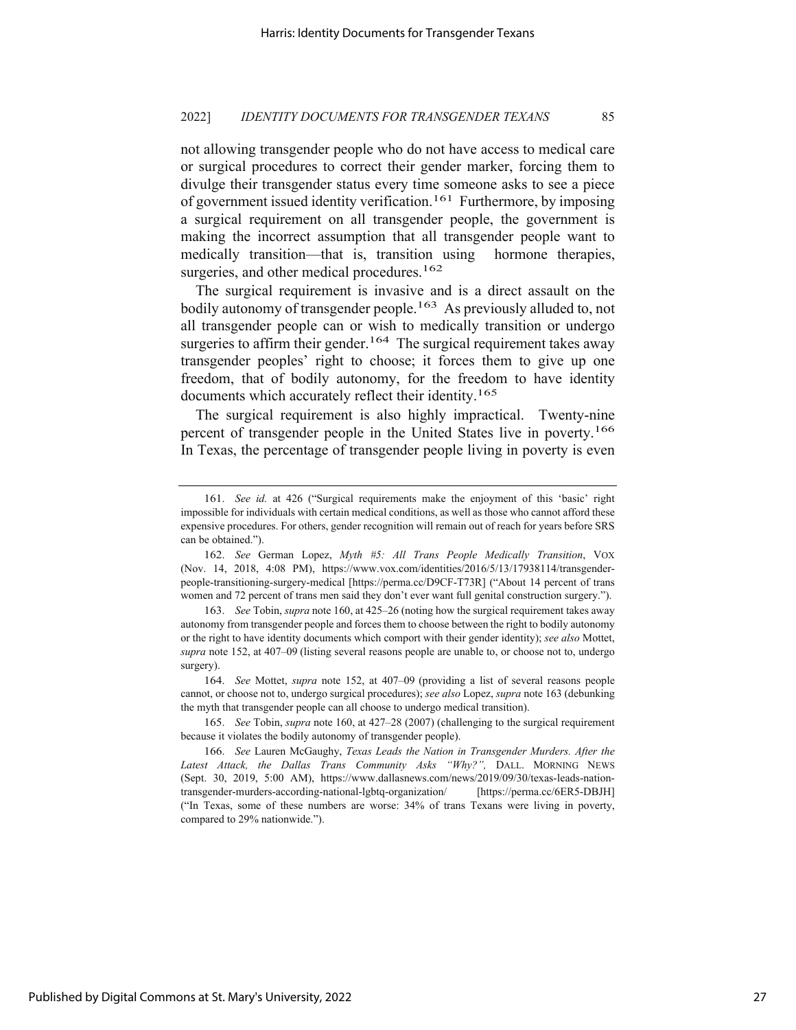not allowing transgender people who do not have access to medical care or surgical procedures to correct their gender marker, forcing them to divulge their transgender status every time someone asks to see a piece of government issued identity verification.<sup>161</sup> Furthermore, by imposing a surgical requirement on all transgender people, the government is making the incorrect assumption that all transgender people want to medically transition—that is, transition using hormone therapies, surgeries, and other medical procedures.<sup>162</sup>

The surgical requirement is invasive and is a direct assault on the bodily autonomy of transgender people.<sup>163</sup> As previously alluded to, not all transgender people can or wish to medically transition or undergo surgeries to affirm their gender.<sup>164</sup> The surgical requirement takes away transgender peoples' right to choose; it forces them to give up one freedom, that of bodily autonomy, for the freedom to have identity documents which accurately reflect their identity.165

The surgical requirement is also highly impractical. Twenty-nine percent of transgender people in the United States live in poverty.166 In Texas, the percentage of transgender people living in poverty is even

<sup>161.</sup> *See id.* at 426 ("Surgical requirements make the enjoyment of this 'basic' right impossible for individuals with certain medical conditions, as well as those who cannot afford these expensive procedures. For others, gender recognition will remain out of reach for years before SRS can be obtained.").

<sup>162.</sup> *See* German Lopez, *Myth #5: All Trans People Medically Transition*, VOX (Nov. 14, 2018, 4:08 PM), https://www.vox.com/identities/2016/5/13/17938114/transgenderpeople-transitioning-surgery-medical [https://perma.cc/D9CF-T73R] ("About 14 percent of trans women and 72 percent of trans men said they don't ever want full genital construction surgery.").

<sup>163.</sup> *See* Tobin, *supra* note 160, at 425–26 (noting how the surgical requirement takes away autonomy from transgender people and forces them to choose between the right to bodily autonomy or the right to have identity documents which comport with their gender identity); *see also* Mottet, *supra* note 152, at 407–09 (listing several reasons people are unable to, or choose not to, undergo surgery).

<sup>164.</sup> *See* Mottet, *supra* note 152, at 407–09 (providing a list of several reasons people cannot, or choose not to, undergo surgical procedures); *see also* Lopez, *supra* note 163 (debunking the myth that transgender people can all choose to undergo medical transition).

<sup>165.</sup> *See* Tobin, *supra* note 160, at 427–28 (2007) (challenging to the surgical requirement because it violates the bodily autonomy of transgender people).

<sup>166.</sup> *See* Lauren McGaughy, *Texas Leads the Nation in Transgender Murders. After the*  Latest Attack, the Dallas Trans Community Asks "Why?", DALL. MORNING NEWS (Sept. 30, 2019, 5:00 AM), https://www.dallasnews.com/news/2019/09/30/texas-leads-nationtransgender-murders-according-national-lgbtq-organization/ [https://perma.cc/6ER5-DBJH] ("In Texas, some of these numbers are worse: 34% of trans Texans were living in poverty, compared to 29% nationwide.").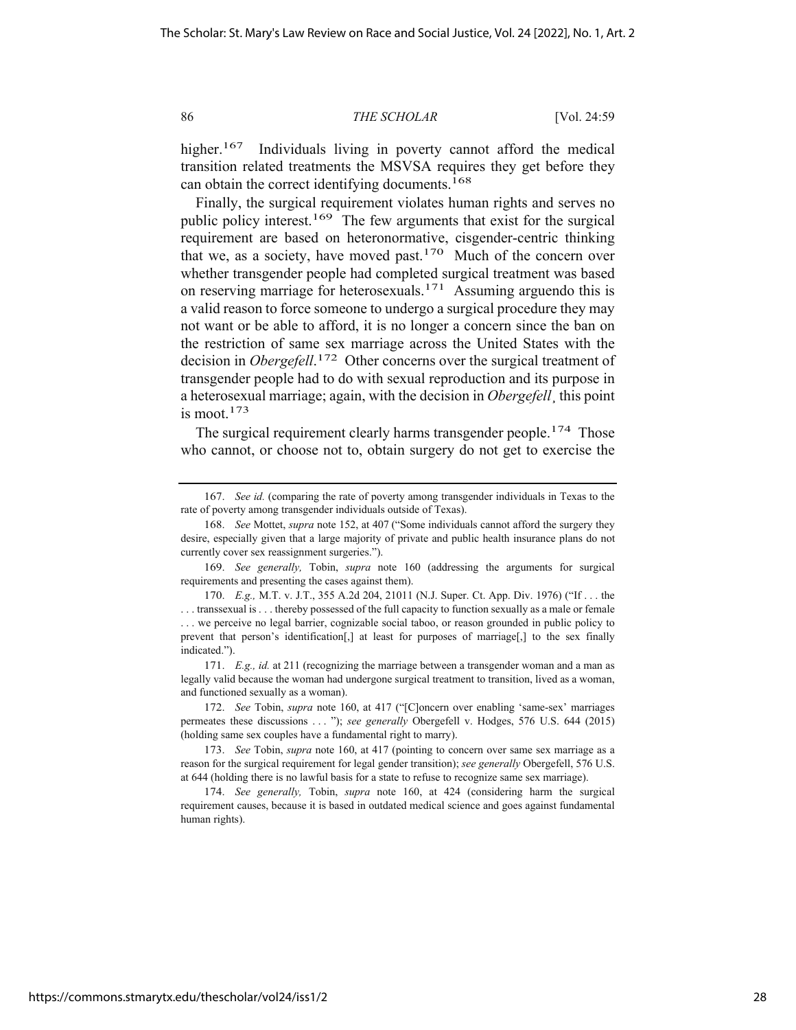higher.<sup>167</sup> Individuals living in poverty cannot afford the medical transition related treatments the MSVSA requires they get before they can obtain the correct identifying documents.<sup>168</sup>

Finally, the surgical requirement violates human rights and serves no public policy interest.<sup>169</sup> The few arguments that exist for the surgical requirement are based on heteronormative, cisgender-centric thinking that we, as a society, have moved past.<sup>170</sup> Much of the concern over whether transgender people had completed surgical treatment was based on reserving marriage for heterosexuals.<sup>171</sup> Assuming arguendo this is a valid reason to force someone to undergo a surgical procedure they may not want or be able to afford, it is no longer a concern since the ban on the restriction of same sex marriage across the United States with the decision in *Obergefell*. 172 Other concerns over the surgical treatment of transgender people had to do with sexual reproduction and its purpose in a heterosexual marriage; again, with the decision in *Obergefell*¸ this point is moot. $173$ 

The surgical requirement clearly harms transgender people.<sup>174</sup> Those who cannot, or choose not to, obtain surgery do not get to exercise the

<sup>167.</sup> *See id.* (comparing the rate of poverty among transgender individuals in Texas to the rate of poverty among transgender individuals outside of Texas).

<sup>168.</sup> *See* Mottet, *supra* note 152, at 407 ("Some individuals cannot afford the surgery they desire, especially given that a large majority of private and public health insurance plans do not currently cover sex reassignment surgeries.").

<sup>169.</sup> *See generally,* Tobin, *supra* note 160 (addressing the arguments for surgical requirements and presenting the cases against them).

<sup>170.</sup> *E.g.,* M.T. v. J.T., 355 A.2d 204, 21011 (N.J. Super. Ct. App. Div. 1976) ("If . . . the . . . transsexual is . . . thereby possessed of the full capacity to function sexually as a male or female . . . we perceive no legal barrier, cognizable social taboo, or reason grounded in public policy to prevent that person's identification[,] at least for purposes of marriage[,] to the sex finally indicated.").

<sup>171.</sup> *E.g., id.* at 211 (recognizing the marriage between a transgender woman and a man as legally valid because the woman had undergone surgical treatment to transition, lived as a woman, and functioned sexually as a woman).

<sup>172.</sup> *See* Tobin, *supra* note 160, at 417 ("[C]oncern over enabling 'same-sex' marriages permeates these discussions . . . "); *see generally* Obergefell v. Hodges, 576 U.S. 644 (2015) (holding same sex couples have a fundamental right to marry).

<sup>173.</sup> *See* Tobin, *supra* note 160, at 417 (pointing to concern over same sex marriage as a reason for the surgical requirement for legal gender transition); *see generally* Obergefell, 576 U.S. at 644 (holding there is no lawful basis for a state to refuse to recognize same sex marriage).

<sup>174.</sup> *See generally,* Tobin, *supra* note 160, at 424 (considering harm the surgical requirement causes, because it is based in outdated medical science and goes against fundamental human rights).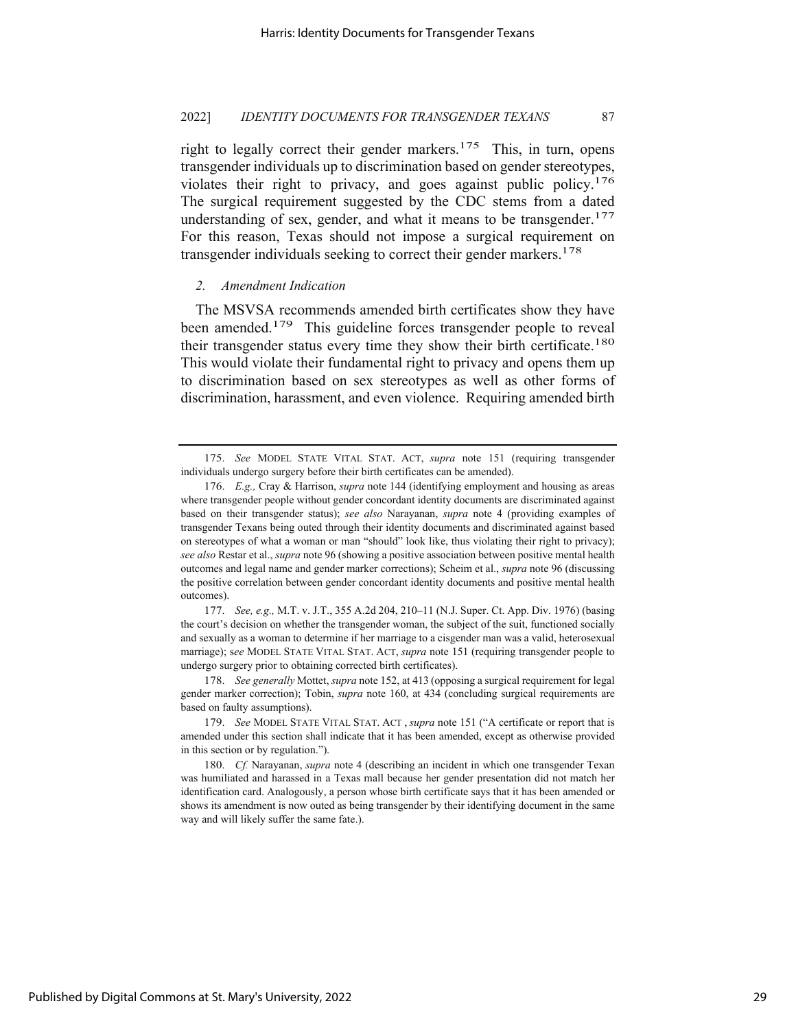right to legally correct their gender markers.<sup>175</sup> This, in turn, opens transgender individuals up to discrimination based on gender stereotypes, violates their right to privacy, and goes against public policy.176 The surgical requirement suggested by the CDC stems from a dated understanding of sex, gender, and what it means to be transgender. $177$ For this reason, Texas should not impose a surgical requirement on transgender individuals seeking to correct their gender markers.<sup>178</sup>

#### *2. Amendment Indication*

The MSVSA recommends amended birth certificates show they have been amended.<sup>179</sup> This guideline forces transgender people to reveal their transgender status every time they show their birth certificate.180 This would violate their fundamental right to privacy and opens them up to discrimination based on sex stereotypes as well as other forms of discrimination, harassment, and even violence. Requiring amended birth

177. *See, e.g.,* M.T. v. J.T., 355 A.2d 204, 210–11 (N.J. Super. Ct. App. Div. 1976) (basing the court's decision on whether the transgender woman, the subject of the suit, functioned socially and sexually as a woman to determine if her marriage to a cisgender man was a valid, heterosexual marriage); s*ee* MODEL STATE VITAL STAT. ACT, *supra* note 151 (requiring transgender people to undergo surgery prior to obtaining corrected birth certificates).

178. *See generally* Mottet, *supra* note 152, at 413 (opposing a surgical requirement for legal gender marker correction); Tobin, *supra* note 160, at 434 (concluding surgical requirements are based on faulty assumptions).

179. *See* MODEL STATE VITAL STAT. ACT , *supra* note 151 ("A certificate or report that is amended under this section shall indicate that it has been amended, except as otherwise provided in this section or by regulation.").

180. *Cf.* Narayanan, *supra* note 4 (describing an incident in which one transgender Texan was humiliated and harassed in a Texas mall because her gender presentation did not match her identification card. Analogously, a person whose birth certificate says that it has been amended or shows its amendment is now outed as being transgender by their identifying document in the same way and will likely suffer the same fate.).

<sup>175.</sup> *See* MODEL STATE VITAL STAT. ACT, *supra* note 151 (requiring transgender individuals undergo surgery before their birth certificates can be amended).

<sup>176.</sup> *E.g.,* Cray & Harrison, *supra* note 144 (identifying employment and housing as areas where transgender people without gender concordant identity documents are discriminated against based on their transgender status); *see also* Narayanan, *supra* note 4 (providing examples of transgender Texans being outed through their identity documents and discriminated against based on stereotypes of what a woman or man "should" look like, thus violating their right to privacy); *see also* Restar et al., *supra* note 96 (showing a positive association between positive mental health outcomes and legal name and gender marker corrections); Scheim et al., *supra* note 96 (discussing the positive correlation between gender concordant identity documents and positive mental health outcomes).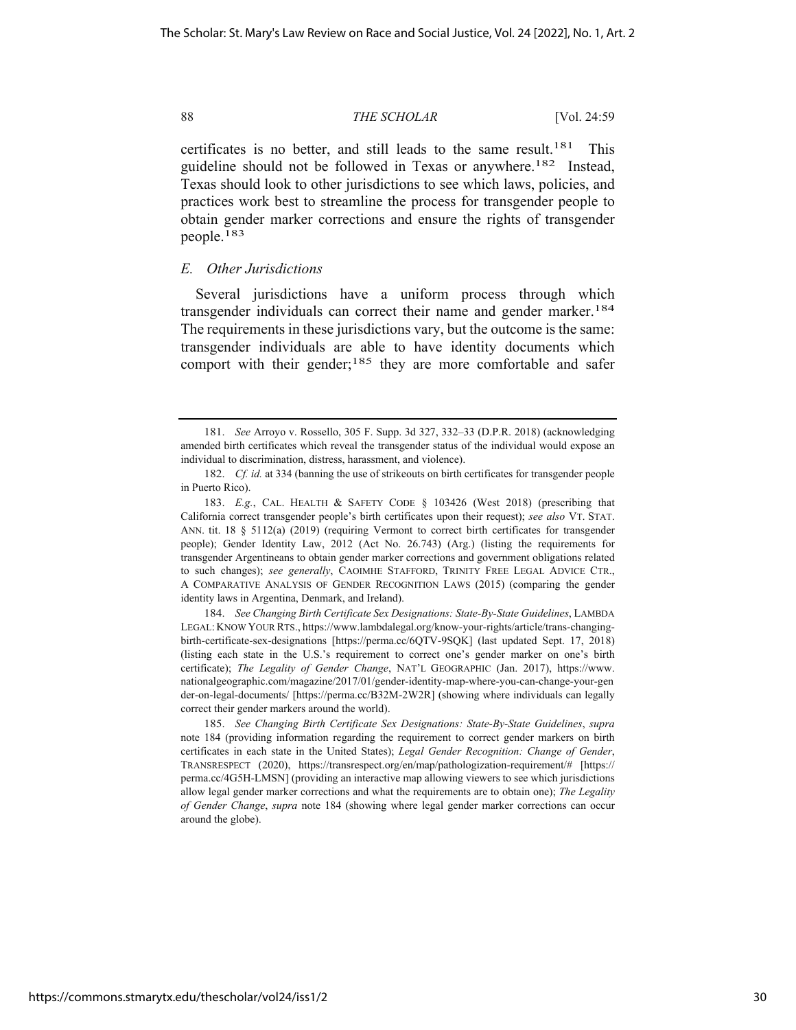certificates is no better, and still leads to the same result.<sup>181</sup> This guideline should not be followed in Texas or anywhere.182 Instead, Texas should look to other jurisdictions to see which laws, policies, and practices work best to streamline the process for transgender people to obtain gender marker corrections and ensure the rights of transgender people.183

# *E. Other Jurisdictions*

Several jurisdictions have a uniform process through which transgender individuals can correct their name and gender marker.<sup>184</sup> The requirements in these jurisdictions vary, but the outcome is the same: transgender individuals are able to have identity documents which comport with their gender;<sup>185</sup> they are more comfortable and safer

184. *See Changing Birth Certificate Sex Designations: State-By-State Guidelines*, LAMBDA LEGAL: KNOW YOUR RTS., https://www.lambdalegal.org/know-your-rights/article/trans-changingbirth-certificate-sex-designations [https://perma.cc/6QTV-9SQK] (last updated Sept. 17, 2018) (listing each state in the U.S.'s requirement to correct one's gender marker on one's birth certificate); *The Legality of Gender Change*, NAT'L GEOGRAPHIC (Jan. 2017), https://www. nationalgeographic.com/magazine/2017/01/gender-identity-map-where-you-can-change-your-gen der-on-legal-documents/ [https://perma.cc/B32M-2W2R] (showing where individuals can legally correct their gender markers around the world).

<sup>181.</sup> *See* Arroyo v. Rossello, 305 F. Supp. 3d 327, 332–33 (D.P.R. 2018) (acknowledging amended birth certificates which reveal the transgender status of the individual would expose an individual to discrimination, distress, harassment, and violence).

<sup>182.</sup> *Cf. id.* at 334 (banning the use of strikeouts on birth certificates for transgender people in Puerto Rico).

<sup>183.</sup> *E.g.*, CAL. HEALTH & SAFETY CODE § 103426 (West 2018) (prescribing that California correct transgender people's birth certificates upon their request); *see also* VT. STAT. ANN. tit. 18 § 5112(a) (2019) (requiring Vermont to correct birth certificates for transgender people); Gender Identity Law, 2012 (Act No. 26.743) (Arg.) (listing the requirements for transgender Argentineans to obtain gender marker corrections and government obligations related to such changes); *see generally*, CAOIMHE STAFFORD, TRINITY FREE LEGAL ADVICE CTR., A COMPARATIVE ANALYSIS OF GENDER RECOGNITION LAWS (2015) (comparing the gender identity laws in Argentina, Denmark, and Ireland).

<sup>185.</sup> *See Changing Birth Certificate Sex Designations: State-By-State Guidelines*, *supra*  note 184 (providing information regarding the requirement to correct gender markers on birth certificates in each state in the United States); *Legal Gender Recognition: Change of Gender*, TRANSRESPECT (2020), https://transrespect.org/en/map/pathologization-requirement/# [https:// perma.cc/4G5H-LMSN] (providing an interactive map allowing viewers to see which jurisdictions allow legal gender marker corrections and what the requirements are to obtain one); *The Legality of Gender Change*, *supra* note 184 (showing where legal gender marker corrections can occur around the globe).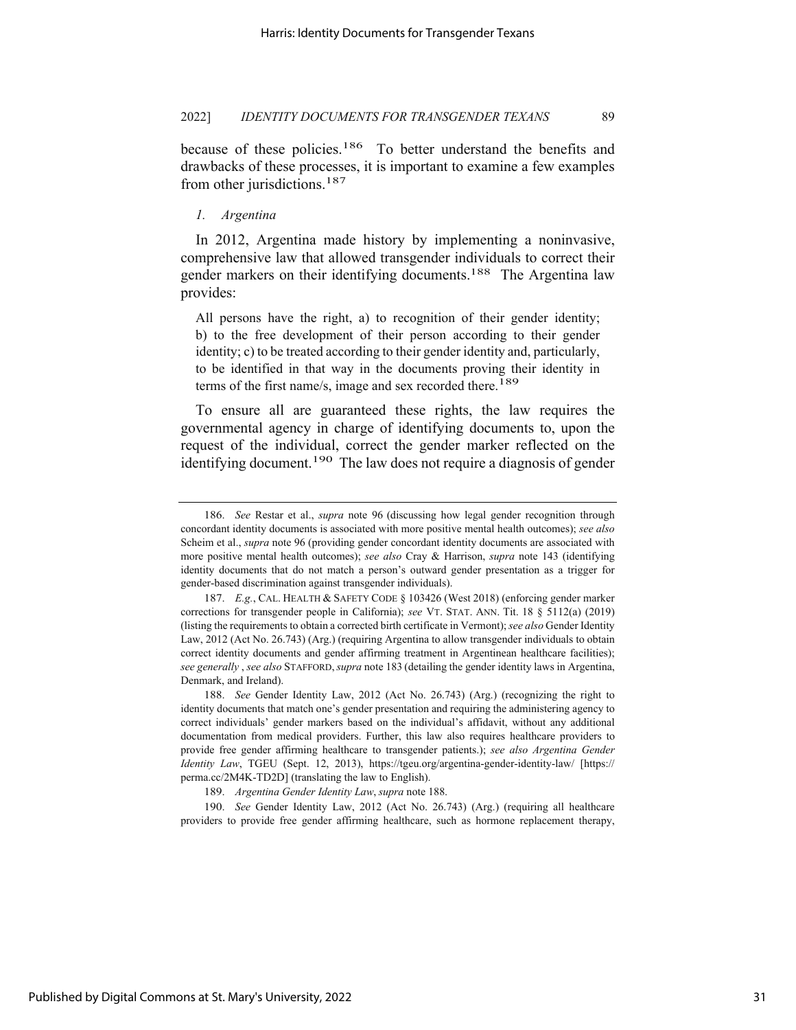because of these policies.<sup>186</sup> To better understand the benefits and drawbacks of these processes, it is important to examine a few examples from other jurisdictions.<sup>187</sup>

# *1. Argentina*

In 2012, Argentina made history by implementing a noninvasive, comprehensive law that allowed transgender individuals to correct their gender markers on their identifying documents.<sup>188</sup> The Argentina law provides:

All persons have the right, a) to recognition of their gender identity; b) to the free development of their person according to their gender identity; c) to be treated according to their gender identity and, particularly, to be identified in that way in the documents proving their identity in terms of the first name/s, image and sex recorded there.<sup>189</sup>

To ensure all are guaranteed these rights, the law requires the governmental agency in charge of identifying documents to, upon the request of the individual, correct the gender marker reflected on the identifying document.<sup>190</sup> The law does not require a diagnosis of gender

190. *See* Gender Identity Law, 2012 (Act No. 26.743) (Arg.) (requiring all healthcare providers to provide free gender affirming healthcare, such as hormone replacement therapy,

<sup>186.</sup> *See* Restar et al., *supra* note 96 (discussing how legal gender recognition through concordant identity documents is associated with more positive mental health outcomes); *see also*  Scheim et al., *supra* note 96 (providing gender concordant identity documents are associated with more positive mental health outcomes); *see also* Cray & Harrison, *supra* note 143 (identifying identity documents that do not match a person's outward gender presentation as a trigger for gender-based discrimination against transgender individuals).

<sup>187.</sup> *E.g.*, CAL. HEALTH & SAFETY CODE § 103426 (West 2018) (enforcing gender marker corrections for transgender people in California); *see* VT. STAT. ANN. Tit. 18 § 5112(a) (2019) (listing the requirements to obtain a corrected birth certificate in Vermont); *see also* Gender Identity Law, 2012 (Act No. 26.743) (Arg.) (requiring Argentina to allow transgender individuals to obtain correct identity documents and gender affirming treatment in Argentinean healthcare facilities); *see generally* , *see also* STAFFORD,*supra* note 183 (detailing the gender identity laws in Argentina, Denmark, and Ireland).

<sup>188.</sup> *See* Gender Identity Law, 2012 (Act No. 26.743) (Arg.) (recognizing the right to identity documents that match one's gender presentation and requiring the administering agency to correct individuals' gender markers based on the individual's affidavit, without any additional documentation from medical providers. Further, this law also requires healthcare providers to provide free gender affirming healthcare to transgender patients.); *see also Argentina Gender Identity Law*, TGEU (Sept. 12, 2013), https://tgeu.org/argentina-gender-identity-law/ [https:// perma.cc/2M4K-TD2D] (translating the law to English).

<sup>189.</sup> *Argentina Gender Identity Law*, *supra* note 188.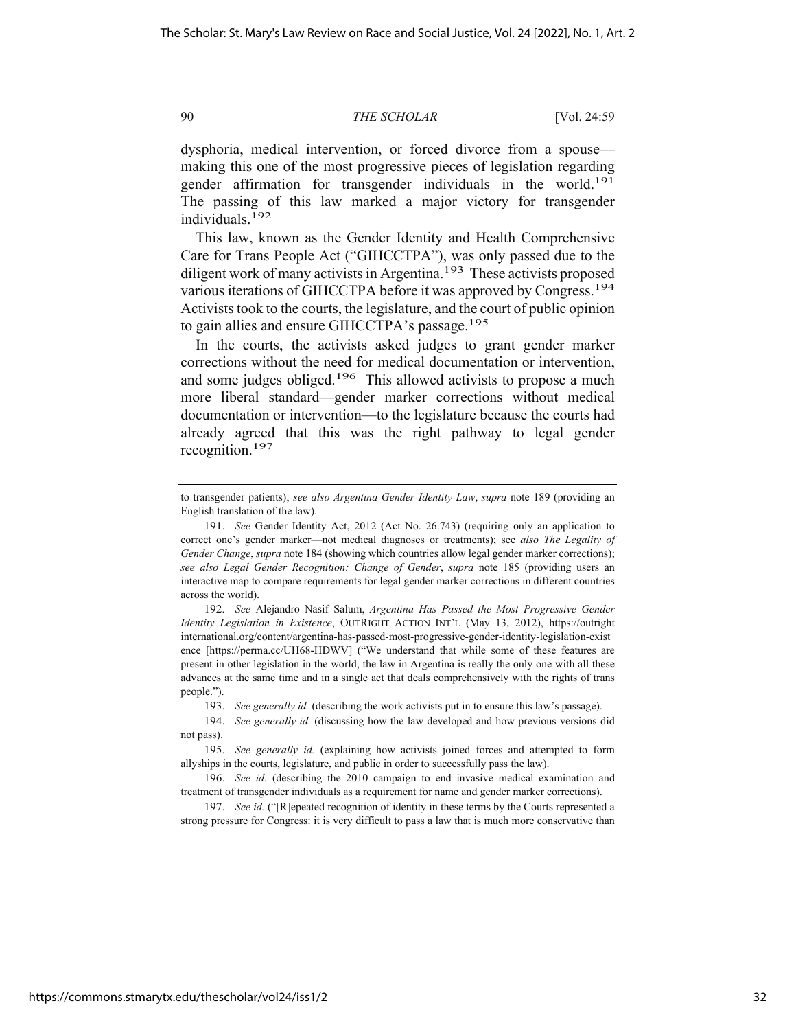dysphoria, medical intervention, or forced divorce from a spouse making this one of the most progressive pieces of legislation regarding gender affirmation for transgender individuals in the world.191 The passing of this law marked a major victory for transgender individuals.192

This law, known as the Gender Identity and Health Comprehensive Care for Trans People Act ("GIHCCTPA"), was only passed due to the diligent work of many activists in Argentina.<sup>193</sup> These activists proposed various iterations of GIHCCTPA before it was approved by Congress.194 Activists took to the courts, the legislature, and the court of public opinion to gain allies and ensure GIHCCTPA's passage.195

In the courts, the activists asked judges to grant gender marker corrections without the need for medical documentation or intervention, and some judges obliged.<sup>196</sup> This allowed activists to propose a much more liberal standard—gender marker corrections without medical documentation or intervention—to the legislature because the courts had already agreed that this was the right pathway to legal gender recognition.197

192. *See* Alejandro Nasif Salum, *Argentina Has Passed the Most Progressive Gender Identity Legislation in Existence*, OUTRIGHT ACTION INT'L (May 13, 2012), https://outright international.org/content/argentina-has-passed-most-progressive-gender-identity-legislation-exist ence [https://perma.cc/UH68-HDWV] ("We understand that while some of these features are present in other legislation in the world, the law in Argentina is really the only one with all these advances at the same time and in a single act that deals comprehensively with the rights of trans people.").

193. *See generally id.* (describing the work activists put in to ensure this law's passage).

194. *See generally id.* (discussing how the law developed and how previous versions did not pass).

195. *See generally id.* (explaining how activists joined forces and attempted to form allyships in the courts, legislature, and public in order to successfully pass the law).

196. *See id.* (describing the 2010 campaign to end invasive medical examination and treatment of transgender individuals as a requirement for name and gender marker corrections).

197. *See id.* ("[R]epeated recognition of identity in these terms by the Courts represented a strong pressure for Congress: it is very difficult to pass a law that is much more conservative than

to transgender patients); *see also Argentina Gender Identity Law*, *supra* note 189 (providing an English translation of the law).

<sup>191.</sup> *See* Gender Identity Act, 2012 (Act No. 26.743) (requiring only an application to correct one's gender marker—not medical diagnoses or treatments); see *also The Legality of Gender Change*, *supra* note 184 (showing which countries allow legal gender marker corrections); *see also Legal Gender Recognition: Change of Gender*, *supra* note 185 (providing users an interactive map to compare requirements for legal gender marker corrections in different countries across the world).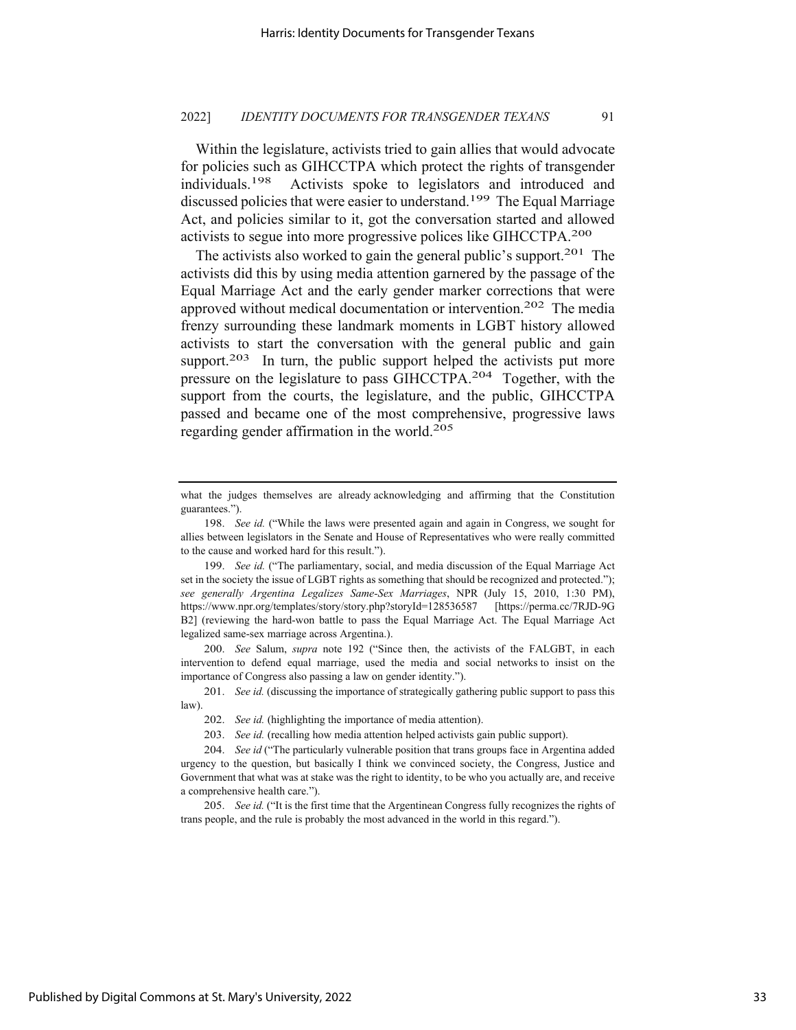Within the legislature, activists tried to gain allies that would advocate for policies such as GIHCCTPA which protect the rights of transgender individuals.198 Activists spoke to legislators and introduced and discussed policies that were easier to understand.<sup>199</sup> The Equal Marriage Act, and policies similar to it, got the conversation started and allowed activists to segue into more progressive polices like GIHCCTPA.200

The activists also worked to gain the general public's support.<sup>201</sup> The activists did this by using media attention garnered by the passage of the Equal Marriage Act and the early gender marker corrections that were approved without medical documentation or intervention.202 The media frenzy surrounding these landmark moments in LGBT history allowed activists to start the conversation with the general public and gain support.<sup>203</sup> In turn, the public support helped the activists put more pressure on the legislature to pass GIHCCTPA.204 Together, with the support from the courts, the legislature, and the public, GIHCCTPA passed and became one of the most comprehensive, progressive laws regarding gender affirmation in the world.205

200. *See* Salum, *supra* note 192 ("Since then, the activists of the FALGBT, in each intervention to defend equal marriage, used the media and social networks to insist on the importance of Congress also passing a law on gender identity.").

201. *See id.* (discussing the importance of strategically gathering public support to pass this law).

205. *See id.* ("It is the first time that the Argentinean Congress fully recognizes the rights of trans people, and the rule is probably the most advanced in the world in this regard.").

what the judges themselves are already acknowledging and affirming that the Constitution guarantees.").

<sup>198.</sup> *See id.* ("While the laws were presented again and again in Congress, we sought for allies between legislators in the Senate and House of Representatives who were really committed to the cause and worked hard for this result.").

<sup>199.</sup> *See id.* ("The parliamentary, social, and media discussion of the Equal Marriage Act set in the society the issue of LGBT rights as something that should be recognized and protected."); *see generally Argentina Legalizes Same-Sex Marriages*, NPR (July 15, 2010, 1:30 PM), https://www.npr.org/templates/story/story.php?storyId=128536587 [https://perma.cc/7RJD-9G B2] (reviewing the hard-won battle to pass the Equal Marriage Act. The Equal Marriage Act legalized same-sex marriage across Argentina.).

<sup>202.</sup> *See id.* (highlighting the importance of media attention).

<sup>203.</sup> *See id.* (recalling how media attention helped activists gain public support).

<sup>204.</sup> *See id* ("The particularly vulnerable position that trans groups face in Argentina added urgency to the question, but basically I think we convinced society, the Congress, Justice and Government that what was at stake was the right to identity, to be who you actually are, and receive a comprehensive health care.").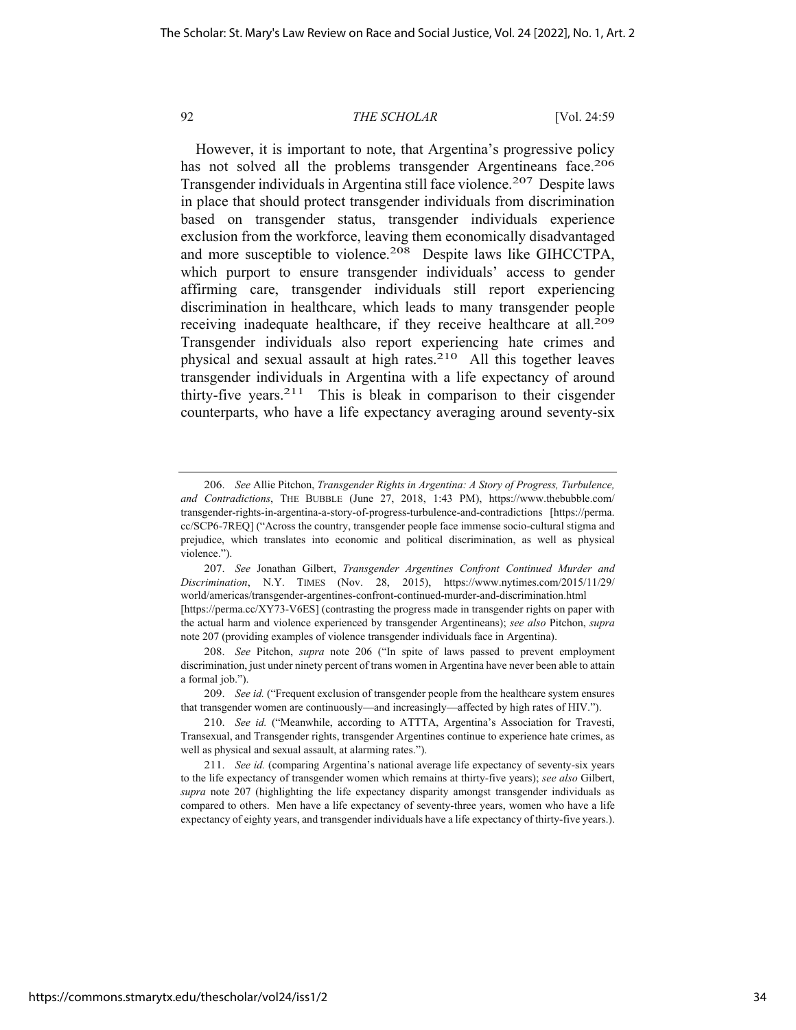However, it is important to note, that Argentina's progressive policy has not solved all the problems transgender Argentineans face.<sup>206</sup> Transgender individuals in Argentina still face violence.<sup>207</sup> Despite laws in place that should protect transgender individuals from discrimination based on transgender status, transgender individuals experience exclusion from the workforce, leaving them economically disadvantaged and more susceptible to violence.<sup>208</sup> Despite laws like GIHCCTPA, which purport to ensure transgender individuals' access to gender affirming care, transgender individuals still report experiencing discrimination in healthcare, which leads to many transgender people receiving inadequate healthcare, if they receive healthcare at all.<sup>209</sup> Transgender individuals also report experiencing hate crimes and physical and sexual assault at high rates.210 All this together leaves transgender individuals in Argentina with a life expectancy of around thirty-five years.<sup>211</sup> This is bleak in comparison to their cisgender counterparts, who have a life expectancy averaging around seventy-six

<sup>206.</sup> *See* Allie Pitchon, *Transgender Rights in Argentina: A Story of Progress, Turbulence, and Contradictions*, THE BUBBLE (June 27, 2018, 1:43 PM), https://www.thebubble.com/ transgender-rights-in-argentina-a-story-of-progress-turbulence-and-contradictions [https://perma. cc/SCP6-7REQ] ("Across the country, transgender people face immense socio-cultural stigma and prejudice, which translates into economic and political discrimination, as well as physical violence.").

<sup>207.</sup> *See* Jonathan Gilbert, *Transgender Argentines Confront Continued Murder and Discrimination*, N.Y. TIMES (Nov. 28, 2015), https://www.nytimes.com/2015/11/29/ world/americas/transgender-argentines-confront-continued-murder-and-discrimination.html

<sup>[</sup>https://perma.cc/XY73-V6ES] (contrasting the progress made in transgender rights on paper with the actual harm and violence experienced by transgender Argentineans); *see also* Pitchon, *supra*  note 207 (providing examples of violence transgender individuals face in Argentina).

<sup>208.</sup> *See* Pitchon, *supra* note 206 ("In spite of laws passed to prevent employment discrimination, just under ninety percent of trans women in Argentina have never been able to attain a formal job.").

<sup>209.</sup> *See id.* ("Frequent exclusion of transgender people from the healthcare system ensures that transgender women are continuously—and increasingly—affected by high rates of HIV.").

<sup>210.</sup> *See id.* ("Meanwhile, according to ATTTA, Argentina's Association for Travesti, Transexual, and Transgender rights, transgender Argentines continue to experience hate crimes, as well as physical and sexual assault, at alarming rates.").

<sup>211.</sup> *See id.* (comparing Argentina's national average life expectancy of seventy-six years to the life expectancy of transgender women which remains at thirty-five years); *see also* Gilbert, *supra* note 207 (highlighting the life expectancy disparity amongst transgender individuals as compared to others. Men have a life expectancy of seventy-three years, women who have a life expectancy of eighty years, and transgender individuals have a life expectancy of thirty-five years.).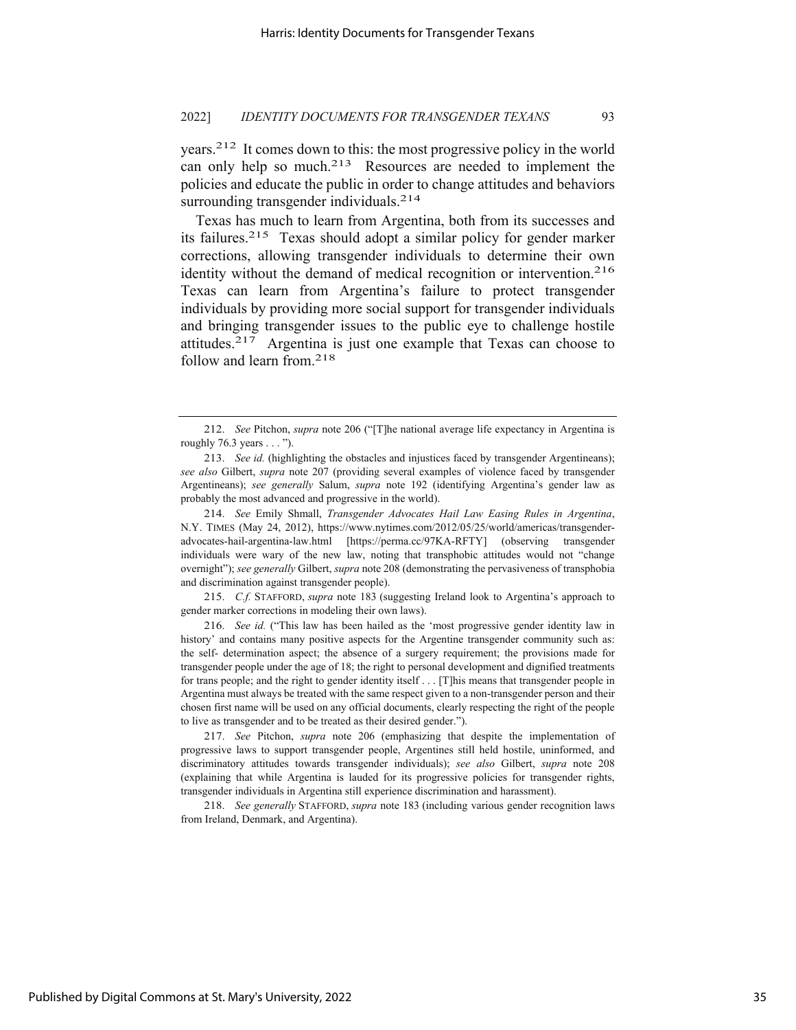years.212 It comes down to this: the most progressive policy in the world can only help so much.<sup>213</sup> Resources are needed to implement the policies and educate the public in order to change attitudes and behaviors surrounding transgender individuals.<sup>214</sup>

Texas has much to learn from Argentina, both from its successes and its failures.215 Texas should adopt a similar policy for gender marker corrections, allowing transgender individuals to determine their own identity without the demand of medical recognition or intervention.<sup>216</sup> Texas can learn from Argentina's failure to protect transgender individuals by providing more social support for transgender individuals and bringing transgender issues to the public eye to challenge hostile attitudes.217 Argentina is just one example that Texas can choose to follow and learn from.218

214. *See* Emily Shmall, *Transgender Advocates Hail Law Easing Rules in Argentina*, N.Y. TIMES (May 24, 2012), https://www.nytimes.com/2012/05/25/world/americas/transgenderadvocates-hail-argentina-law.html [https://perma.cc/97KA-RFTY] (observing transgender individuals were wary of the new law, noting that transphobic attitudes would not "change overnight"); *see generally* Gilbert, *supra* note 208 (demonstrating the pervasiveness of transphobia and discrimination against transgender people).

215. *C.f.* STAFFORD, *supra* note 183 (suggesting Ireland look to Argentina's approach to gender marker corrections in modeling their own laws).

216. *See id.* ("This law has been hailed as the 'most progressive gender identity law in history' and contains many positive aspects for the Argentine transgender community such as: the self- determination aspect; the absence of a surgery requirement; the provisions made for transgender people under the age of 18; the right to personal development and dignified treatments for trans people; and the right to gender identity itself . . . [T]his means that transgender people in Argentina must always be treated with the same respect given to a non-transgender person and their chosen first name will be used on any official documents, clearly respecting the right of the people to live as transgender and to be treated as their desired gender.").

217. *See* Pitchon, *supra* note 206 (emphasizing that despite the implementation of progressive laws to support transgender people, Argentines still held hostile, uninformed, and discriminatory attitudes towards transgender individuals); *see also* Gilbert, *supra* note 208 (explaining that while Argentina is lauded for its progressive policies for transgender rights, transgender individuals in Argentina still experience discrimination and harassment).

218. *See generally* STAFFORD, *supra* note 183 (including various gender recognition laws from Ireland, Denmark, and Argentina).

35

<sup>212.</sup> *See* Pitchon, *supra* note 206 ("[T]he national average life expectancy in Argentina is roughly 76.3 years . . . ").

<sup>213.</sup> *See id.* (highlighting the obstacles and injustices faced by transgender Argentineans); *see also* Gilbert, *supra* note 207 (providing several examples of violence faced by transgender Argentineans); *see generally* Salum, *supra* note 192 (identifying Argentina's gender law as probably the most advanced and progressive in the world).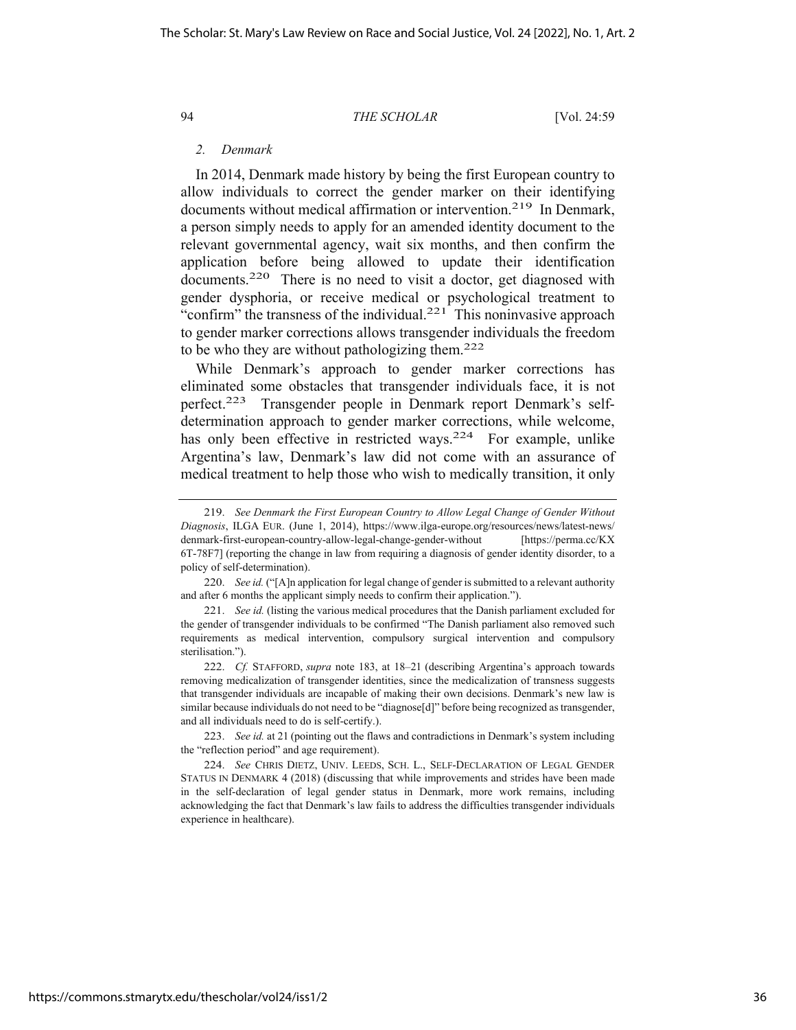# *2. Denmark*

In 2014, Denmark made history by being the first European country to allow individuals to correct the gender marker on their identifying documents without medical affirmation or intervention.<sup>219</sup> In Denmark, a person simply needs to apply for an amended identity document to the relevant governmental agency, wait six months, and then confirm the application before being allowed to update their identification documents.<sup>220</sup> There is no need to visit a doctor, get diagnosed with gender dysphoria, or receive medical or psychological treatment to "confirm" the transness of the individual. $221$  This noninvasive approach to gender marker corrections allows transgender individuals the freedom to be who they are without pathologizing them.<sup>222</sup>

While Denmark's approach to gender marker corrections has eliminated some obstacles that transgender individuals face, it is not perfect.223 Transgender people in Denmark report Denmark's selfdetermination approach to gender marker corrections, while welcome, has only been effective in restricted ways.<sup>224</sup> For example, unlike Argentina's law, Denmark's law did not come with an assurance of medical treatment to help those who wish to medically transition, it only

<sup>219.</sup> *See Denmark the First European Country to Allow Legal Change of Gender Without Diagnosis*, ILGA EUR. (June 1, 2014), https://www.ilga-europe.org/resources/news/latest-news/ denmark-first-european-country-allow-legal-change-gender-without [https://perma.cc/KX 6T-78F7] (reporting the change in law from requiring a diagnosis of gender identity disorder, to a policy of self-determination).

<sup>220.</sup> *See id.* ("[A]n application for legal change of gender is submitted to a relevant authority and after 6 months the applicant simply needs to confirm their application.").

<sup>221.</sup> *See id.* (listing the various medical procedures that the Danish parliament excluded for the gender of transgender individuals to be confirmed "The Danish parliament also removed such requirements as medical intervention, compulsory surgical intervention and compulsory sterilisation.").

<sup>222.</sup> *Cf.* STAFFORD, *supra* note 183, at 18–21 (describing Argentina's approach towards removing medicalization of transgender identities, since the medicalization of transness suggests that transgender individuals are incapable of making their own decisions. Denmark's new law is similar because individuals do not need to be "diagnose[d]" before being recognized as transgender, and all individuals need to do is self-certify.).

<sup>223.</sup> *See id.* at 21 (pointing out the flaws and contradictions in Denmark's system including the "reflection period" and age requirement).

<sup>224.</sup> *See* CHRIS DIETZ, UNIV. LEEDS, SCH. L., SELF-DECLARATION OF LEGAL GENDER STATUS IN DENMARK 4 (2018) (discussing that while improvements and strides have been made in the self-declaration of legal gender status in Denmark, more work remains, including acknowledging the fact that Denmark's law fails to address the difficulties transgender individuals experience in healthcare).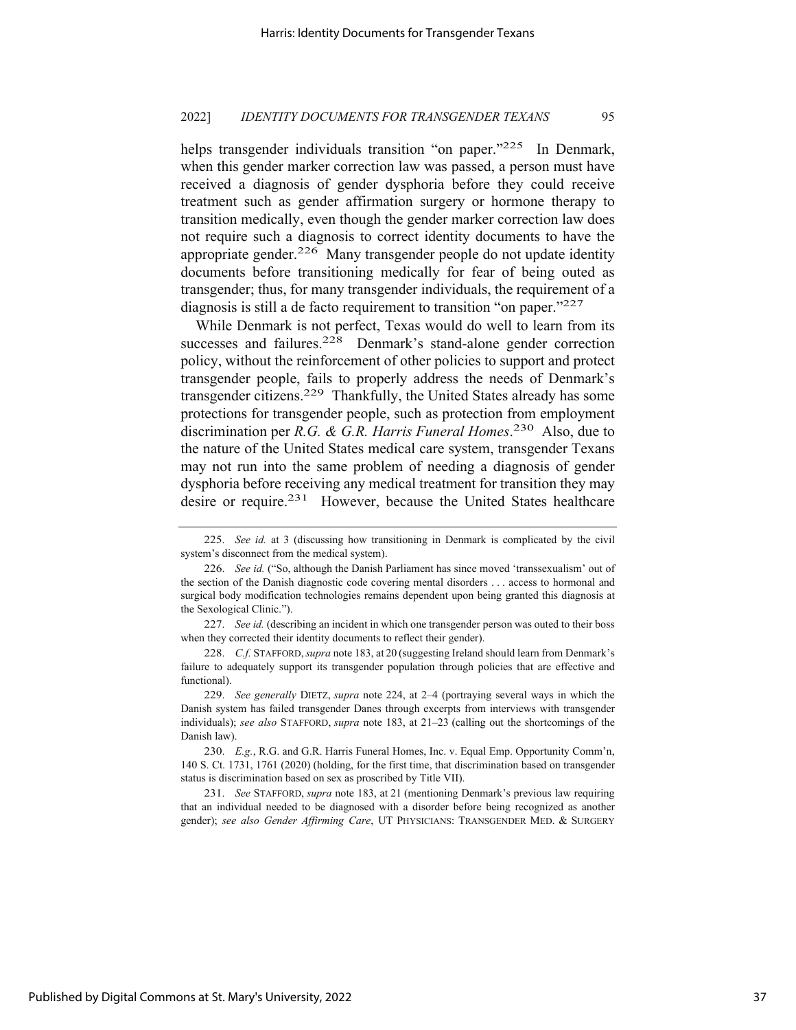helps transgender individuals transition "on paper."<sup>225</sup> In Denmark, when this gender marker correction law was passed, a person must have received a diagnosis of gender dysphoria before they could receive treatment such as gender affirmation surgery or hormone therapy to transition medically, even though the gender marker correction law does not require such a diagnosis to correct identity documents to have the appropriate gender.226 Many transgender people do not update identity documents before transitioning medically for fear of being outed as transgender; thus, for many transgender individuals, the requirement of a diagnosis is still a de facto requirement to transition "on paper."227

While Denmark is not perfect, Texas would do well to learn from its successes and failures.<sup>228</sup> Denmark's stand-alone gender correction policy, without the reinforcement of other policies to support and protect transgender people, fails to properly address the needs of Denmark's transgender citizens.229 Thankfully, the United States already has some protections for transgender people, such as protection from employment discrimination per *R.G. & G.R. Harris Funeral Homes*. 230 Also, due to the nature of the United States medical care system, transgender Texans may not run into the same problem of needing a diagnosis of gender dysphoria before receiving any medical treatment for transition they may desire or require.<sup>231</sup> However, because the United States healthcare

231. *See* STAFFORD, *supra* note 183, at 21 (mentioning Denmark's previous law requiring that an individual needed to be diagnosed with a disorder before being recognized as another gender); *see also Gender Affirming Care*, UT PHYSICIANS: TRANSGENDER MED. & SURGERY

<sup>225.</sup> *See id.* at 3 (discussing how transitioning in Denmark is complicated by the civil system's disconnect from the medical system).

<sup>226.</sup> *See id.* ("So, although the Danish Parliament has since moved 'transsexualism' out of the section of the Danish diagnostic code covering mental disorders . . . access to hormonal and surgical body modification technologies remains dependent upon being granted this diagnosis at the Sexological Clinic.").

<sup>227.</sup> *See id.* (describing an incident in which one transgender person was outed to their boss when they corrected their identity documents to reflect their gender).

<sup>228.</sup> *C.f.* STAFFORD,*supra* note 183, at 20 (suggesting Ireland should learn from Denmark's failure to adequately support its transgender population through policies that are effective and functional).

<sup>229.</sup> *See generally* DIETZ, *supra* note 224, at 2–4 (portraying several ways in which the Danish system has failed transgender Danes through excerpts from interviews with transgender individuals); *see also* STAFFORD, *supra* note 183, at 21–23 (calling out the shortcomings of the Danish law).

<sup>230.</sup> *E.g.*, R.G. and G.R. Harris Funeral Homes, Inc. v. Equal Emp. Opportunity Comm'n, 140 S. Ct. 1731, 1761 (2020) (holding, for the first time, that discrimination based on transgender status is discrimination based on sex as proscribed by Title VII).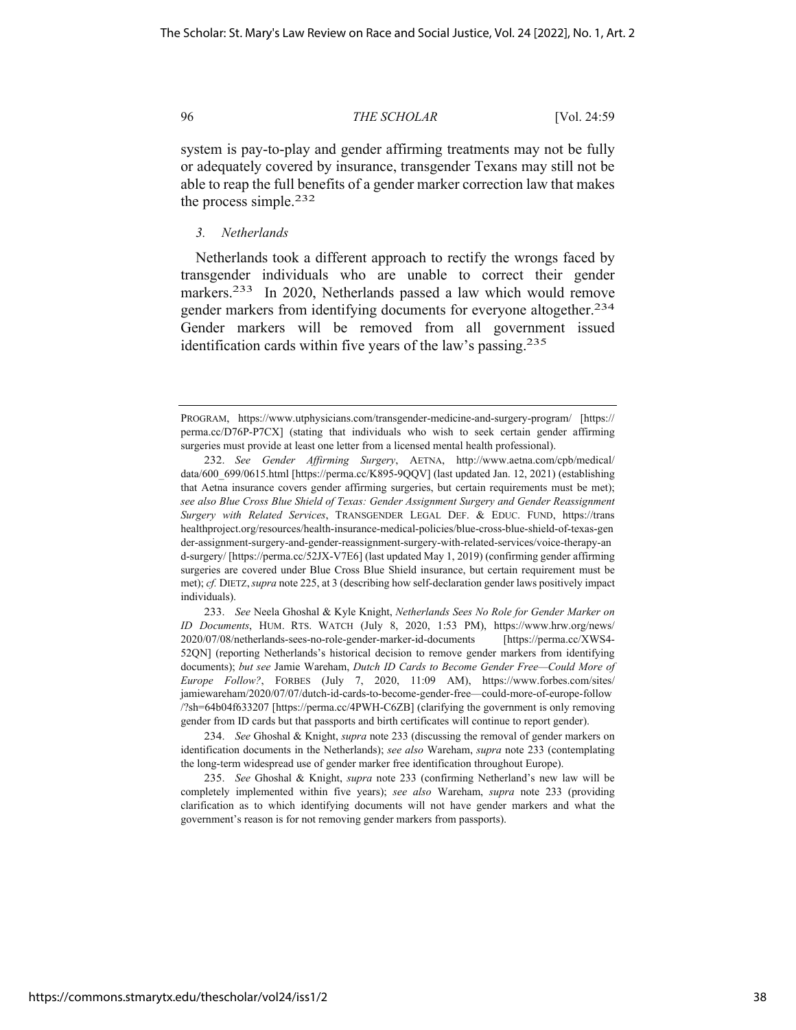system is pay-to-play and gender affirming treatments may not be fully or adequately covered by insurance, transgender Texans may still not be able to reap the full benefits of a gender marker correction law that makes the process simple.232

*3. Netherlands* 

Netherlands took a different approach to rectify the wrongs faced by transgender individuals who are unable to correct their gender markers.<sup>233</sup> In 2020, Netherlands passed a law which would remove gender markers from identifying documents for everyone altogether.234 Gender markers will be removed from all government issued identification cards within five years of the law's passing.<sup>235</sup>

PROGRAM, https://www.utphysicians.com/transgender-medicine-and-surgery-program/ [https:// perma.cc/D76P-P7CX] (stating that individuals who wish to seek certain gender affirming surgeries must provide at least one letter from a licensed mental health professional).

<sup>232.</sup> *See Gender Affirming Surgery*, AETNA, http://www.aetna.com/cpb/medical/ data/600 699/0615.html [https://perma.cc/K895-9QQV] (last updated Jan. 12, 2021) (establishing that Aetna insurance covers gender affirming surgeries, but certain requirements must be met); *see also Blue Cross Blue Shield of Texas: Gender Assignment Surgery and Gender Reassignment Surgery with Related Services*, TRANSGENDER LEGAL DEF. & EDUC. FUND, https://trans healthproject.org/resources/health-insurance-medical-policies/blue-cross-blue-shield-of-texas-gen der-assignment-surgery-and-gender-reassignment-surgery-with-related-services/voice-therapy-an d-surgery/ [https://perma.cc/52JX-V7E6] (last updated May 1, 2019) (confirming gender affirming surgeries are covered under Blue Cross Blue Shield insurance, but certain requirement must be met); *cf.* DIETZ,*supra* note 225, at 3 (describing how self-declaration gender laws positively impact individuals).

<sup>233.</sup> *See* Neela Ghoshal & Kyle Knight, *Netherlands Sees No Role for Gender Marker on ID Documents*, HUM. RTS. WATCH (July 8, 2020, 1:53 PM), https://www.hrw.org/news/ 2020/07/08/netherlands-sees-no-role-gender-marker-id-documents [https://perma.cc/XWS4- 52QN] (reporting Netherlands's historical decision to remove gender markers from identifying documents); *but see* Jamie Wareham, *Dutch ID Cards to Become Gender Free—Could More of Europe Follow?*, FORBES (July 7, 2020, 11:09 AM), https://www.forbes.com/sites/ jamiewareham/2020/07/07/dutch-id-cards-to-become-gender-free—could-more-of-europe-follow /?sh=64b04f633207 [https://perma.cc/4PWH-C6ZB] (clarifying the government is only removing gender from ID cards but that passports and birth certificates will continue to report gender).

<sup>234.</sup> *See* Ghoshal & Knight, *supra* note 233 (discussing the removal of gender markers on identification documents in the Netherlands); *see also* Wareham, *supra* note 233 (contemplating the long-term widespread use of gender marker free identification throughout Europe).

<sup>235.</sup> *See* Ghoshal & Knight, *supra* note 233 (confirming Netherland's new law will be completely implemented within five years); *see also* Wareham, *supra* note 233 (providing clarification as to which identifying documents will not have gender markers and what the government's reason is for not removing gender markers from passports).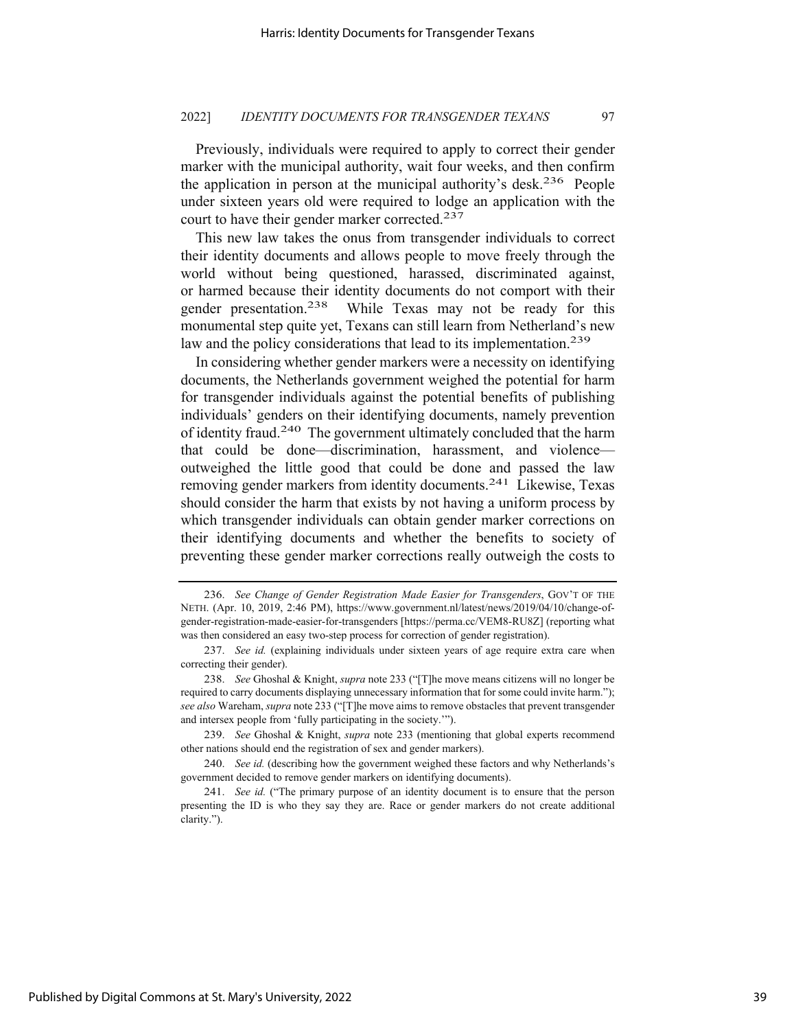Previously, individuals were required to apply to correct their gender marker with the municipal authority, wait four weeks, and then confirm the application in person at the municipal authority's desk.<sup>236</sup> People under sixteen years old were required to lodge an application with the court to have their gender marker corrected.<sup>237</sup>

This new law takes the onus from transgender individuals to correct their identity documents and allows people to move freely through the world without being questioned, harassed, discriminated against, or harmed because their identity documents do not comport with their gender presentation.238 While Texas may not be ready for this monumental step quite yet, Texans can still learn from Netherland's new law and the policy considerations that lead to its implementation.<sup>239</sup>

In considering whether gender markers were a necessity on identifying documents, the Netherlands government weighed the potential for harm for transgender individuals against the potential benefits of publishing individuals' genders on their identifying documents, namely prevention of identity fraud.240 The government ultimately concluded that the harm that could be done—discrimination, harassment, and violence outweighed the little good that could be done and passed the law removing gender markers from identity documents.<sup>241</sup> Likewise, Texas should consider the harm that exists by not having a uniform process by which transgender individuals can obtain gender marker corrections on their identifying documents and whether the benefits to society of preventing these gender marker corrections really outweigh the costs to

<sup>236.</sup> *See Change of Gender Registration Made Easier for Transgenders*, GOV'T OF THE NETH. (Apr. 10, 2019, 2:46 PM), https://www.government.nl/latest/news/2019/04/10/change-ofgender-registration-made-easier-for-transgenders [https://perma.cc/VEM8-RU8Z] (reporting what was then considered an easy two-step process for correction of gender registration).

<sup>237.</sup> *See id.* (explaining individuals under sixteen years of age require extra care when correcting their gender).

<sup>238.</sup> *See* Ghoshal & Knight, *supra* note 233 ("[T]he move means citizens will no longer be required to carry documents displaying unnecessary information that for some could invite harm."); *see also* Wareham, *supra* note 233 ("[T]he move aims to remove obstacles that prevent transgender and intersex people from 'fully participating in the society.'").

<sup>239.</sup> *See* Ghoshal & Knight, *supra* note 233 (mentioning that global experts recommend other nations should end the registration of sex and gender markers).

<sup>240.</sup> *See id.* (describing how the government weighed these factors and why Netherlands's government decided to remove gender markers on identifying documents).

<sup>241.</sup> *See id.* ("The primary purpose of an identity document is to ensure that the person presenting the ID is who they say they are. Race or gender markers do not create additional clarity.").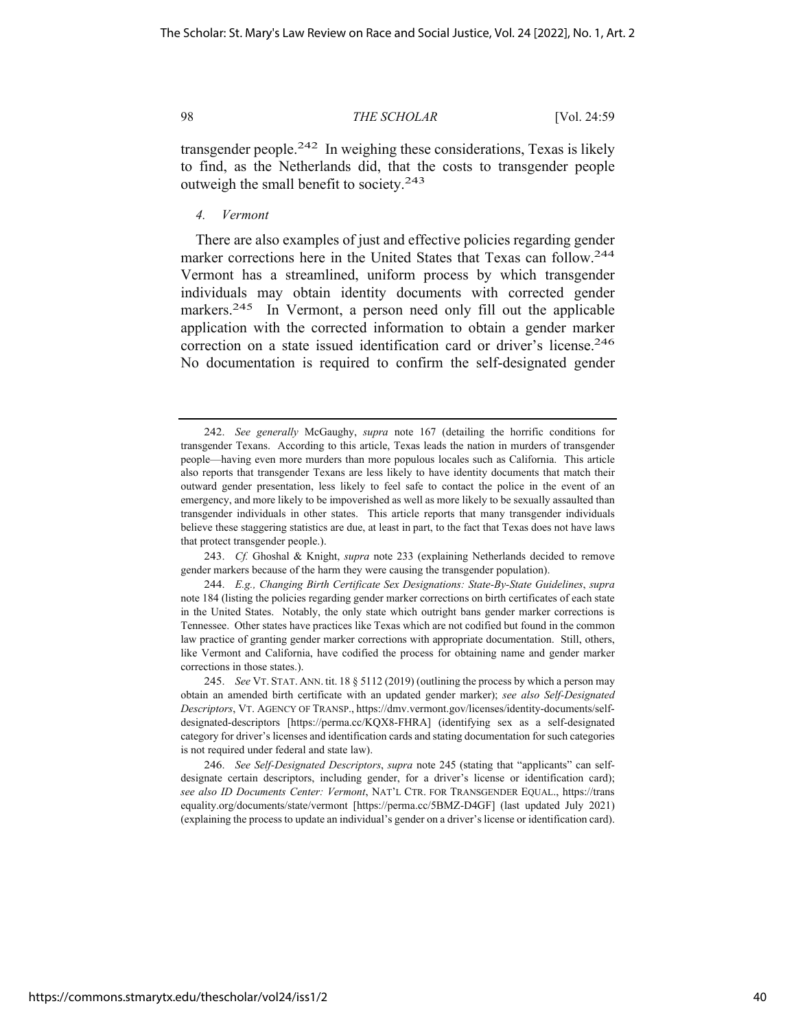transgender people.<sup>242</sup> In weighing these considerations, Texas is likely to find, as the Netherlands did, that the costs to transgender people outweigh the small benefit to society.<sup>243</sup>

## *4. Vermont*

There are also examples of just and effective policies regarding gender marker corrections here in the United States that Texas can follow.244 Vermont has a streamlined, uniform process by which transgender individuals may obtain identity documents with corrected gender markers.<sup>245</sup> In Vermont, a person need only fill out the applicable application with the corrected information to obtain a gender marker correction on a state issued identification card or driver's license.<sup>246</sup> No documentation is required to confirm the self-designated gender

<sup>242.</sup> *See generally* McGaughy, *supra* note 167 (detailing the horrific conditions for transgender Texans. According to this article, Texas leads the nation in murders of transgender people—having even more murders than more populous locales such as California. This article also reports that transgender Texans are less likely to have identity documents that match their outward gender presentation, less likely to feel safe to contact the police in the event of an emergency, and more likely to be impoverished as well as more likely to be sexually assaulted than transgender individuals in other states. This article reports that many transgender individuals believe these staggering statistics are due, at least in part, to the fact that Texas does not have laws that protect transgender people.).

<sup>243.</sup> *Cf.* Ghoshal & Knight, *supra* note 233 (explaining Netherlands decided to remove gender markers because of the harm they were causing the transgender population).

<sup>244.</sup> *E.g., Changing Birth Certificate Sex Designations: State-By-State Guidelines*, *supra*  note 184 (listing the policies regarding gender marker corrections on birth certificates of each state in the United States. Notably, the only state which outright bans gender marker corrections is Tennessee. Other states have practices like Texas which are not codified but found in the common law practice of granting gender marker corrections with appropriate documentation. Still, others, like Vermont and California, have codified the process for obtaining name and gender marker corrections in those states.).

<sup>245.</sup> *See* VT. STAT. ANN. tit. 18 § 5112 (2019) (outlining the process by which a person may obtain an amended birth certificate with an updated gender marker); *see also Self-Designated Descriptors*, VT. AGENCY OF TRANSP., https://dmv.vermont.gov/licenses/identity-documents/selfdesignated-descriptors [https://perma.cc/KQX8-FHRA] (identifying sex as a self-designated category for driver's licenses and identification cards and stating documentation for such categories is not required under federal and state law).

<sup>246.</sup> *See Self-Designated Descriptors*, *supra* note 245 (stating that "applicants" can selfdesignate certain descriptors, including gender, for a driver's license or identification card); *see also ID Documents Center: Vermont*, NAT'L CTR. FOR TRANSGENDER EQUAL., https://trans equality.org/documents/state/vermont [https://perma.cc/5BMZ-D4GF] (last updated July 2021) (explaining the process to update an individual's gender on a driver's license or identification card).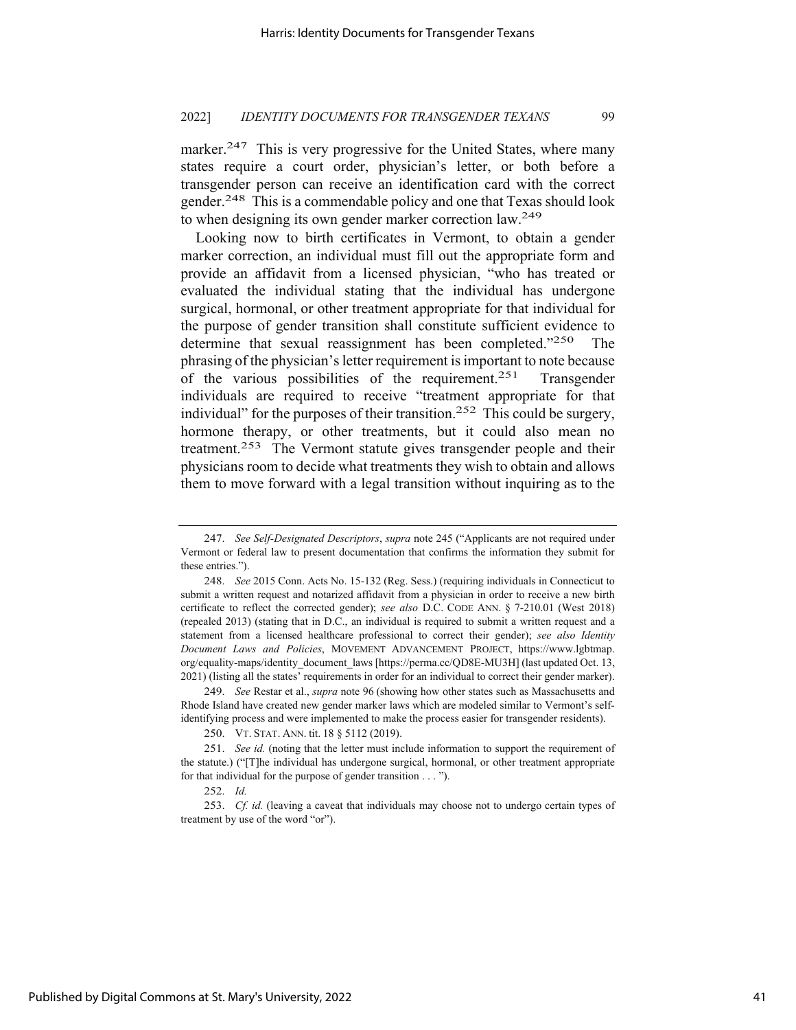marker.<sup>247</sup> This is very progressive for the United States, where many states require a court order, physician's letter, or both before a transgender person can receive an identification card with the correct gender.248 This is a commendable policy and one that Texas should look to when designing its own gender marker correction law.<sup>249</sup>

Looking now to birth certificates in Vermont, to obtain a gender marker correction, an individual must fill out the appropriate form and provide an affidavit from a licensed physician, "who has treated or evaluated the individual stating that the individual has undergone surgical, hormonal, or other treatment appropriate for that individual for the purpose of gender transition shall constitute sufficient evidence to determine that sexual reassignment has been completed."250 The phrasing of the physician's letter requirement is important to note because of the various possibilities of the requirement.251 Transgender individuals are required to receive "treatment appropriate for that individual" for the purposes of their transition.<sup>252</sup> This could be surgery, hormone therapy, or other treatments, but it could also mean no treatment.253 The Vermont statute gives transgender people and their physicians room to decide what treatments they wish to obtain and allows them to move forward with a legal transition without inquiring as to the

<sup>247.</sup> *See Self-Designated Descriptors*, *supra* note 245 ("Applicants are not required under Vermont or federal law to present documentation that confirms the information they submit for these entries.").

<sup>248.</sup> *See* 2015 Conn. Acts No. 15-132 (Reg. Sess.) (requiring individuals in Connecticut to submit a written request and notarized affidavit from a physician in order to receive a new birth certificate to reflect the corrected gender); *see also* D.C. CODE ANN. § 7-210.01 (West 2018) (repealed 2013) (stating that in D.C., an individual is required to submit a written request and a statement from a licensed healthcare professional to correct their gender); *see also Identity Document Laws and Policies*, MOVEMENT ADVANCEMENT PROJECT, https://www.lgbtmap. org/equality-maps/identity\_document\_laws [https://perma.cc/QD8E-MU3H] (last updated Oct. 13, 2021) (listing all the states' requirements in order for an individual to correct their gender marker).

<sup>249.</sup> *See* Restar et al., *supra* note 96 (showing how other states such as Massachusetts and Rhode Island have created new gender marker laws which are modeled similar to Vermont's selfidentifying process and were implemented to make the process easier for transgender residents).

<sup>250.</sup> VT. STAT. ANN. tit. 18 § 5112 (2019).

<sup>251.</sup> *See id.* (noting that the letter must include information to support the requirement of the statute.) ("[T]he individual has undergone surgical, hormonal, or other treatment appropriate for that individual for the purpose of gender transition . . . ").

<sup>252.</sup> *Id.*

<sup>253.</sup> *Cf. id.* (leaving a caveat that individuals may choose not to undergo certain types of treatment by use of the word "or").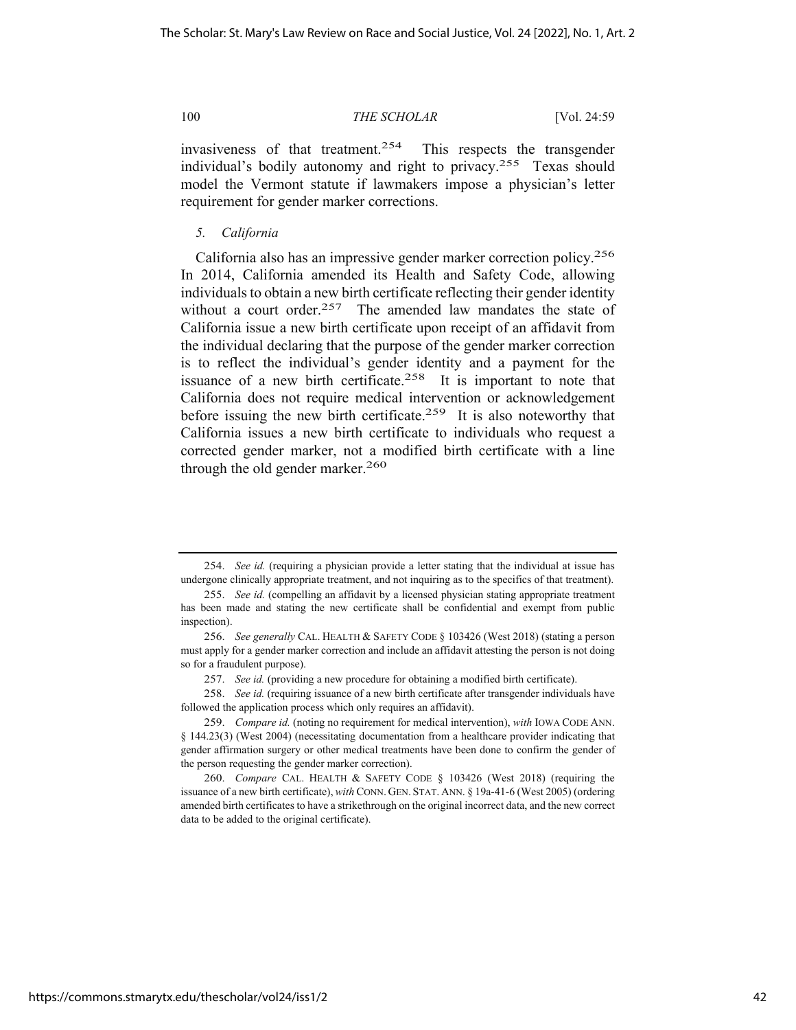invasiveness of that treatment.254 This respects the transgender individual's bodily autonomy and right to privacy.255 Texas should model the Vermont statute if lawmakers impose a physician's letter requirement for gender marker corrections.

*5. California* 

California also has an impressive gender marker correction policy.256 In 2014, California amended its Health and Safety Code, allowing individuals to obtain a new birth certificate reflecting their gender identity without a court order.<sup>257</sup> The amended law mandates the state of California issue a new birth certificate upon receipt of an affidavit from the individual declaring that the purpose of the gender marker correction is to reflect the individual's gender identity and a payment for the issuance of a new birth certificate.<sup>258</sup> It is important to note that California does not require medical intervention or acknowledgement before issuing the new birth certificate.<sup>259</sup> It is also noteworthy that California issues a new birth certificate to individuals who request a corrected gender marker, not a modified birth certificate with a line through the old gender marker.260

<sup>254.</sup> *See id.* (requiring a physician provide a letter stating that the individual at issue has undergone clinically appropriate treatment, and not inquiring as to the specifics of that treatment).

<sup>255.</sup> *See id.* (compelling an affidavit by a licensed physician stating appropriate treatment has been made and stating the new certificate shall be confidential and exempt from public inspection).

<sup>256.</sup> *See generally* CAL. HEALTH & SAFETY CODE § 103426 (West 2018) (stating a person must apply for a gender marker correction and include an affidavit attesting the person is not doing so for a fraudulent purpose).

<sup>257.</sup> *See id.* (providing a new procedure for obtaining a modified birth certificate).

<sup>258.</sup> *See id.* (requiring issuance of a new birth certificate after transgender individuals have followed the application process which only requires an affidavit).

<sup>259.</sup> *Compare id.* (noting no requirement for medical intervention), *with* IOWA CODE ANN. § 144.23(3) (West 2004) (necessitating documentation from a healthcare provider indicating that gender affirmation surgery or other medical treatments have been done to confirm the gender of the person requesting the gender marker correction).

<sup>260.</sup> *Compare* CAL. HEALTH & SAFETY CODE § 103426 (West 2018) (requiring the issuance of a new birth certificate), *with* CONN. GEN. STAT. ANN. § 19a-41-6 (West 2005) (ordering amended birth certificates to have a strikethrough on the original incorrect data, and the new correct data to be added to the original certificate).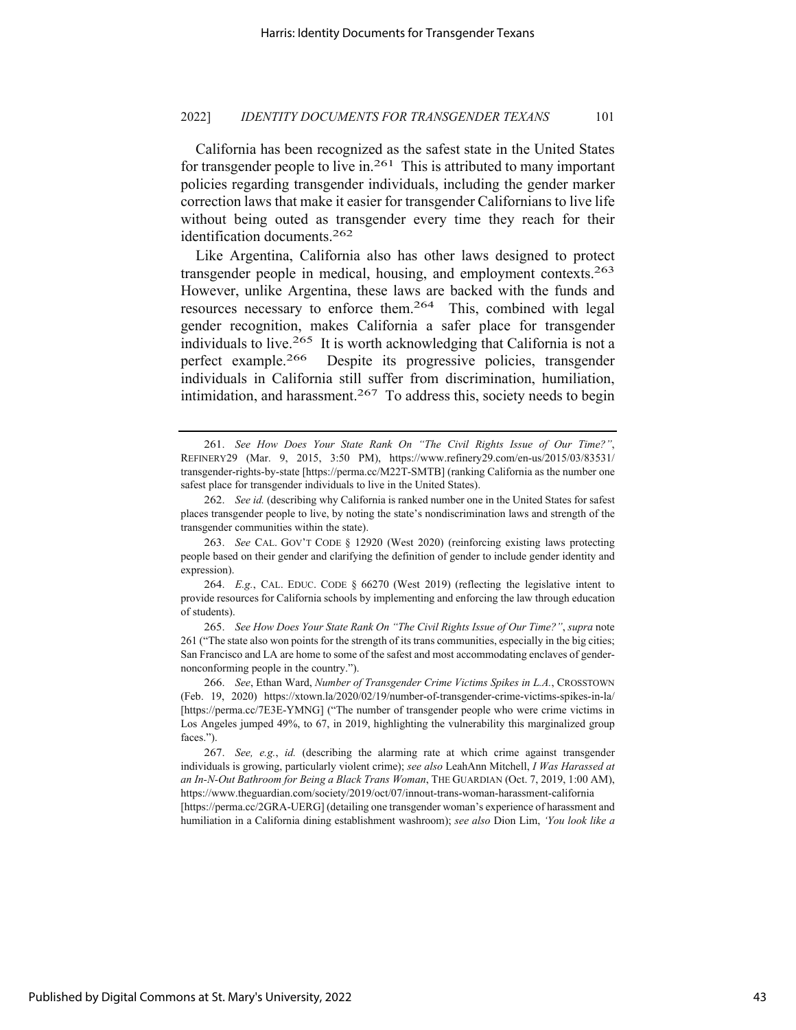California has been recognized as the safest state in the United States for transgender people to live in.<sup>261</sup> This is attributed to many important policies regarding transgender individuals, including the gender marker correction laws that make it easier for transgender Californians to live life without being outed as transgender every time they reach for their identification documents.262

Like Argentina, California also has other laws designed to protect transgender people in medical, housing, and employment contexts.263 However, unlike Argentina, these laws are backed with the funds and resources necessary to enforce them.264 This, combined with legal gender recognition, makes California a safer place for transgender individuals to live.265 It is worth acknowledging that California is not a perfect example.266 Despite its progressive policies, transgender individuals in California still suffer from discrimination, humiliation, intimidation, and harassment.<sup>267</sup> To address this, society needs to begin

humiliation in a California dining establishment washroom); *see also* Dion Lim, *'You look like a* 

<sup>261.</sup> *See How Does Your State Rank On "The Civil Rights Issue of Our Time?"*, REFINERY29 (Mar. 9, 2015, 3:50 PM), https://www.refinery29.com/en-us/2015/03/83531/ transgender-rights-by-state [https://perma.cc/M22T-SMTB] (ranking California as the number one safest place for transgender individuals to live in the United States).

<sup>262.</sup> *See id.* (describing why California is ranked number one in the United States for safest places transgender people to live, by noting the state's nondiscrimination laws and strength of the transgender communities within the state).

<sup>263.</sup> *See* CAL. GOV'T CODE § 12920 (West 2020) (reinforcing existing laws protecting people based on their gender and clarifying the definition of gender to include gender identity and expression).

<sup>264.</sup> *E.g.*, CAL. EDUC. CODE § 66270 (West 2019) (reflecting the legislative intent to provide resources for California schools by implementing and enforcing the law through education of students).

<sup>265.</sup> *See How Does Your State Rank On "The Civil Rights Issue of Our Time?"*, *supra* note 261 ("The state also won points for the strength of its trans communities, especially in the big cities; San Francisco and LA are home to some of the safest and most accommodating enclaves of gendernonconforming people in the country.").

<sup>266.</sup> *See*, Ethan Ward, *Number of Transgender Crime Victims Spikes in L.A.*, CROSSTOWN (Feb. 19, 2020) https://xtown.la/2020/02/19/number-of-transgender-crime-victims-spikes-in-la/ [https://perma.cc/7E3E-YMNG] ("The number of transgender people who were crime victims in Los Angeles jumped 49%, to 67, in 2019, highlighting the vulnerability this marginalized group faces.").

<sup>267.</sup> *See, e.g.*, *id.* (describing the alarming rate at which crime against transgender individuals is growing, particularly violent crime); *see also* LeahAnn Mitchell, *I Was Harassed at an In-N-Out Bathroom for Being a Black Trans Woman*, THE GUARDIAN (Oct. 7, 2019, 1:00 AM), https://www.theguardian.com/society/2019/oct/07/innout-trans-woman-harassment-california [https://perma.cc/2GRA-UERG] (detailing one transgender woman's experience of harassment and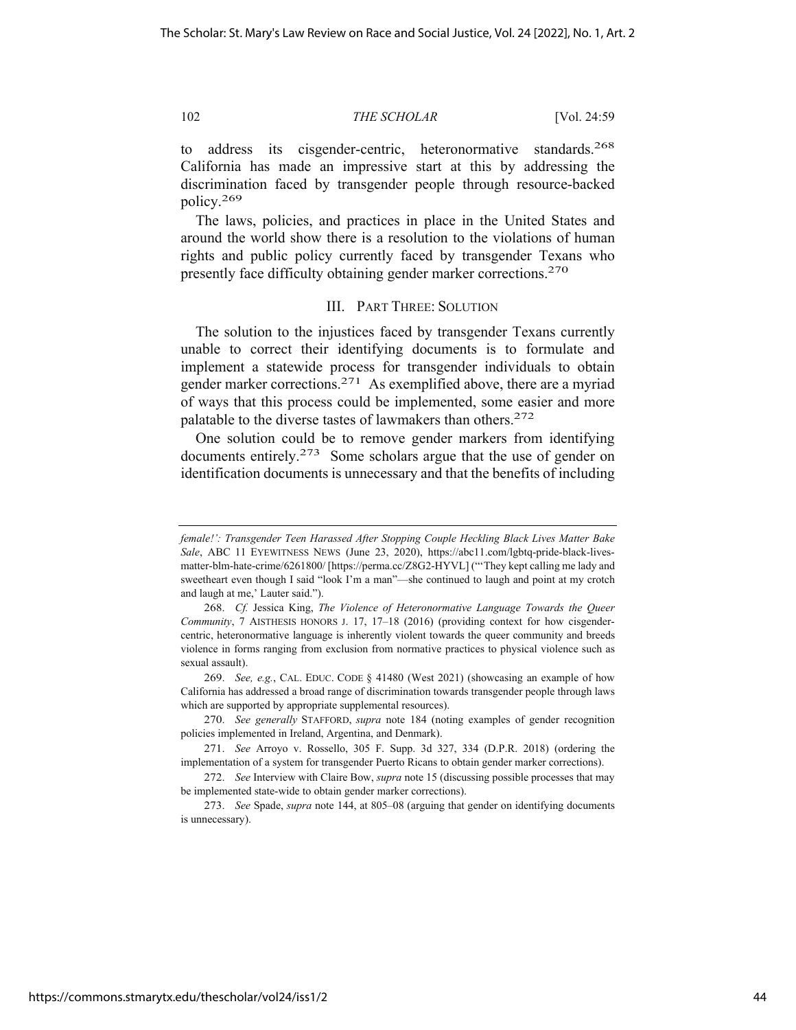to address its cisgender-centric, heteronormative standards.<sup>268</sup> California has made an impressive start at this by addressing the discrimination faced by transgender people through resource-backed policy.269

The laws, policies, and practices in place in the United States and around the world show there is a resolution to the violations of human rights and public policy currently faced by transgender Texans who presently face difficulty obtaining gender marker corrections.270

# III. PART THREE: SOLUTION

The solution to the injustices faced by transgender Texans currently unable to correct their identifying documents is to formulate and implement a statewide process for transgender individuals to obtain gender marker corrections.271 As exemplified above, there are a myriad of ways that this process could be implemented, some easier and more palatable to the diverse tastes of lawmakers than others.<sup>272</sup>

One solution could be to remove gender markers from identifying documents entirely.<sup>273</sup> Some scholars argue that the use of gender on identification documents is unnecessary and that the benefits of including

*female!': Transgender Teen Harassed After Stopping Couple Heckling Black Lives Matter Bake Sale*, ABC 11 EYEWITNESS NEWS (June 23, 2020), https://abc11.com/lgbtq-pride-black-livesmatter-blm-hate-crime/6261800/ [https://perma.cc/Z8G2-HYVL] ("'They kept calling me lady and sweetheart even though I said "look I'm a man"—she continued to laugh and point at my crotch and laugh at me,' Lauter said.").

<sup>268.</sup> *Cf.* Jessica King, *The Violence of Heteronormative Language Towards the Queer Community*, 7 AISTHESIS HONORS J. 17, 17–18 (2016) (providing context for how cisgendercentric, heteronormative language is inherently violent towards the queer community and breeds violence in forms ranging from exclusion from normative practices to physical violence such as sexual assault).

<sup>269.</sup> *See, e.g.*, CAL. EDUC. CODE § 41480 (West 2021) (showcasing an example of how California has addressed a broad range of discrimination towards transgender people through laws which are supported by appropriate supplemental resources).

<sup>270.</sup> *See generally* STAFFORD, *supra* note 184 (noting examples of gender recognition policies implemented in Ireland, Argentina, and Denmark).

<sup>271.</sup> *See* Arroyo v. Rossello, 305 F. Supp. 3d 327, 334 (D.P.R. 2018) (ordering the implementation of a system for transgender Puerto Ricans to obtain gender marker corrections).

<sup>272.</sup> *See* Interview with Claire Bow, *supra* note 15 (discussing possible processes that may be implemented state-wide to obtain gender marker corrections).

<sup>273.</sup> *See* Spade, *supra* note 144, at 805–08 (arguing that gender on identifying documents is unnecessary).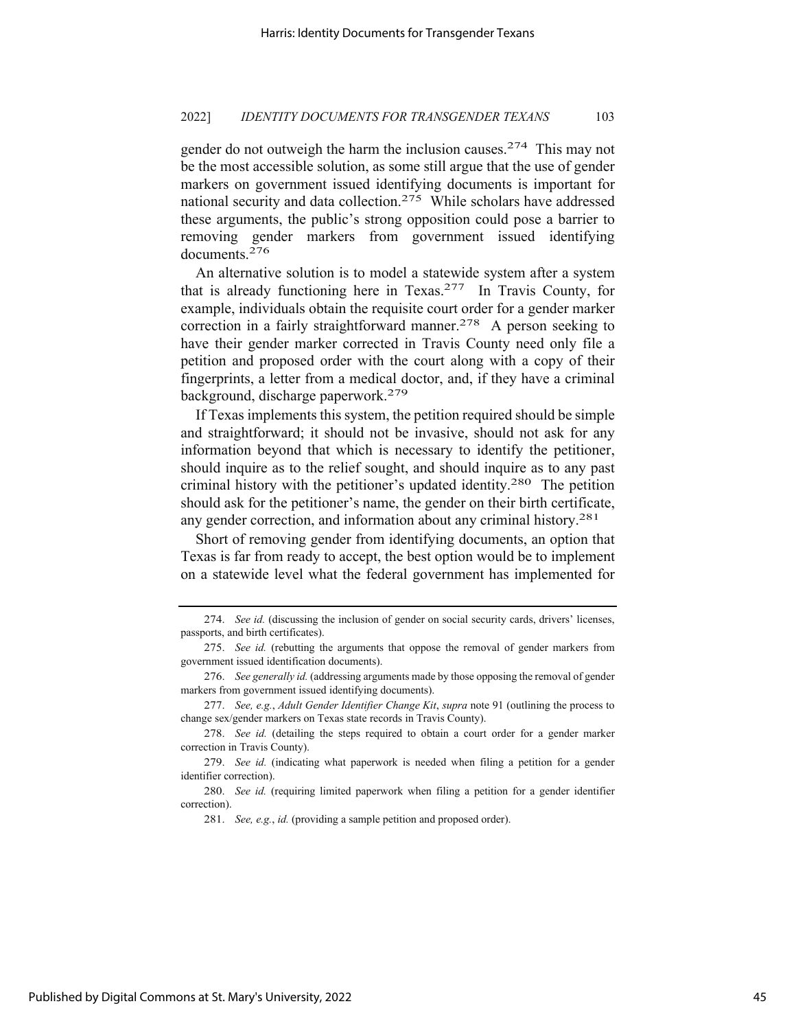gender do not outweigh the harm the inclusion causes.<sup>274</sup> This may not be the most accessible solution, as some still argue that the use of gender markers on government issued identifying documents is important for national security and data collection.275 While scholars have addressed these arguments, the public's strong opposition could pose a barrier to removing gender markers from government issued identifying documents.276

An alternative solution is to model a statewide system after a system that is already functioning here in Texas.277 In Travis County, for example, individuals obtain the requisite court order for a gender marker correction in a fairly straightforward manner.<sup>278</sup> A person seeking to have their gender marker corrected in Travis County need only file a petition and proposed order with the court along with a copy of their fingerprints, a letter from a medical doctor, and, if they have a criminal background, discharge paperwork.279

If Texas implements this system, the petition required should be simple and straightforward; it should not be invasive, should not ask for any information beyond that which is necessary to identify the petitioner, should inquire as to the relief sought, and should inquire as to any past criminal history with the petitioner's updated identity.280 The petition should ask for the petitioner's name, the gender on their birth certificate, any gender correction, and information about any criminal history.<sup>281</sup>

Short of removing gender from identifying documents, an option that Texas is far from ready to accept, the best option would be to implement on a statewide level what the federal government has implemented for

281. *See, e.g.*, *id.* (providing a sample petition and proposed order).

<sup>274.</sup> *See id.* (discussing the inclusion of gender on social security cards, drivers' licenses, passports, and birth certificates).

<sup>275.</sup> *See id.* (rebutting the arguments that oppose the removal of gender markers from government issued identification documents).

<sup>276.</sup> *See generally id.* (addressing arguments made by those opposing the removal of gender markers from government issued identifying documents).

<sup>277.</sup> *See, e.g.*, *Adult Gender Identifier Change Kit*, *supra* note 91 (outlining the process to change sex/gender markers on Texas state records in Travis County).

<sup>278.</sup> *See id.* (detailing the steps required to obtain a court order for a gender marker correction in Travis County).

<sup>279.</sup> *See id.* (indicating what paperwork is needed when filing a petition for a gender identifier correction).

<sup>280.</sup> *See id.* (requiring limited paperwork when filing a petition for a gender identifier correction).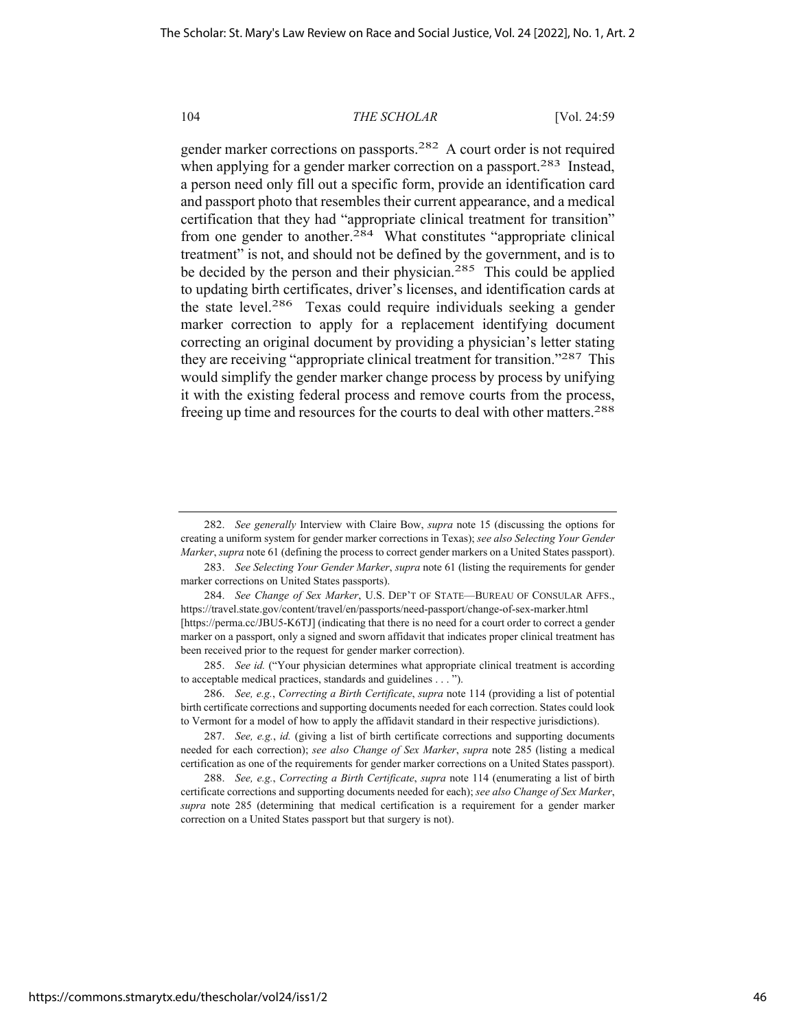gender marker corrections on passports.282 A court order is not required when applying for a gender marker correction on a passport.<sup>283</sup> Instead, a person need only fill out a specific form, provide an identification card and passport photo that resembles their current appearance, and a medical certification that they had "appropriate clinical treatment for transition" from one gender to another. $284$  What constitutes "appropriate clinical treatment" is not, and should not be defined by the government, and is to be decided by the person and their physician.<sup>285</sup> This could be applied to updating birth certificates, driver's licenses, and identification cards at the state level.286 Texas could require individuals seeking a gender marker correction to apply for a replacement identifying document correcting an original document by providing a physician's letter stating they are receiving "appropriate clinical treatment for transition."287 This would simplify the gender marker change process by process by unifying it with the existing federal process and remove courts from the process, freeing up time and resources for the courts to deal with other matters.<sup>288</sup>

<sup>282.</sup> *See generally* Interview with Claire Bow, *supra* note 15 (discussing the options for creating a uniform system for gender marker corrections in Texas); *see also Selecting Your Gender Marker*, *supra* note 61 (defining the process to correct gender markers on a United States passport).

<sup>283.</sup> *See Selecting Your Gender Marker*, *supra* note 61 (listing the requirements for gender marker corrections on United States passports).

<sup>284.</sup> *See Change of Sex Marker*, U.S. DEP'T OF STATE—BUREAU OF CONSULAR AFFS., https://travel.state.gov/content/travel/en/passports/need-passport/change-of-sex-marker.html [https://perma.cc/JBU5-K6TJ] (indicating that there is no need for a court order to correct a gender marker on a passport, only a signed and sworn affidavit that indicates proper clinical treatment has been received prior to the request for gender marker correction).

<sup>285.</sup> *See id.* ("Your physician determines what appropriate clinical treatment is according to acceptable medical practices, standards and guidelines . . . ").

<sup>286.</sup> *See, e.g.*, *Correcting a Birth Certificate*, *supra* note 114 (providing a list of potential birth certificate corrections and supporting documents needed for each correction. States could look to Vermont for a model of how to apply the affidavit standard in their respective jurisdictions).

<sup>287.</sup> *See, e.g.*, *id.* (giving a list of birth certificate corrections and supporting documents needed for each correction); *see also Change of Sex Marker*, *supra* note 285 (listing a medical certification as one of the requirements for gender marker corrections on a United States passport).

<sup>288.</sup> *See, e.g.*, *Correcting a Birth Certificate*, *supra* note 114 (enumerating a list of birth certificate corrections and supporting documents needed for each); *see also Change of Sex Marker*, *supra* note 285 (determining that medical certification is a requirement for a gender marker correction on a United States passport but that surgery is not).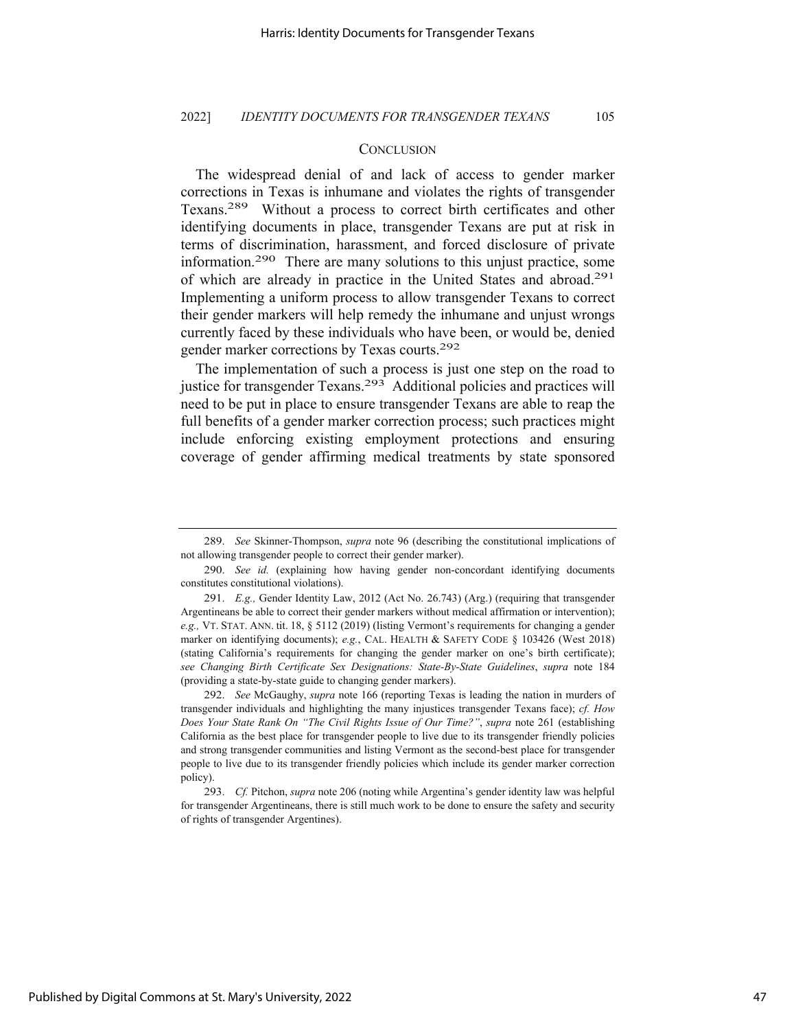# **CONCLUSION**

The widespread denial of and lack of access to gender marker corrections in Texas is inhumane and violates the rights of transgender Texans.289 Without a process to correct birth certificates and other identifying documents in place, transgender Texans are put at risk in terms of discrimination, harassment, and forced disclosure of private information.290 There are many solutions to this unjust practice, some of which are already in practice in the United States and abroad.291 Implementing a uniform process to allow transgender Texans to correct their gender markers will help remedy the inhumane and unjust wrongs currently faced by these individuals who have been, or would be, denied gender marker corrections by Texas courts.292

The implementation of such a process is just one step on the road to justice for transgender Texans.<sup>293</sup> Additional policies and practices will need to be put in place to ensure transgender Texans are able to reap the full benefits of a gender marker correction process; such practices might include enforcing existing employment protections and ensuring coverage of gender affirming medical treatments by state sponsored

<sup>289.</sup> *See* Skinner-Thompson, *supra* note 96 (describing the constitutional implications of not allowing transgender people to correct their gender marker).

<sup>290.</sup> *See id.* (explaining how having gender non-concordant identifying documents constitutes constitutional violations).

<sup>291.</sup> *E.g.,* Gender Identity Law, 2012 (Act No. 26.743) (Arg.) (requiring that transgender Argentineans be able to correct their gender markers without medical affirmation or intervention); *e.g.,* VT. STAT. ANN. tit. 18, § 5112 (2019) (listing Vermont's requirements for changing a gender marker on identifying documents); *e.g.*, CAL. HEALTH & SAFETY CODE § 103426 (West 2018) (stating California's requirements for changing the gender marker on one's birth certificate); *see Changing Birth Certificate Sex Designations: State-By-State Guidelines*, *supra* note 184 (providing a state-by-state guide to changing gender markers).

<sup>292.</sup> *See* McGaughy, *supra* note 166 (reporting Texas is leading the nation in murders of transgender individuals and highlighting the many injustices transgender Texans face); *cf. How Does Your State Rank On "The Civil Rights Issue of Our Time?"*, *supra* note 261 (establishing California as the best place for transgender people to live due to its transgender friendly policies and strong transgender communities and listing Vermont as the second-best place for transgender people to live due to its transgender friendly policies which include its gender marker correction policy).

<sup>293.</sup> *Cf.* Pitchon, *supra* note 206 (noting while Argentina's gender identity law was helpful for transgender Argentineans, there is still much work to be done to ensure the safety and security of rights of transgender Argentines).